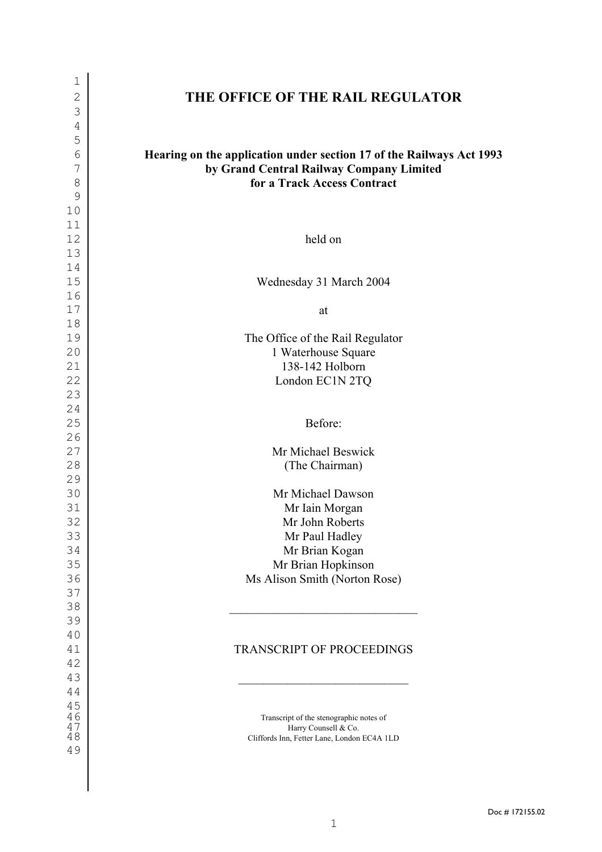| $\mathbf{1}$ |                                                                      |
|--------------|----------------------------------------------------------------------|
| $\mathbf{2}$ | THE OFFICE OF THE RAIL REGULATOR                                     |
| 3            |                                                                      |
| 4            |                                                                      |
| 5            |                                                                      |
| 6            | Hearing on the application under section 17 of the Railways Act 1993 |
| 7            | by Grand Central Railway Company Limited                             |
| 8            | for a Track Access Contract                                          |
| 9            |                                                                      |
| 10           |                                                                      |
| 11           |                                                                      |
| 12           | held on                                                              |
| 13           |                                                                      |
| 14           |                                                                      |
| 15           | Wednesday 31 March 2004                                              |
| 16           |                                                                      |
| 17           | at                                                                   |
| 18           |                                                                      |
| 19           | The Office of the Rail Regulator                                     |
| 20           | 1 Waterhouse Square                                                  |
| 21           | 138-142 Holborn                                                      |
| 22           | London EC1N 2TQ                                                      |
| 23           |                                                                      |
| 24           |                                                                      |
| 25           | Before:                                                              |
| 26           |                                                                      |
| 27           | Mr Michael Beswick                                                   |
| 28<br>29     | (The Chairman)                                                       |
| 30           | Mr Michael Dawson                                                    |
| 31           | Mr Iain Morgan                                                       |
| 32           | Mr John Roberts                                                      |
| 33           | Mr Paul Hadley                                                       |
| 34           | Mr Brian Kogan                                                       |
| 35           | Mr Brian Hopkinson                                                   |
| 36           | Ms Alison Smith (Norton Rose)                                        |
| 37           |                                                                      |
| 38           |                                                                      |
| 39           |                                                                      |
| 40           |                                                                      |
| 41           | <b>TRANSCRIPT OF PROCEEDINGS</b>                                     |
| 42           |                                                                      |
| 43           |                                                                      |
| 44           |                                                                      |
| 45           |                                                                      |
| 46           | Transcript of the stenographic notes of                              |
| 47<br>48     | Harry Counsell & Co.<br>Cliffords Inn, Fetter Lane, London EC4A 1LD  |
| 49           |                                                                      |
|              |                                                                      |

 $\overline{\phantom{a}}$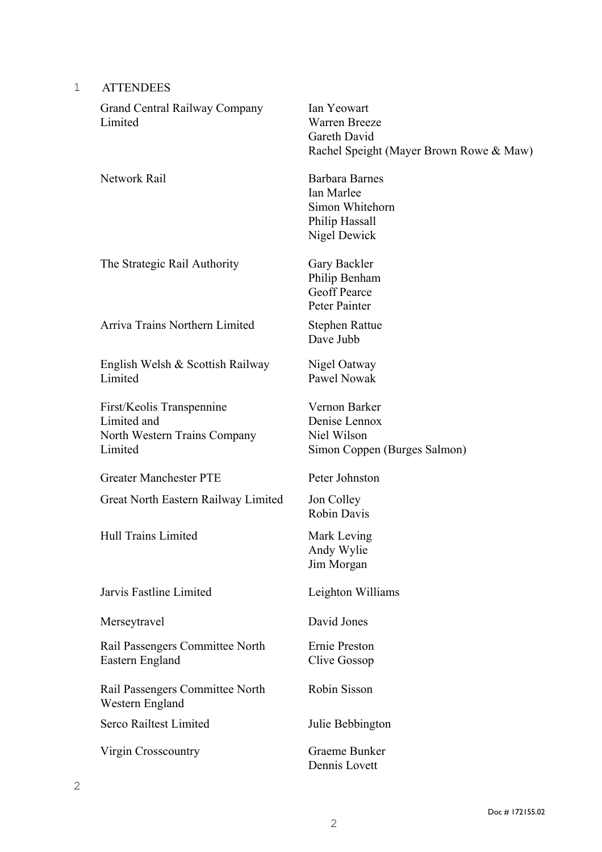| <b>ATTENDEES</b> |
|------------------|
|                  |

| <b>Grand Central Railway Company</b><br>Limited                                     | Ian Yeowart<br><b>Warren Breeze</b><br>Gareth David<br>Rachel Speight (Mayer Brown Rowe & Maw) |
|-------------------------------------------------------------------------------------|------------------------------------------------------------------------------------------------|
| Network Rail                                                                        | <b>Barbara Barnes</b><br>Ian Marlee<br>Simon Whitehorn<br>Philip Hassall<br>Nigel Dewick       |
| The Strategic Rail Authority                                                        | Gary Backler<br>Philip Benham<br><b>Geoff Pearce</b><br>Peter Painter                          |
| Arriva Trains Northern Limited                                                      | <b>Stephen Rattue</b><br>Dave Jubb                                                             |
| English Welsh & Scottish Railway<br>Limited                                         | Nigel Oatway<br>Pawel Nowak                                                                    |
| First/Keolis Transpennine<br>Limited and<br>North Western Trains Company<br>Limited | Vernon Barker<br>Denise Lennox<br>Niel Wilson<br>Simon Coppen (Burges Salmon)                  |
| <b>Greater Manchester PTE</b>                                                       | Peter Johnston                                                                                 |
| Great North Eastern Railway Limited                                                 | <b>Jon Colley</b><br><b>Robin Davis</b>                                                        |
| <b>Hull Trains Limited</b>                                                          | Mark Leving<br>Andy Wylie<br>Jim Morgan                                                        |
| Jarvis Fastline Limited                                                             | Leighton Williams                                                                              |
| Merseytravel                                                                        | David Jones                                                                                    |
| Rail Passengers Committee North<br>Eastern England                                  | Ernie Preston<br>Clive Gossop                                                                  |
| Rail Passengers Committee North<br>Western England                                  | Robin Sisson                                                                                   |
| Serco Railtest Limited                                                              | Julie Bebbington                                                                               |
| Virgin Crosscountry                                                                 | Graeme Bunker<br>Dennis Lovett                                                                 |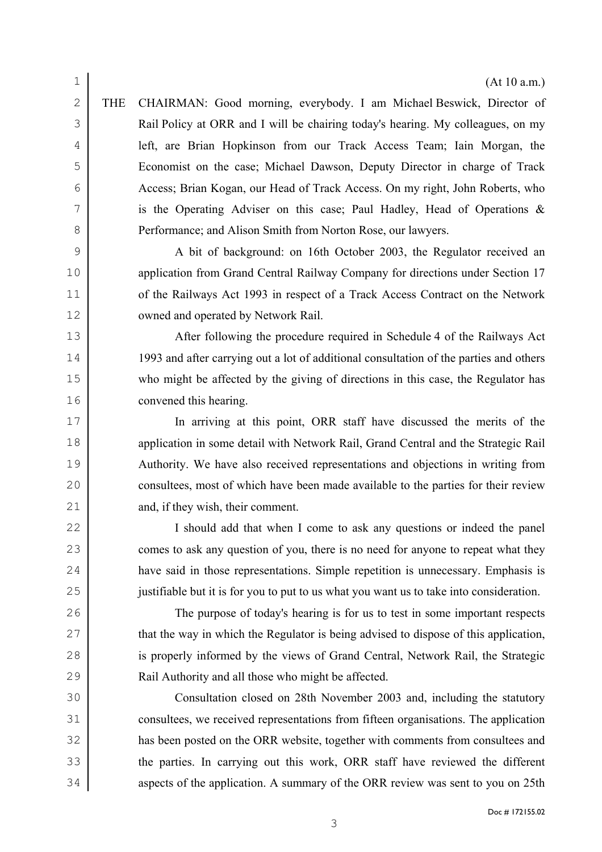THE CHAIRMAN: Good morning, everybody. I am Michael Beswick, Director of Rail Policy at ORR and I will be chairing today's hearing. My colleagues, on my left, are Brian Hopkinson from our Track Access Team; Iain Morgan, the Economist on the case; Michael Dawson, Deputy Director in charge of Track Access; Brian Kogan, our Head of Track Access. On my right, John Roberts, who is the Operating Adviser on this case; Paul Hadley, Head of Operations & **Performance**; and Alison Smith from Norton Rose, our lawyers.

A bit of background: on 16th October 2003, the Regulator received an application from Grand Central Railway Company for directions under Section 17 11 of the Railways Act 1993 in respect of a Track Access Contract on the Network owned and operated by Network Rail.

13 After following the procedure required in Schedule 4 of the Railways Act 1993 and after carrying out a lot of additional consultation of the parties and others who might be affected by the giving of directions in this case, the Regulator has convened this hearing.

In arriving at this point, ORR staff have discussed the merits of the 18 application in some detail with Network Rail, Grand Central and the Strategic Rail Authority. We have also received representations and objections in writing from consultees, most of which have been made available to the parties for their review 21 and, if they wish, their comment.

22 I should add that when I come to ask any questions or indeed the panel 23 comes to ask any question of you, there is no need for anyone to repeat what they have said in those representations. Simple repetition is unnecessary. Emphasis is justifiable but it is for you to put to us what you want us to take into consideration.

The purpose of today's hearing is for us to test in some important respects 27 that the way in which the Regulator is being advised to dispose of this application, 28 is properly informed by the views of Grand Central, Network Rail, the Strategic Rail Authority and all those who might be affected.

Consultation closed on 28th November 2003 and, including the statutory consultees, we received representations from fifteen organisations. The application has been posted on the ORR website, together with comments from consultees and 33 the parties. In carrying out this work, ORR staff have reviewed the different 34 aspects of the application. A summary of the ORR review was sent to you on 25th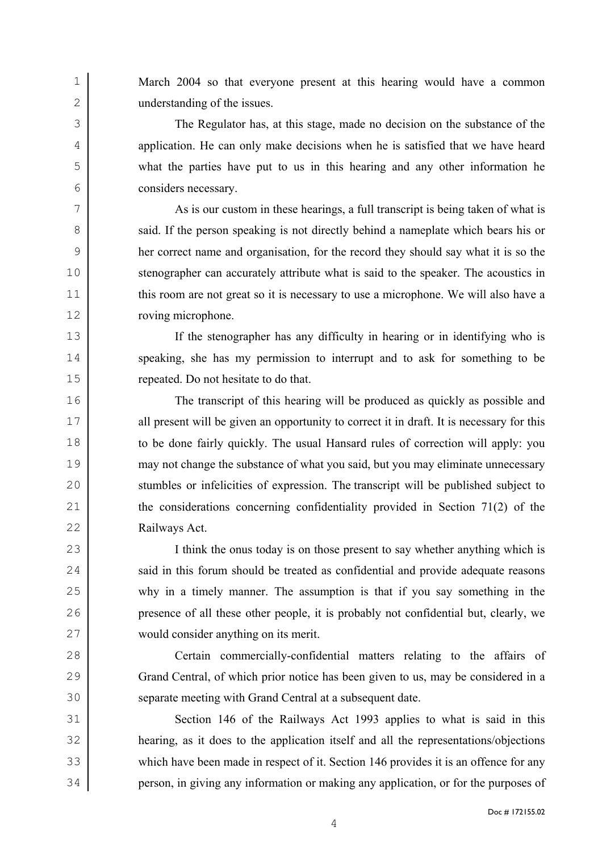March 2004 so that everyone present at this hearing would have a common understanding of the issues.

The Regulator has, at this stage, made no decision on the substance of the 4 application. He can only make decisions when he is satisfied that we have heard what the parties have put to us in this hearing and any other information he considers necessary.

As is our custom in these hearings, a full transcript is being taken of what is 8 said. If the person speaking is not directly behind a nameplate which bears his or her correct name and organisation, for the record they should say what it is so the stenographer can accurately attribute what is said to the speaker. The acoustics in 11 this room are not great so it is necessary to use a microphone. We will also have a roving microphone.

If the stenographer has any difficulty in hearing or in identifying who is 14 speaking, she has my permission to interrupt and to ask for something to be repeated. Do not hesitate to do that.

The transcript of this hearing will be produced as quickly as possible and 17 all present will be given an opportunity to correct it in draft. It is necessary for this to be done fairly quickly. The usual Hansard rules of correction will apply: you may not change the substance of what you said, but you may eliminate unnecessary stumbles or infelicities of expression. The transcript will be published subject to 21 the considerations concerning confidentiality provided in Section 71(2) of the Railways Act.

I think the onus today is on those present to say whether anything which is 24 said in this forum should be treated as confidential and provide adequate reasons why in a timely manner. The assumption is that if you say something in the presence of all these other people, it is probably not confidential but, clearly, we would consider anything on its merit.

Certain commercially-confidential matters relating to the affairs of Grand Central, of which prior notice has been given to us, may be considered in a separate meeting with Grand Central at a subsequent date.

Section 146 of the Railways Act 1993 applies to what is said in this hearing, as it does to the application itself and all the representations/objections which have been made in respect of it. Section 146 provides it is an offence for any person, in giving any information or making any application, or for the purposes of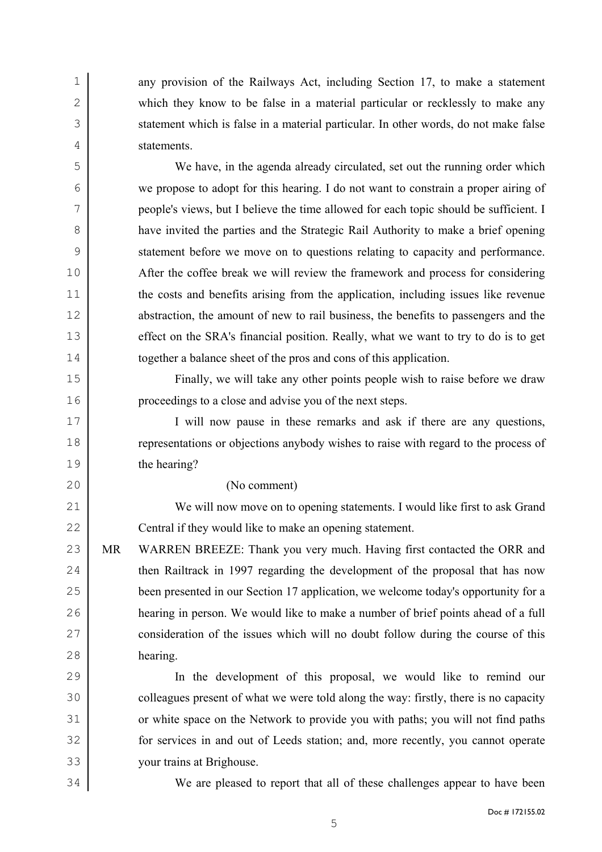any provision of the Railways Act, including Section 17, to make a statement 2 which they know to be false in a material particular or recklessly to make any 3 statement which is false in a material particular. In other words, do not make false statements.

We have, in the agenda already circulated, set out the running order which we propose to adopt for this hearing. I do not want to constrain a proper airing of people's views, but I believe the time allowed for each topic should be sufficient. I have invited the parties and the Strategic Rail Authority to make a brief opening statement before we move on to questions relating to capacity and performance. After the coffee break we will review the framework and process for considering 11 the costs and benefits arising from the application, including issues like revenue 12 abstraction, the amount of new to rail business, the benefits to passengers and the 13 effect on the SRA's financial position. Really, what we want to try to do is to get together a balance sheet of the pros and cons of this application.

Finally, we will take any other points people wish to raise before we draw proceedings to a close and advise you of the next steps.

I will now pause in these remarks and ask if there are any questions, representations or objections anybody wishes to raise with regard to the process of the hearing?

## (No comment)

We will now move on to opening statements. I would like first to ask Grand 22 Central if they would like to make an opening statement.

23 MR WARREN BREEZE: Thank you very much. Having first contacted the ORR and 24 then Railtrack in 1997 regarding the development of the proposal that has now been presented in our Section 17 application, we welcome today's opportunity for a hearing in person. We would like to make a number of brief points ahead of a full 27 consideration of the issues which will no doubt follow during the course of this hearing.

In the development of this proposal, we would like to remind our 30 colleagues present of what we were told along the way: firstly, there is no capacity or white space on the Network to provide you with paths; you will not find paths for services in and out of Leeds station; and, more recently, you cannot operate your trains at Brighouse.

We are pleased to report that all of these challenges appear to have been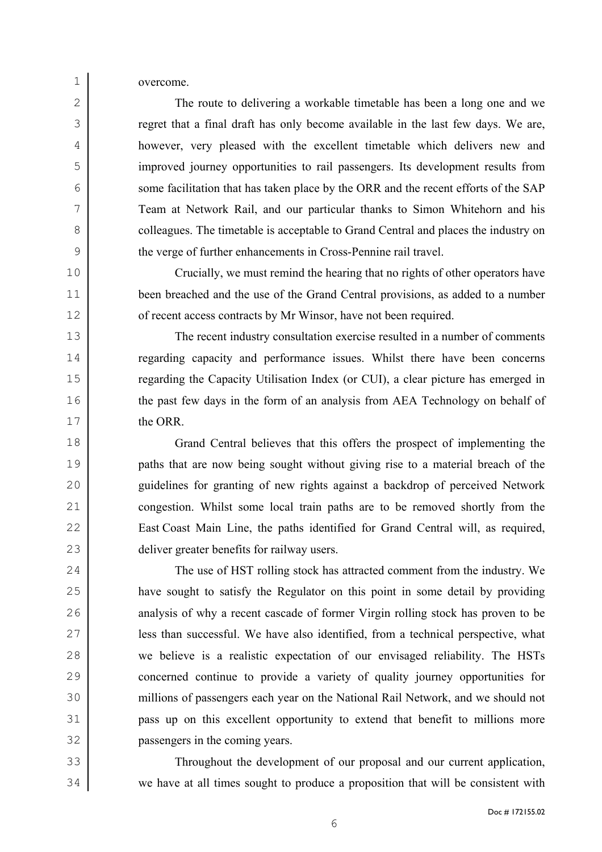overcome.

2 The route to delivering a workable timetable has been a long one and we regret that a final draft has only become available in the last few days. We are, however, very pleased with the excellent timetable which delivers new and improved journey opportunities to rail passengers. Its development results from 6 some facilitation that has taken place by the ORR and the recent efforts of the SAP Team at Network Rail, and our particular thanks to Simon Whitehorn and his 8 colleagues. The timetable is acceptable to Grand Central and places the industry on the verge of further enhancements in Cross-Pennine rail travel.

Crucially, we must remind the hearing that no rights of other operators have been breached and the use of the Grand Central provisions, as added to a number 12 of recent access contracts by Mr Winsor, have not been required.

The recent industry consultation exercise resulted in a number of comments regarding capacity and performance issues. Whilst there have been concerns regarding the Capacity Utilisation Index (or CUI), a clear picture has emerged in 16 the past few days in the form of an analysis from AEA Technology on behalf of 17 the ORR.

Grand Central believes that this offers the prospect of implementing the paths that are now being sought without giving rise to a material breach of the guidelines for granting of new rights against a backdrop of perceived Network congestion. Whilst some local train paths are to be removed shortly from the East Coast Main Line, the paths identified for Grand Central will, as required, deliver greater benefits for railway users.

24 The use of HST rolling stock has attracted comment from the industry. We have sought to satisfy the Regulator on this point in some detail by providing 26 analysis of why a recent cascade of former Virgin rolling stock has proven to be less than successful. We have also identified, from a technical perspective, what we believe is a realistic expectation of our envisaged reliability. The HSTs concerned continue to provide a variety of quality journey opportunities for millions of passengers each year on the National Rail Network, and we should not pass up on this excellent opportunity to extend that benefit to millions more passengers in the coming years.

Throughout the development of our proposal and our current application, we have at all times sought to produce a proposition that will be consistent with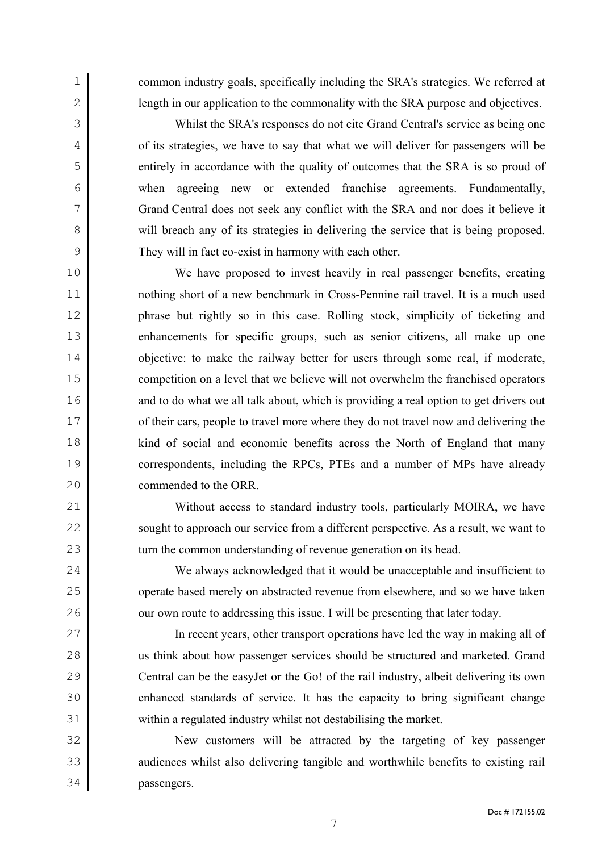common industry goals, specifically including the SRA's strategies. We referred at 2 ength in our application to the commonality with the SRA purpose and objectives.

Whilst the SRA's responses do not cite Grand Central's service as being one of its strategies, we have to say that what we will deliver for passengers will be entirely in accordance with the quality of outcomes that the SRA is so proud of when agreeing new or extended franchise agreements. Fundamentally, Grand Central does not seek any conflict with the SRA and nor does it believe it 8 will breach any of its strategies in delivering the service that is being proposed. They will in fact co-exist in harmony with each other.

We have proposed to invest heavily in real passenger benefits, creating nothing short of a new benchmark in Cross-Pennine rail travel. It is a much used phrase but rightly so in this case. Rolling stock, simplicity of ticketing and enhancements for specific groups, such as senior citizens, all make up one 14 objective: to make the railway better for users through some real, if moderate, competition on a level that we believe will not overwhelm the franchised operators 16 and to do what we all talk about, which is providing a real option to get drivers out 17 of their cars, people to travel more where they do not travel now and delivering the kind of social and economic benefits across the North of England that many correspondents, including the RPCs, PTEs and a number of MPs have already commended to the ORR.

21 Without access to standard industry tools, particularly MOIRA, we have 22 sought to approach our service from a different perspective. As a result, we want to 23 turn the common understanding of revenue generation on its head.

We always acknowledged that it would be unacceptable and insufficient to 25 operate based merely on abstracted revenue from elsewhere, and so we have taken 26 our own route to addressing this issue. I will be presenting that later today.

In recent years, other transport operations have led the way in making all of us think about how passenger services should be structured and marketed. Grand Central can be the easyJet or the Go! of the rail industry, albeit delivering its own enhanced standards of service. It has the capacity to bring significant change within a regulated industry whilst not destabilising the market.

New customers will be attracted by the targeting of key passenger 33 audiences whilst also delivering tangible and worthwhile benefits to existing rail passengers.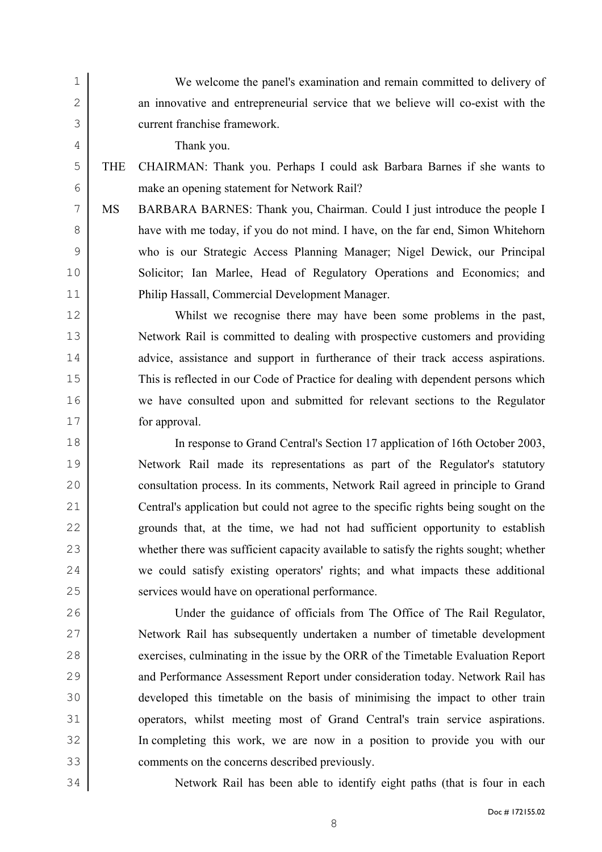We welcome the panel's examination and remain committed to delivery of 2 an innovative and entrepreneurial service that we believe will co-exist with the current franchise framework.

Thank you.

## THE CHAIRMAN: Thank you. Perhaps I could ask Barbara Barnes if she wants to make an opening statement for Network Rail?

MS BARBARA BARNES: Thank you, Chairman. Could I just introduce the people I have with me today, if you do not mind. I have, on the far end, Simon Whitehorn who is our Strategic Access Planning Manager; Nigel Dewick, our Principal Solicitor; Ian Marlee, Head of Regulatory Operations and Economics; and Philip Hassall, Commercial Development Manager.

Whilst we recognise there may have been some problems in the past, Network Rail is committed to dealing with prospective customers and providing 14 advice, assistance and support in furtherance of their track access aspirations. This is reflected in our Code of Practice for dealing with dependent persons which we have consulted upon and submitted for relevant sections to the Regulator for approval.

In response to Grand Central's Section 17 application of 16th October 2003, Network Rail made its representations as part of the Regulator's statutory consultation process. In its comments, Network Rail agreed in principle to Grand Central's application but could not agree to the specific rights being sought on the grounds that, at the time, we had not had sufficient opportunity to establish whether there was sufficient capacity available to satisfy the rights sought; whether we could satisfy existing operators' rights; and what impacts these additional services would have on operational performance.

Under the guidance of officials from The Office of The Rail Regulator, Network Rail has subsequently undertaken a number of timetable development 28 exercises, culminating in the issue by the ORR of the Timetable Evaluation Report 29 and Performance Assessment Report under consideration today. Network Rail has developed this timetable on the basis of minimising the impact to other train operators, whilst meeting most of Grand Central's train service aspirations. In completing this work, we are now in a position to provide you with our comments on the concerns described previously.

Network Rail has been able to identify eight paths (that is four in each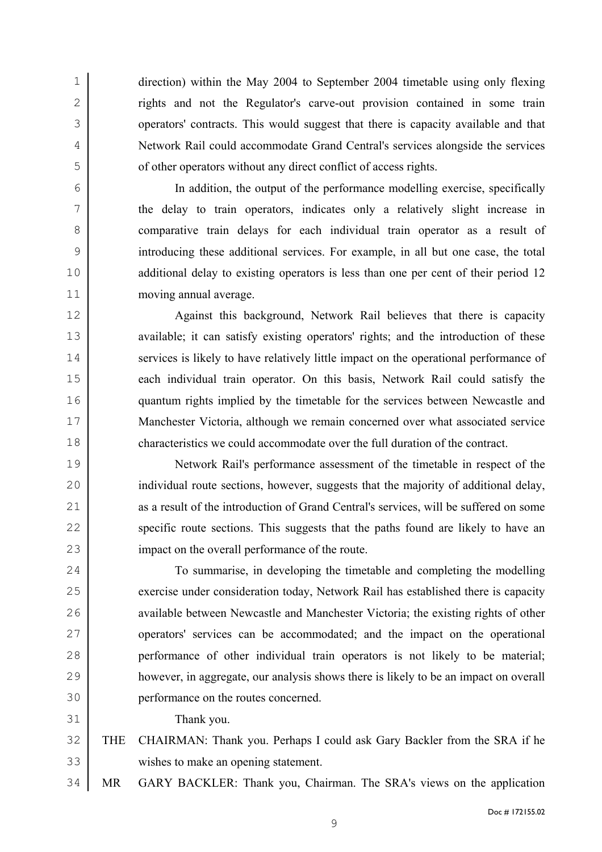direction) within the May 2004 to September 2004 timetable using only flexing 2 rights and not the Regulator's carve-out provision contained in some train operators' contracts. This would suggest that there is capacity available and that Network Rail could accommodate Grand Central's services alongside the services of other operators without any direct conflict of access rights.

In addition, the output of the performance modelling exercise, specifically the delay to train operators, indicates only a relatively slight increase in comparative train delays for each individual train operator as a result of introducing these additional services. For example, in all but one case, the total 10 additional delay to existing operators is less than one per cent of their period 12 moving annual average.

12 Against this background, Network Rail believes that there is capacity 13 available; it can satisfy existing operators' rights; and the introduction of these 14 services is likely to have relatively little impact on the operational performance of 15 each individual train operator. On this basis, Network Rail could satisfy the quantum rights implied by the timetable for the services between Newcastle and Manchester Victoria, although we remain concerned over what associated service characteristics we could accommodate over the full duration of the contract.

Network Rail's performance assessment of the timetable in respect of the 20 individual route sections, however, suggests that the majority of additional delay, 21 as a result of the introduction of Grand Central's services, will be suffered on some 22 specific route sections. This suggests that the paths found are likely to have an 23 impact on the overall performance of the route.

To summarise, in developing the timetable and completing the modelling 25 exercise under consideration today, Network Rail has established there is capacity 26 available between Newcastle and Manchester Victoria; the existing rights of other operators' services can be accommodated; and the impact on the operational performance of other individual train operators is not likely to be material; however, in aggregate, our analysis shows there is likely to be an impact on overall performance on the routes concerned.

Thank you.

THE CHAIRMAN: Thank you. Perhaps I could ask Gary Backler from the SRA if he wishes to make an opening statement.

MR GARY BACKLER: Thank you, Chairman. The SRA's views on the application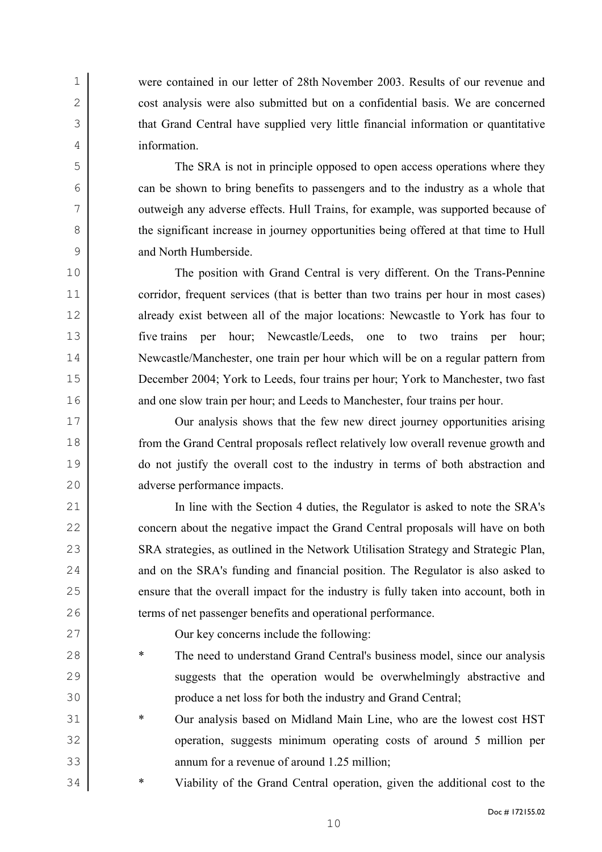were contained in our letter of 28th November 2003. Results of our revenue and 2 cost analysis were also submitted but on a confidential basis. We are concerned that Grand Central have supplied very little financial information or quantitative information.

The SRA is not in principle opposed to open access operations where they can be shown to bring benefits to passengers and to the industry as a whole that outweigh any adverse effects. Hull Trains, for example, was supported because of 8 the significant increase in journey opportunities being offered at that time to Hull and North Humberside.

The position with Grand Central is very different. On the Trans-Pennine 11 corridor, frequent services (that is better than two trains per hour in most cases) 12 already exist between all of the major locations: Newcastle to York has four to five trains per hour; Newcastle/Leeds, one to two trains per hour; Newcastle/Manchester, one train per hour which will be on a regular pattern from December 2004; York to Leeds, four trains per hour; York to Manchester, two fast 16 and one slow train per hour; and Leeds to Manchester, four trains per hour.

Our analysis shows that the few new direct journey opportunities arising from the Grand Central proposals reflect relatively low overall revenue growth and do not justify the overall cost to the industry in terms of both abstraction and adverse performance impacts.

In line with the Section 4 duties, the Regulator is asked to note the SRA's 22 concern about the negative impact the Grand Central proposals will have on both 23 SRA strategies, as outlined in the Network Utilisation Strategy and Strategic Plan, 24 and on the SRA's funding and financial position. The Regulator is also asked to 25 ensure that the overall impact for the industry is fully taken into account, both in 26 terms of net passenger benefits and operational performance.

Our key concerns include the following:

- \* The need to understand Grand Central's business model, since our analysis 29 suggests that the operation would be overwhelmingly abstractive and produce a net loss for both the industry and Grand Central;
- \* Our analysis based on Midland Main Line, who are the lowest cost HST operation, suggests minimum operating costs of around 5 million per annum for a revenue of around 1.25 million;
- \* Viability of the Grand Central operation, given the additional cost to the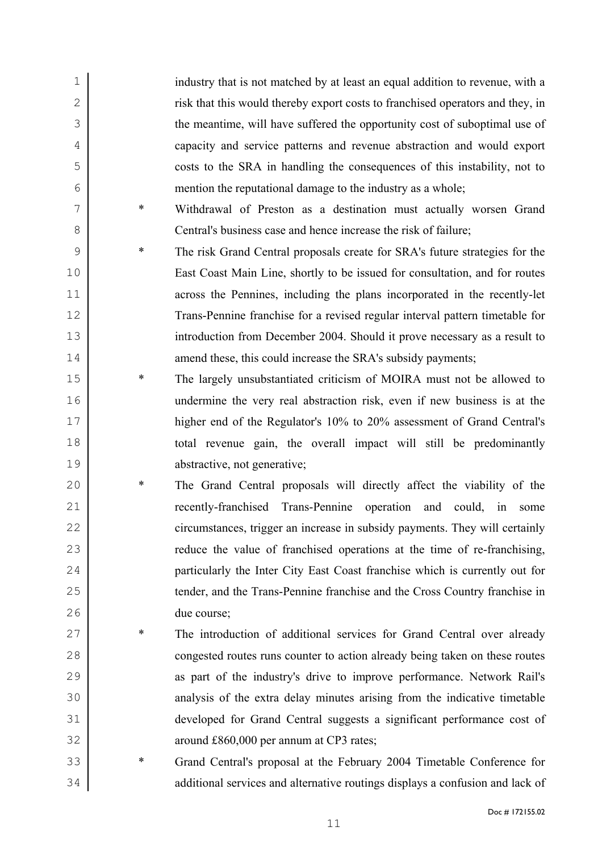industry that is not matched by at least an equal addition to revenue, with a risk that this would thereby export costs to franchised operators and they, in the meantime, will have suffered the opportunity cost of suboptimal use of capacity and service patterns and revenue abstraction and would export costs to the SRA in handling the consequences of this instability, not to mention the reputational damage to the industry as a whole; \* Withdrawal of Preston as a destination must actually worsen Grand Central's business case and hence increase the risk of failure; \* The risk Grand Central proposals create for SRA's future strategies for the East Coast Main Line, shortly to be issued for consultation, and for routes across the Pennines, including the plans incorporated in the recently-let Trans-Pennine franchise for a revised regular interval pattern timetable for introduction from December 2004. Should it prove necessary as a result to 14 amend these, this could increase the SRA's subsidy payments; **\*** The largely unsubstantiated criticism of MOIRA must not be allowed to undermine the very real abstraction risk, even if new business is at the higher end of the Regulator's 10% to 20% assessment of Grand Central's total revenue gain, the overall impact will still be predominantly abstractive, not generative; \* The Grand Central proposals will directly affect the viability of the 21 recently-franchised Trans-Pennine operation and could, in some 22 circumstances, trigger an increase in subsidy payments. They will certainly **reduce** the value of franchised operations at the time of re-franchising, particularly the Inter City East Coast franchise which is currently out for tender, and the Trans-Pennine franchise and the Cross Country franchise in due course; \* The introduction of additional services for Grand Central over already congested routes runs counter to action already being taken on these routes 29 as part of the industry's drive to improve performance. Network Rail's analysis of the extra delay minutes arising from the indicative timetable developed for Grand Central suggests a significant performance cost of around £860,000 per annum at CP3 rates; \* Grand Central's proposal at the February 2004 Timetable Conference for additional services and alternative routings displays a confusion and lack of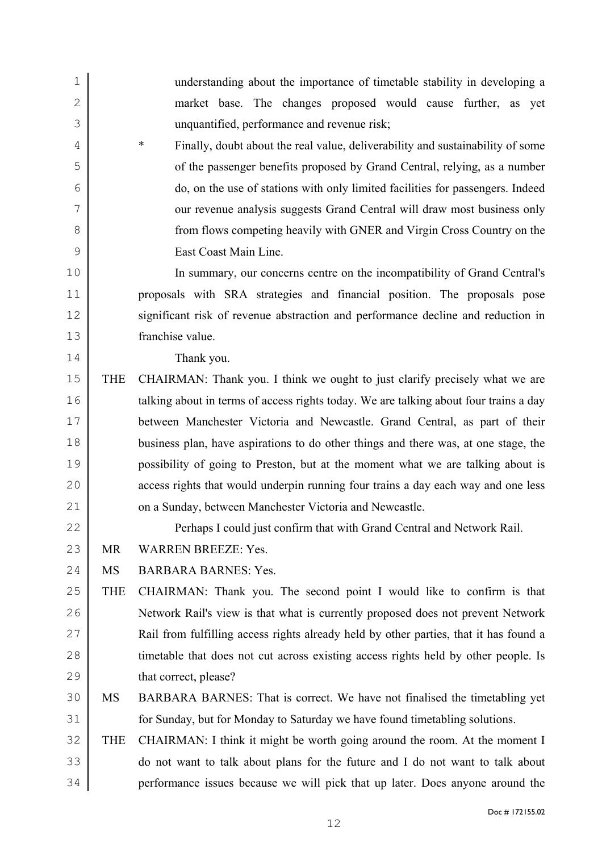| $\mathbf 1$   |            | understanding about the importance of timetable stability in developing a                |
|---------------|------------|------------------------------------------------------------------------------------------|
| $\mathbf{2}$  |            | market base. The changes proposed would cause further, as yet                            |
| 3             |            | unquantified, performance and revenue risk;                                              |
| 4             |            | $\ast$<br>Finally, doubt about the real value, deliverability and sustainability of some |
| 5             |            | of the passenger benefits proposed by Grand Central, relying, as a number                |
| 6             |            | do, on the use of stations with only limited facilities for passengers. Indeed           |
| 7             |            | our revenue analysis suggests Grand Central will draw most business only                 |
| 8             |            | from flows competing heavily with GNER and Virgin Cross Country on the                   |
| $\mathcal{G}$ |            | East Coast Main Line.                                                                    |
| 10            |            | In summary, our concerns centre on the incompatibility of Grand Central's                |
| 11            |            | proposals with SRA strategies and financial position. The proposals pose                 |
| 12            |            | significant risk of revenue abstraction and performance decline and reduction in         |
| 13            |            | franchise value.                                                                         |
| 14            |            | Thank you.                                                                               |
| 15            | <b>THE</b> | CHAIRMAN: Thank you. I think we ought to just clarify precisely what we are              |
| 16            |            | talking about in terms of access rights today. We are talking about four trains a day    |
| 17            |            | between Manchester Victoria and Newcastle. Grand Central, as part of their               |
| 18            |            | business plan, have aspirations to do other things and there was, at one stage, the      |
| 19            |            | possibility of going to Preston, but at the moment what we are talking about is          |
| 20            |            | access rights that would underpin running four trains a day each way and one less        |
| 21            |            | on a Sunday, between Manchester Victoria and Newcastle.                                  |
| 22            |            | Perhaps I could just confirm that with Grand Central and Network Rail.                   |
| 23            | <b>MR</b>  | <b>WARREN BREEZE: Yes.</b>                                                               |
| 24            | <b>MS</b>  | <b>BARBARA BARNES: Yes.</b>                                                              |
| 25            | <b>THE</b> | CHAIRMAN: Thank you. The second point I would like to confirm is that                    |
| 26            |            | Network Rail's view is that what is currently proposed does not prevent Network          |
| 27            |            | Rail from fulfilling access rights already held by other parties, that it has found a    |
| 28            |            | timetable that does not cut across existing access rights held by other people. Is       |
| 29            |            | that correct, please?                                                                    |
| 30            | <b>MS</b>  | BARBARA BARNES: That is correct. We have not finalised the timetabling yet               |
| 31            |            | for Sunday, but for Monday to Saturday we have found timetabling solutions.              |
| 32            | <b>THE</b> | CHAIRMAN: I think it might be worth going around the room. At the moment I               |
| 33            |            | do not want to talk about plans for the future and I do not want to talk about           |
| 34            |            | performance issues because we will pick that up later. Does anyone around the            |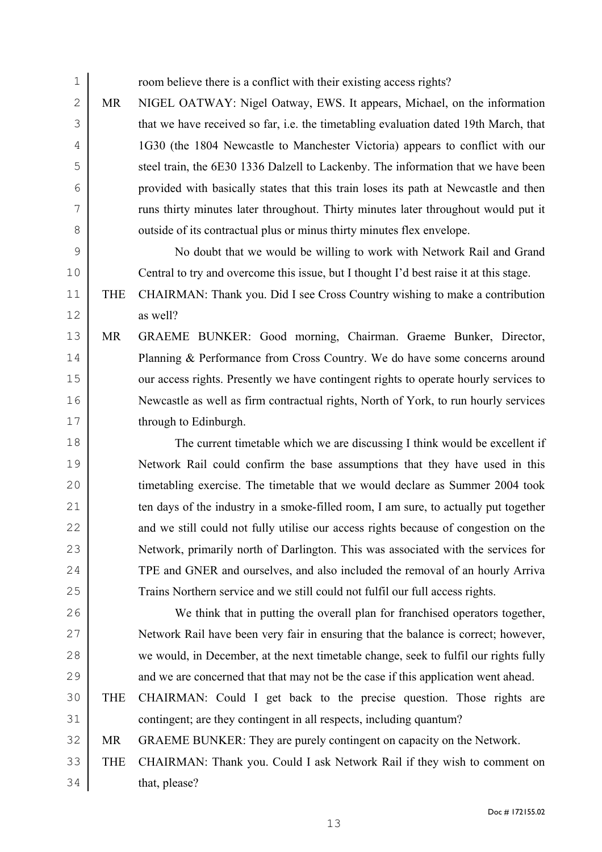1 room believe there is a conflict with their existing access rights? 2 MR NIGEL OATWAY: Nigel Oatway, EWS. It appears, Michael, on the information 3 that we have received so far, i.e. the timetabling evaluation dated 19th March, that 4 1G30 (the 1804 Newcastle to Manchester Victoria) appears to conflict with our 5 steel train, the 6E30 1336 Dalzell to Lackenby. The information that we have been

6 provided with basically states that this train loses its path at Newcastle and then 7 runs thirty minutes later throughout. Thirty minutes later throughout would put it 8 outside of its contractual plus or minus thirty minutes flex envelope.

9 No doubt that we would be willing to work with Network Rail and Grand 10 Central to try and overcome this issue, but I thought I'd best raise it at this stage.

11 THE CHAIRMAN: Thank you. Did I see Cross Country wishing to make a contribution 12 as well?

13 MR GRAEME BUNKER: Good morning, Chairman. Graeme Bunker, Director, 14 Planning & Performance from Cross Country. We do have some concerns around 15 our access rights. Presently we have contingent rights to operate hourly services to 16 Newcastle as well as firm contractual rights, North of York, to run hourly services 17 through to Edinburgh.

18 The current timetable which we are discussing I think would be excellent if 19 Network Rail could confirm the base assumptions that they have used in this 20 timetabling exercise. The timetable that we would declare as Summer 2004 took 21 ten days of the industry in a smoke-filled room, I am sure, to actually put together 22 and we still could not fully utilise our access rights because of congestion on the 23 Network, primarily north of Darlington. This was associated with the services for 24 TPE and GNER and ourselves, and also included the removal of an hourly Arriva 25 Trains Northern service and we still could not fulfil our full access rights.

26 We think that in putting the overall plan for franchised operators together, 27 Network Rail have been very fair in ensuring that the balance is correct; however, 28 we would, in December, at the next timetable change, seek to fulfil our rights fully 29 and we are concerned that that may not be the case if this application went ahead.

30 THE CHAIRMAN: Could I get back to the precise question. Those rights are 31 contingent; are they contingent in all respects, including quantum?

32 MR GRAEME BUNKER: They are purely contingent on capacity on the Network.

33 THE CHAIRMAN: Thank you. Could I ask Network Rail if they wish to comment on 34 that, please?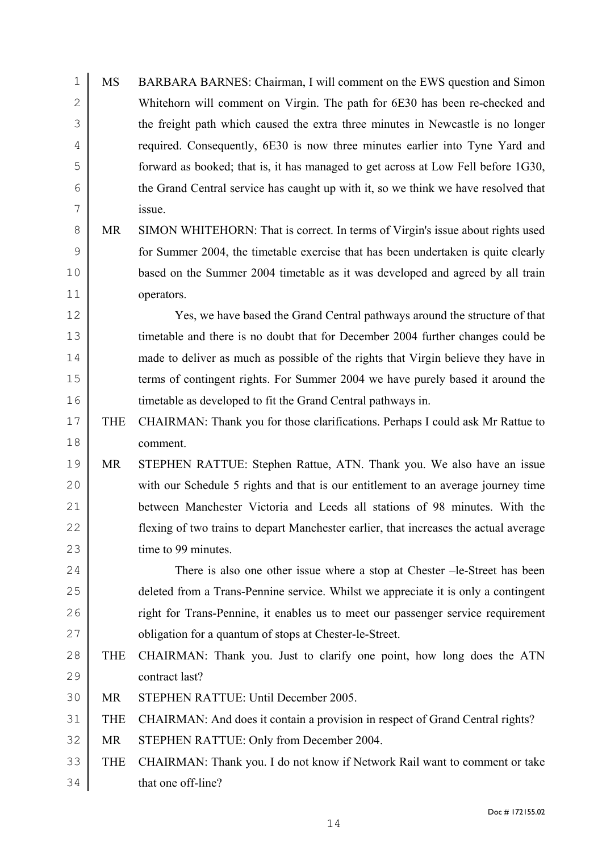| $\mathbf 1$    | MS         | BARBARA BARNES: Chairman, I will comment on the EWS question and Simon                |
|----------------|------------|---------------------------------------------------------------------------------------|
| $\mathbf{2}$   |            | Whitehorn will comment on Virgin. The path for 6E30 has been re-checked and           |
| $\mathcal{S}$  |            | the freight path which caused the extra three minutes in Newcastle is no longer       |
| $\overline{4}$ |            | required. Consequently, 6E30 is now three minutes earlier into Tyne Yard and          |
| 5              |            | forward as booked; that is, it has managed to get across at Low Fell before 1G30,     |
| 6              |            | the Grand Central service has caught up with it, so we think we have resolved that    |
| 7              |            | issue.                                                                                |
| 8              | <b>MR</b>  | SIMON WHITEHORN: That is correct. In terms of Virgin's issue about rights used        |
| $\mathsf 9$    |            | for Summer 2004, the timetable exercise that has been undertaken is quite clearly     |
| 10             |            | based on the Summer 2004 timetable as it was developed and agreed by all train        |
| 11             |            | operators.                                                                            |
| 12             |            | Yes, we have based the Grand Central pathways around the structure of that            |
| 13             |            | timetable and there is no doubt that for December 2004 further changes could be       |
| 14             |            | made to deliver as much as possible of the rights that Virgin believe they have in    |
| 15             |            | terms of contingent rights. For Summer 2004 we have purely based it around the        |
| 16             |            | timetable as developed to fit the Grand Central pathways in.                          |
| 17             | <b>THE</b> | CHAIRMAN: Thank you for those clarifications. Perhaps I could ask Mr Rattue to        |
| 18             |            | comment.                                                                              |
| 19             | MR         | STEPHEN RATTUE: Stephen Rattue, ATN. Thank you. We also have an issue                 |
| 20             |            | with our Schedule 5 rights and that is our entitlement to an average journey time     |
| 21             |            | between Manchester Victoria and Leeds all stations of 98 minutes. With the            |
| 22             |            | flexing of two trains to depart Manchester earlier, that increases the actual average |
| 23             |            | time to 99 minutes.                                                                   |
| 24             |            | There is also one other issue where a stop at Chester -le-Street has been             |
| 25             |            | deleted from a Trans-Pennine service. Whilst we appreciate it is only a contingent    |
| 26             |            | right for Trans-Pennine, it enables us to meet our passenger service requirement      |
| 27             |            | obligation for a quantum of stops at Chester-le-Street.                               |
| 28             | <b>THE</b> | CHAIRMAN: Thank you. Just to clarify one point, how long does the ATN                 |
| 29             |            | contract last?                                                                        |
| 30             | <b>MR</b>  | STEPHEN RATTUE: Until December 2005.                                                  |
| 31             | <b>THE</b> | CHAIRMAN: And does it contain a provision in respect of Grand Central rights?         |
| 32             | <b>MR</b>  | STEPHEN RATTUE: Only from December 2004.                                              |
| 33             | <b>THE</b> | CHAIRMAN: Thank you. I do not know if Network Rail want to comment or take            |
| 34             |            | that one off-line?                                                                    |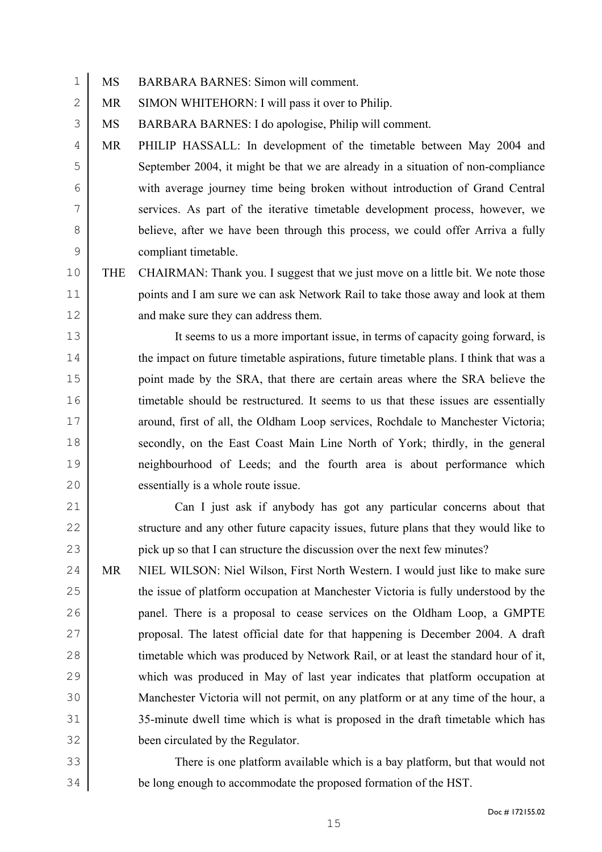MS BARBARA BARNES: Simon will comment.

2 MR SIMON WHITEHORN: I will pass it over to Philip.

MS BARBARA BARNES: I do apologise, Philip will comment.

MR PHILIP HASSALL: In development of the timetable between May 2004 and September 2004, it might be that we are already in a situation of non-compliance with average journey time being broken without introduction of Grand Central services. As part of the iterative timetable development process, however, we 8 believe, after we have been through this process, we could offer Arriva a fully compliant timetable.

THE CHAIRMAN: Thank you. I suggest that we just move on a little bit. We note those points and I am sure we can ask Network Rail to take those away and look at them 12 and make sure they can address them.

It seems to us a more important issue, in terms of capacity going forward, is 14 the impact on future timetable aspirations, future timetable plans. I think that was a point made by the SRA, that there are certain areas where the SRA believe the 16 timetable should be restructured. It seems to us that these issues are essentially around, first of all, the Oldham Loop services, Rochdale to Manchester Victoria; secondly, on the East Coast Main Line North of York; thirdly, in the general neighbourhood of Leeds; and the fourth area is about performance which essentially is a whole route issue.

Can I just ask if anybody has got any particular concerns about that 22 structure and any other future capacity issues, future plans that they would like to 23 pick up so that I can structure the discussion over the next few minutes?

24 MR NIEL WILSON: Niel Wilson, First North Western. I would just like to make sure 25 the issue of platform occupation at Manchester Victoria is fully understood by the 26 panel. There is a proposal to cease services on the Oldham Loop, a GMPTE proposal. The latest official date for that happening is December 2004. A draft 28 timetable which was produced by Network Rail, or at least the standard hour of it, which was produced in May of last year indicates that platform occupation at Manchester Victoria will not permit, on any platform or at any time of the hour, a 35-minute dwell time which is what is proposed in the draft timetable which has been circulated by the Regulator.

There is one platform available which is a bay platform, but that would not be long enough to accommodate the proposed formation of the HST.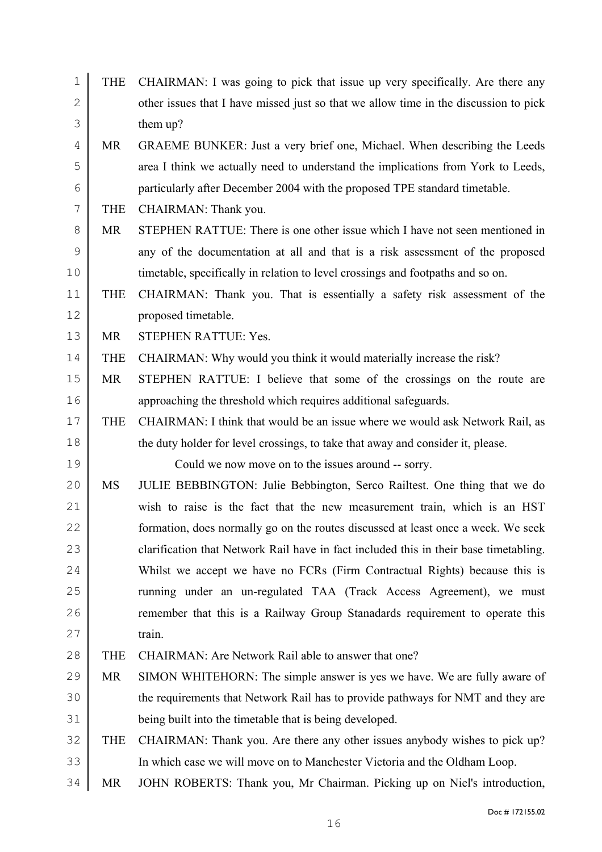| $\mathbf 1$  | <b>THE</b> | CHAIRMAN: I was going to pick that issue up very specifically. Are there any          |
|--------------|------------|---------------------------------------------------------------------------------------|
| $\mathbf{2}$ |            | other issues that I have missed just so that we allow time in the discussion to pick  |
| 3            |            | them up?                                                                              |
| 4            | MR         | GRAEME BUNKER: Just a very brief one, Michael. When describing the Leeds              |
| 5            |            | area I think we actually need to understand the implications from York to Leeds,      |
| 6            |            | particularly after December 2004 with the proposed TPE standard timetable.            |
| 7            | <b>THE</b> | CHAIRMAN: Thank you.                                                                  |
| 8            | MR         | STEPHEN RATTUE: There is one other issue which I have not seen mentioned in           |
| 9            |            | any of the documentation at all and that is a risk assessment of the proposed         |
| 10           |            | timetable, specifically in relation to level crossings and footpaths and so on.       |
| 11           | <b>THE</b> | CHAIRMAN: Thank you. That is essentially a safety risk assessment of the              |
| 12           |            | proposed timetable.                                                                   |
| 13           | <b>MR</b>  | STEPHEN RATTUE: Yes.                                                                  |
| 14           | <b>THE</b> | CHAIRMAN: Why would you think it would materially increase the risk?                  |
| 15           | <b>MR</b>  | STEPHEN RATTUE: I believe that some of the crossings on the route are                 |
| 16           |            | approaching the threshold which requires additional safeguards.                       |
| 17           | <b>THE</b> | CHAIRMAN: I think that would be an issue where we would ask Network Rail, as          |
| 18           |            | the duty holder for level crossings, to take that away and consider it, please.       |
| 19           |            | Could we now move on to the issues around -- sorry.                                   |
| 20           | MS         | JULIE BEBBINGTON: Julie Bebbington, Serco Railtest. One thing that we do              |
| 21           |            | wish to raise is the fact that the new measurement train, which is an HST             |
| 22           |            | formation, does normally go on the routes discussed at least once a week. We seek     |
| 23           |            | clarification that Network Rail have in fact included this in their base timetabling. |
| 24           |            | Whilst we accept we have no FCRs (Firm Contractual Rights) because this is            |
| 25           |            | running under an un-regulated TAA (Track Access Agreement), we must                   |
| 26           |            | remember that this is a Railway Group Stanadards requirement to operate this          |
| 27           |            | train.                                                                                |
| 28           | <b>THE</b> | CHAIRMAN: Are Network Rail able to answer that one?                                   |
| 29           | <b>MR</b>  | SIMON WHITEHORN: The simple answer is yes we have. We are fully aware of              |
| 30           |            | the requirements that Network Rail has to provide pathways for NMT and they are       |
| 31           |            | being built into the timetable that is being developed.                               |
| 32           | <b>THE</b> | CHAIRMAN: Thank you. Are there any other issues anybody wishes to pick up?            |
| 33           |            | In which case we will move on to Manchester Victoria and the Oldham Loop.             |
|              |            |                                                                                       |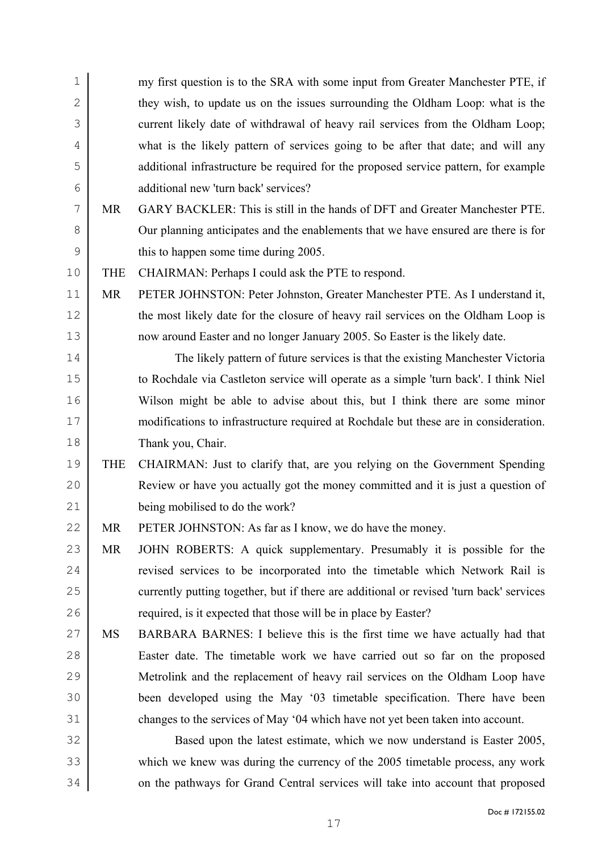| $\mathbf 1$    |            | my first question is to the SRA with some input from Greater Manchester PTE, if         |
|----------------|------------|-----------------------------------------------------------------------------------------|
| $\overline{2}$ |            | they wish, to update us on the issues surrounding the Oldham Loop: what is the          |
| 3              |            | current likely date of withdrawal of heavy rail services from the Oldham Loop;          |
| 4              |            | what is the likely pattern of services going to be after that date; and will any        |
| 5              |            | additional infrastructure be required for the proposed service pattern, for example     |
| 6              |            | additional new 'turn back' services?                                                    |
| 7              | <b>MR</b>  | GARY BACKLER: This is still in the hands of DFT and Greater Manchester PTE.             |
| 8              |            | Our planning anticipates and the enablements that we have ensured are there is for      |
| $\mathsf 9$    |            | this to happen some time during 2005.                                                   |
| 10             | <b>THE</b> | CHAIRMAN: Perhaps I could ask the PTE to respond.                                       |
| 11             | <b>MR</b>  | PETER JOHNSTON: Peter Johnston, Greater Manchester PTE. As I understand it,             |
| 12             |            | the most likely date for the closure of heavy rail services on the Oldham Loop is       |
| 13             |            | now around Easter and no longer January 2005. So Easter is the likely date.             |
| 14             |            | The likely pattern of future services is that the existing Manchester Victoria          |
| 15             |            | to Rochdale via Castleton service will operate as a simple 'turn back'. I think Niel    |
| 16             |            | Wilson might be able to advise about this, but I think there are some minor             |
| $17$           |            | modifications to infrastructure required at Rochdale but these are in consideration.    |
| 18             |            | Thank you, Chair.                                                                       |
| 19             | <b>THE</b> | CHAIRMAN: Just to clarify that, are you relying on the Government Spending              |
| 20             |            | Review or have you actually got the money committed and it is just a question of        |
| 21             |            | being mobilised to do the work?                                                         |
| 22             | <b>MR</b>  | PETER JOHNSTON: As far as I know, we do have the money.                                 |
| 23             | <b>MR</b>  | JOHN ROBERTS: A quick supplementary. Presumably it is possible for the                  |
| 24             |            | revised services to be incorporated into the timetable which Network Rail is            |
| 25             |            | currently putting together, but if there are additional or revised 'turn back' services |
| 26             |            | required, is it expected that those will be in place by Easter?                         |
| 27             | <b>MS</b>  | BARBARA BARNES: I believe this is the first time we have actually had that              |
| 28             |            | Easter date. The timetable work we have carried out so far on the proposed              |
| 29             |            | Metrolink and the replacement of heavy rail services on the Oldham Loop have            |
| 30             |            | been developed using the May '03 timetable specification. There have been               |
| 31             |            | changes to the services of May '04 which have not yet been taken into account.          |
| 32             |            | Based upon the latest estimate, which we now understand is Easter 2005,                 |
| 33             |            | which we knew was during the currency of the 2005 timetable process, any work           |
| 34             |            | on the pathways for Grand Central services will take into account that proposed         |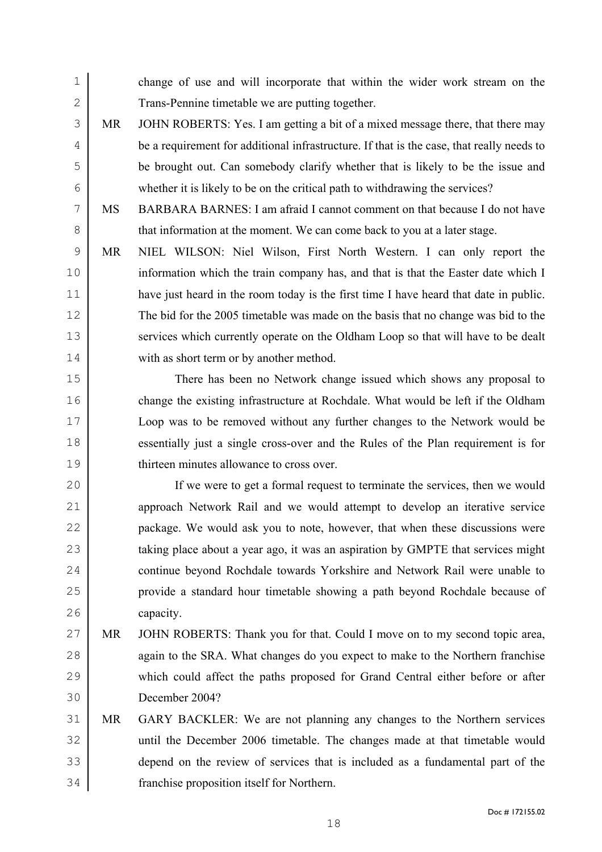change of use and will incorporate that within the wider work stream on the 2 Trans-Pennine timetable we are putting together.

MR JOHN ROBERTS: Yes. I am getting a bit of a mixed message there, that there may be a requirement for additional infrastructure. If that is the case, that really needs to be brought out. Can somebody clarify whether that is likely to be the issue and whether it is likely to be on the critical path to withdrawing the services?

MS BARBARA BARNES: I am afraid I cannot comment on that because I do not have 8 that information at the moment. We can come back to you at a later stage.

MR NIEL WILSON: Niel Wilson, First North Western. I can only report the information which the train company has, and that is that the Easter date which I have just heard in the room today is the first time I have heard that date in public. The bid for the 2005 timetable was made on the basis that no change was bid to the 13 services which currently operate on the Oldham Loop so that will have to be dealt 14 with as short term or by another method.

There has been no Network change issued which shows any proposal to change the existing infrastructure at Rochdale. What would be left if the Oldham Loop was to be removed without any further changes to the Network would be essentially just a single cross-over and the Rules of the Plan requirement is for thirteen minutes allowance to cross over.

If we were to get a formal request to terminate the services, then we would approach Network Rail and we would attempt to develop an iterative service package. We would ask you to note, however, that when these discussions were 23 taking place about a year ago, it was an aspiration by GMPTE that services might **continue beyond Rochdale towards Yorkshire and Network Rail were unable to** provide a standard hour timetable showing a path beyond Rochdale because of capacity.

- MR JOHN ROBERTS: Thank you for that. Could I move on to my second topic area, 28 again to the SRA. What changes do you expect to make to the Northern franchise which could affect the paths proposed for Grand Central either before or after December 2004?
- MR GARY BACKLER: We are not planning any changes to the Northern services until the December 2006 timetable. The changes made at that timetable would depend on the review of services that is included as a fundamental part of the franchise proposition itself for Northern.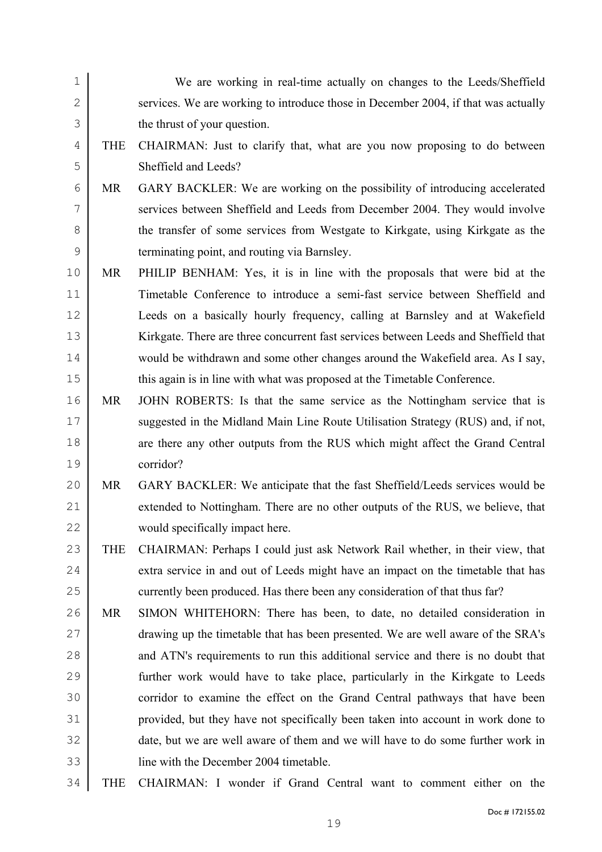| $\mathbf 1$  |            | We are working in real-time actually on changes to the Leeds/Sheffield              |
|--------------|------------|-------------------------------------------------------------------------------------|
| $\mathbf{2}$ |            | services. We are working to introduce those in December 2004, if that was actually  |
| 3            |            | the thrust of your question.                                                        |
| 4            | <b>THE</b> | CHAIRMAN: Just to clarify that, what are you now proposing to do between            |
| 5            |            | Sheffield and Leeds?                                                                |
| 6            | <b>MR</b>  | GARY BACKLER: We are working on the possibility of introducing accelerated          |
| 7            |            | services between Sheffield and Leeds from December 2004. They would involve         |
| 8            |            | the transfer of some services from Westgate to Kirkgate, using Kirkgate as the      |
| $\mathsf 9$  |            | terminating point, and routing via Barnsley.                                        |
| 10           | <b>MR</b>  | PHILIP BENHAM: Yes, it is in line with the proposals that were bid at the           |
| 11           |            | Timetable Conference to introduce a semi-fast service between Sheffield and         |
| 12           |            | Leeds on a basically hourly frequency, calling at Barnsley and at Wakefield         |
| 13           |            | Kirkgate. There are three concurrent fast services between Leeds and Sheffield that |
| 14           |            | would be withdrawn and some other changes around the Wakefield area. As I say,      |
| 15           |            | this again is in line with what was proposed at the Timetable Conference.           |
| 16           | MR         | JOHN ROBERTS: Is that the same service as the Nottingham service that is            |
| 17           |            | suggested in the Midland Main Line Route Utilisation Strategy (RUS) and, if not,    |
| 18           |            | are there any other outputs from the RUS which might affect the Grand Central       |
| 19           |            | corridor?                                                                           |
| 20           | MR         | GARY BACKLER: We anticipate that the fast Sheffield/Leeds services would be         |
| 21           |            | extended to Nottingham. There are no other outputs of the RUS, we believe, that     |
| 22           |            | would specifically impact here                                                      |
| 23           | <b>THE</b> | CHAIRMAN: Perhaps I could just ask Network Rail whether, in their view, that        |
| 24           |            | extra service in and out of Leeds might have an impact on the timetable that has    |
| 25           |            | currently been produced. Has there been any consideration of that thus far?         |
| 26           | MR         | SIMON WHITEHORN: There has been, to date, no detailed consideration in              |
| 27           |            | drawing up the timetable that has been presented. We are well aware of the SRA's    |
| 28           |            | and ATN's requirements to run this additional service and there is no doubt that    |
| 29           |            | further work would have to take place, particularly in the Kirkgate to Leeds        |
| 30           |            | corridor to examine the effect on the Grand Central pathways that have been         |
| 31           |            | provided, but they have not specifically been taken into account in work done to    |
| 32           |            | date, but we are well aware of them and we will have to do some further work in     |
| 33           |            | line with the December 2004 timetable.                                              |
| 34           | <b>THE</b> | CHAIRMAN: I wonder if Grand Central want to comment either on the                   |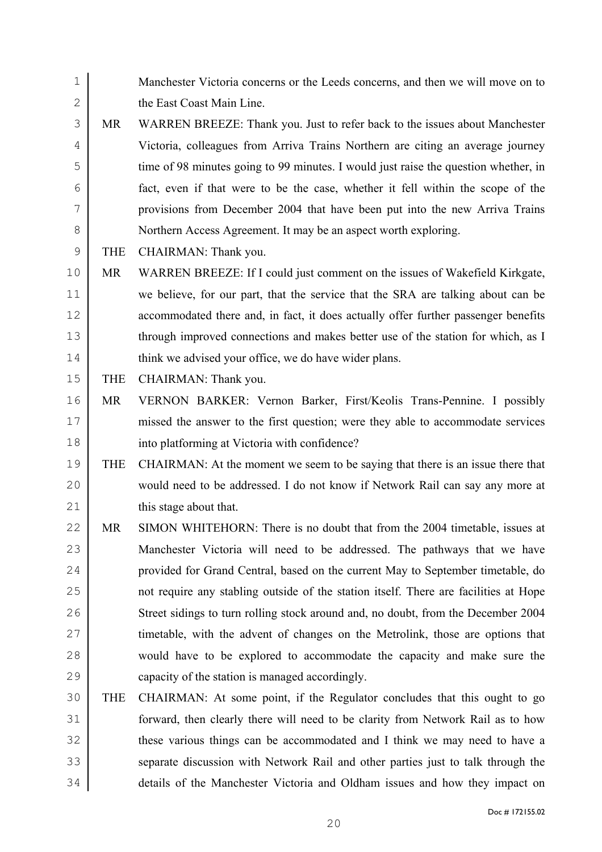Doc # 172155.02 2 the East Coast Main Line. MR WARREN BREEZE: Thank you. Just to refer back to the issues about Manchester Victoria, colleagues from Arriva Trains Northern are citing an average journey time of 98 minutes going to 99 minutes. I would just raise the question whether, in fact, even if that were to be the case, whether it fell within the scope of the provisions from December 2004 that have been put into the new Arriva Trains Northern Access Agreement. It may be an aspect worth exploring. 9 THE CHAIRMAN: Thank you. MR WARREN BREEZE: If I could just comment on the issues of Wakefield Kirkgate, we believe, for our part, that the service that the SRA are talking about can be accommodated there and, in fact, it does actually offer further passenger benefits 13 through improved connections and makes better use of the station for which, as I 14 think we advised your office, we do have wider plans. 15 THE CHAIRMAN: Thank you. MR VERNON BARKER: Vernon Barker, First/Keolis Trans-Pennine. I possibly missed the answer to the first question; were they able to accommodate services into platforming at Victoria with confidence? THE CHAIRMAN: At the moment we seem to be saying that there is an issue there that would need to be addressed. I do not know if Network Rail can say any more at 21 this stage about that. 22 MR SIMON WHITEHORN: There is no doubt that from the 2004 timetable, issues at Manchester Victoria will need to be addressed. The pathways that we have **provided for Grand Central, based on the current May to September timetable, do** not require any stabling outside of the station itself. There are facilities at Hope Street sidings to turn rolling stock around and, no doubt, from the December 2004 27 imetable, with the advent of changes on the Metrolink, those are options that would have to be explored to accommodate the capacity and make sure the capacity of the station is managed accordingly. THE CHAIRMAN: At some point, if the Regulator concludes that this ought to go forward, then clearly there will need to be clarity from Network Rail as to how these various things can be accommodated and I think we may need to have a 33 separate discussion with Network Rail and other parties just to talk through the details of the Manchester Victoria and Oldham issues and how they impact on

Manchester Victoria concerns or the Leeds concerns, and then we will move on to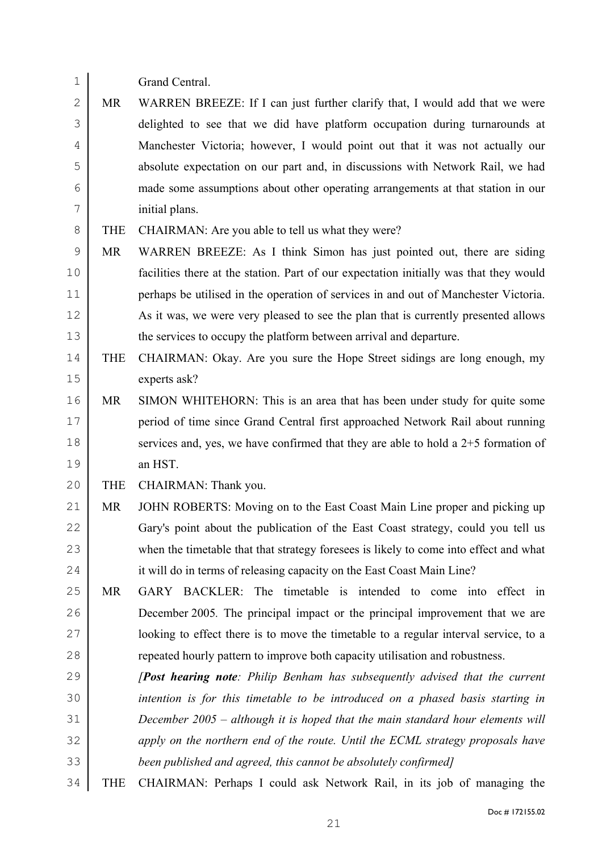- Grand Central.
- 2 MR WARREN BREEZE: If I can just further clarify that, I would add that we were delighted to see that we did have platform occupation during turnarounds at Manchester Victoria; however, I would point out that it was not actually our absolute expectation on our part and, in discussions with Network Rail, we had made some assumptions about other operating arrangements at that station in our initial plans.
- 8 THE CHAIRMAN: Are you able to tell us what they were?
- MR WARREN BREEZE: As I think Simon has just pointed out, there are siding facilities there at the station. Part of our expectation initially was that they would perhaps be utilised in the operation of services in and out of Manchester Victoria. 12 As it was, we were very pleased to see the plan that is currently presented allows 13 the services to occupy the platform between arrival and departure.
- THE CHAIRMAN: Okay. Are you sure the Hope Street sidings are long enough, my experts ask?
- MR SIMON WHITEHORN: This is an area that has been under study for quite some period of time since Grand Central first approached Network Rail about running 18 services and, yes, we have confirmed that they are able to hold a  $2+5$  formation of an HST.
- 20 THE CHAIRMAN: Thank you.
- MR JOHN ROBERTS: Moving on to the East Coast Main Line proper and picking up 22 Gary's point about the publication of the East Coast strategy, could you tell us when the timetable that that strategy foresees is likely to come into effect and what 24 it will do in terms of releasing capacity on the East Coast Main Line?
- MR GARY BACKLER: The timetable is intended to come into effect in December 2005*.* The principal impact or the principal improvement that we are 27 | looking to effect there is to move the timetable to a regular interval service, to a **repeated hourly pattern to improve both capacity utilisation and robustness.**
- *[Post hearing note: Philip Benham has subsequently advised that the current intention is for this timetable to be introduced on a phased basis starting in December 2005 – although it is hoped that the main standard hour elements will apply on the northern end of the route. Until the ECML strategy proposals have been published and agreed, this cannot be absolutely confirmed]*
- THE CHAIRMAN: Perhaps I could ask Network Rail, in its job of managing the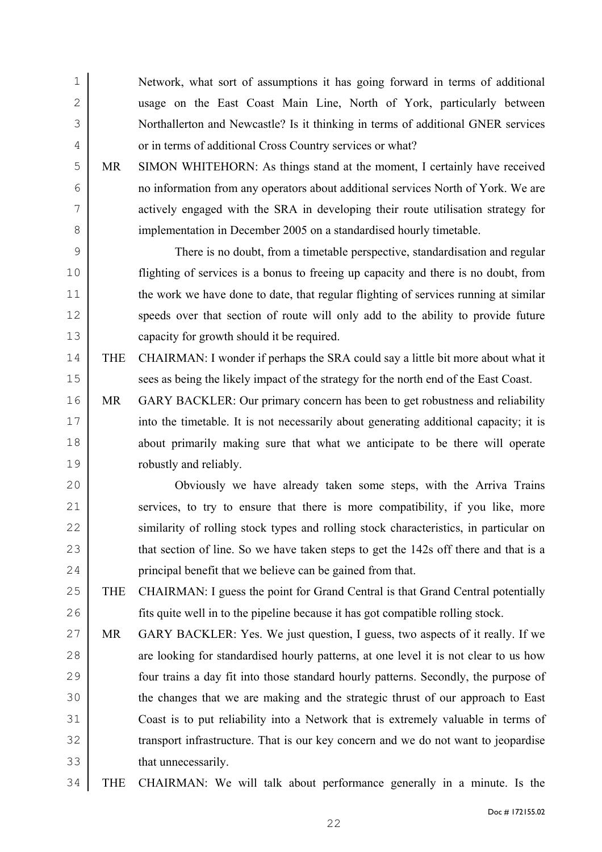Network, what sort of assumptions it has going forward in terms of additional usage on the East Coast Main Line, North of York, particularly between Northallerton and Newcastle? Is it thinking in terms of additional GNER services 4 or in terms of additional Cross Country services or what? MR SIMON WHITEHORN: As things stand at the moment, I certainly have received no information from any operators about additional services North of York. We are actively engaged with the SRA in developing their route utilisation strategy for 8 implementation in December 2005 on a standardised hourly timetable. There is no doubt, from a timetable perspective, standardisation and regular flighting of services is a bonus to freeing up capacity and there is no doubt, from 11 the work we have done to date, that regular flighting of services running at similar 12 speeds over that section of route will only add to the ability to provide future capacity for growth should it be required. THE CHAIRMAN: I wonder if perhaps the SRA could say a little bit more about what it 15 sees as being the likely impact of the strategy for the north end of the East Coast. MR GARY BACKLER: Our primary concern has been to get robustness and reliability 17 into the timetable. It is not necessarily about generating additional capacity; it is about primarily making sure that what we anticipate to be there will operate robustly and reliably. Obviously we have already taken some steps, with the Arriva Trains 21 services, to try to ensure that there is more compatibility, if you like, more 22 similarity of rolling stock types and rolling stock characteristics, in particular on

- 23 that section of line. So we have taken steps to get the 142s off there and that is a **principal benefit that we believe can be gained from that.**
- THE CHAIRMAN: I guess the point for Grand Central is that Grand Central potentially fits quite well in to the pipeline because it has got compatible rolling stock.
- MR GARY BACKLER: Yes. We just question, I guess, two aspects of it really. If we 28 are looking for standardised hourly patterns, at one level it is not clear to us how four trains a day fit into those standard hourly patterns. Secondly, the purpose of the changes that we are making and the strategic thrust of our approach to East Coast is to put reliability into a Network that is extremely valuable in terms of 32 transport infrastructure. That is our key concern and we do not want to jeopardise that unnecessarily.
- THE CHAIRMAN: We will talk about performance generally in a minute. Is the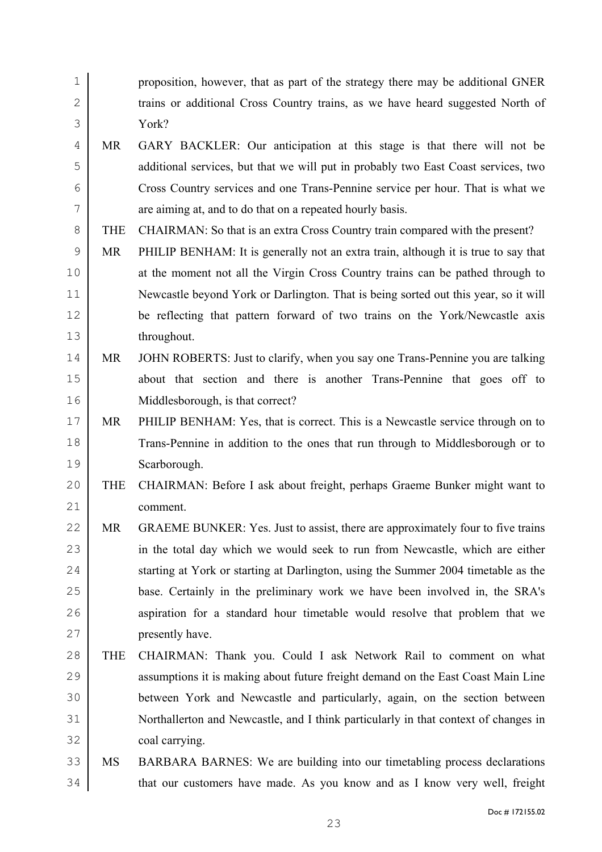| $\mathbf 1$  |            | proposition, however, that as part of the strategy there may be additional GNER     |
|--------------|------------|-------------------------------------------------------------------------------------|
| $\mathbf{2}$ |            | trains or additional Cross Country trains, as we have heard suggested North of      |
| 3            |            | York?                                                                               |
| 4            | MR         | GARY BACKLER: Our anticipation at this stage is that there will not be              |
| 5            |            | additional services, but that we will put in probably two East Coast services, two  |
| 6            |            | Cross Country services and one Trans-Pennine service per hour. That is what we      |
| 7            |            | are aiming at, and to do that on a repeated hourly basis.                           |
| 8            | <b>THE</b> | CHAIRMAN: So that is an extra Cross Country train compared with the present?        |
| $\mathsf 9$  | <b>MR</b>  | PHILIP BENHAM: It is generally not an extra train, although it is true to say that  |
| 10           |            | at the moment not all the Virgin Cross Country trains can be pathed through to      |
| 11           |            | Newcastle beyond York or Darlington. That is being sorted out this year, so it will |
| 12           |            | be reflecting that pattern forward of two trains on the York/Newcastle axis         |
| 13           |            | throughout.                                                                         |
| 14           | <b>MR</b>  | JOHN ROBERTS: Just to clarify, when you say one Trans-Pennine you are talking       |
| 15           |            | about that section and there is another Trans-Pennine that goes off to              |
| 16           |            | Middlesborough, is that correct?                                                    |
| 17           | <b>MR</b>  | PHILIP BENHAM: Yes, that is correct. This is a Newcastle service through on to      |
| 18           |            | Trans-Pennine in addition to the ones that run through to Middlesborough or to      |
| 19           |            | Scarborough.                                                                        |
| 20           | <b>THE</b> | CHAIRMAN: Before I ask about freight, perhaps Graeme Bunker might want to           |
| 21           |            | comment.                                                                            |
| 22           | <b>MR</b>  | GRAEME BUNKER: Yes. Just to assist, there are approximately four to five trains     |
| 23           |            | in the total day which we would seek to run from Newcastle, which are either        |
| 24           |            | starting at York or starting at Darlington, using the Summer 2004 timetable as the  |
| 25           |            | base. Certainly in the preliminary work we have been involved in, the SRA's         |
| 26           |            | aspiration for a standard hour timetable would resolve that problem that we         |
| 27           |            | presently have.                                                                     |
| 28           | <b>THE</b> | CHAIRMAN: Thank you. Could I ask Network Rail to comment on what                    |
| 29           |            | assumptions it is making about future freight demand on the East Coast Main Line    |
| 30           |            | between York and Newcastle and particularly, again, on the section between          |
| 31           |            | Northallerton and Newcastle, and I think particularly in that context of changes in |
| 32           |            | coal carrying.                                                                      |
| 33           | MS         | BARBARA BARNES: We are building into our timetabling process declarations           |
| 34           |            | that our customers have made. As you know and as I know very well, freight          |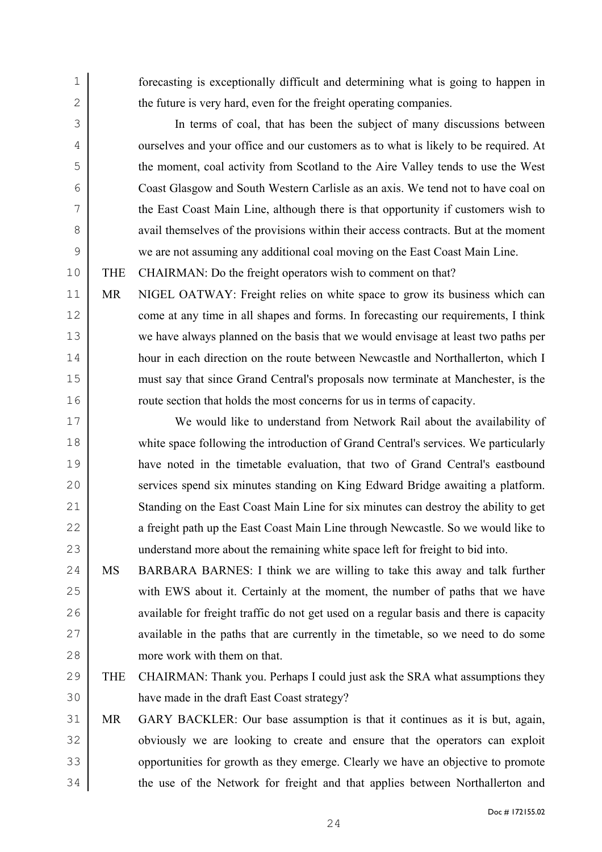1 forecasting is exceptionally difficult and determining what is going to happen in 2 the future is very hard, even for the freight operating companies.

In terms of coal, that has been the subject of many discussions between 4 ourselves and your office and our customers as to what is likely to be required. At the moment, coal activity from Scotland to the Aire Valley tends to use the West Coast Glasgow and South Western Carlisle as an axis. We tend not to have coal on the East Coast Main Line, although there is that opportunity if customers wish to 8 avail themselves of the provisions within their access contracts. But at the moment we are not assuming any additional coal moving on the East Coast Main Line.

10 THE CHAIRMAN: Do the freight operators wish to comment on that?

MR NIGEL OATWAY: Freight relies on white space to grow its business which can 12 come at any time in all shapes and forms. In forecasting our requirements, I think we have always planned on the basis that we would envisage at least two paths per hour in each direction on the route between Newcastle and Northallerton, which I must say that since Grand Central's proposals now terminate at Manchester, is the 16 Troute section that holds the most concerns for us in terms of capacity.

17 We would like to understand from Network Rail about the availability of 18 white space following the introduction of Grand Central's services. We particularly 19 have noted in the timetable evaluation, that two of Grand Central's eastbound 20 services spend six minutes standing on King Edward Bridge awaiting a platform. 21 Standing on the East Coast Main Line for six minutes can destroy the ability to get 22 a freight path up the East Coast Main Line through Newcastle. So we would like to 23 understand more about the remaining white space left for freight to bid into.

24 MS BARBARA BARNES: I think we are willing to take this away and talk further 25 with EWS about it. Certainly at the moment, the number of paths that we have 26 available for freight traffic do not get used on a regular basis and there is capacity 27 available in the paths that are currently in the timetable, so we need to do some 28 more work with them on that.

29 THE CHAIRMAN: Thank you. Perhaps I could just ask the SRA what assumptions they 30 have made in the draft East Coast strategy?

31 MR GARY BACKLER: Our base assumption is that it continues as it is but, again, 32 obviously we are looking to create and ensure that the operators can exploit 33 opportunities for growth as they emerge. Clearly we have an objective to promote 34 the use of the Network for freight and that applies between Northallerton and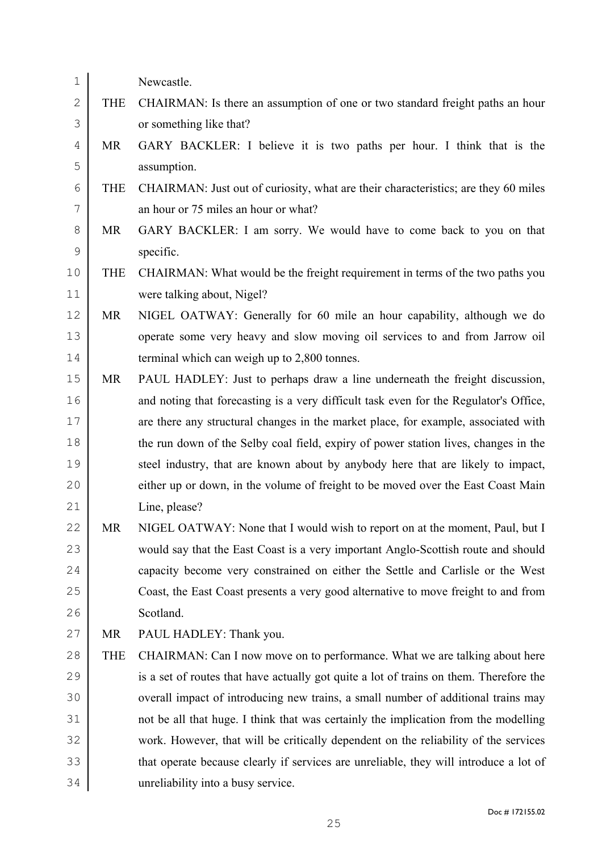| $\mathbf 1$  |            | Newcastle.                                                                             |
|--------------|------------|----------------------------------------------------------------------------------------|
| $\mathbf{2}$ | <b>THE</b> | CHAIRMAN: Is there an assumption of one or two standard freight paths an hour          |
| 3            |            | or something like that?                                                                |
| 4            | MR         | GARY BACKLER: I believe it is two paths per hour. I think that is the                  |
| 5            |            | assumption.                                                                            |
| 6            | <b>THE</b> | CHAIRMAN: Just out of curiosity, what are their characteristics; are they 60 miles     |
| 7            |            | an hour or 75 miles an hour or what?                                                   |
| 8            | MR         | GARY BACKLER: I am sorry. We would have to come back to you on that                    |
| $\mathsf 9$  |            | specific.                                                                              |
| 10           | <b>THE</b> | CHAIRMAN: What would be the freight requirement in terms of the two paths you          |
| 11           |            | were talking about, Nigel?                                                             |
| 12           | MR         | NIGEL OATWAY: Generally for 60 mile an hour capability, although we do                 |
| 13           |            | operate some very heavy and slow moving oil services to and from Jarrow oil            |
| 14           |            | terminal which can weigh up to 2,800 tonnes.                                           |
| 15           | MR         | PAUL HADLEY: Just to perhaps draw a line underneath the freight discussion,            |
| 16           |            | and noting that forecasting is a very difficult task even for the Regulator's Office,  |
| 17           |            | are there any structural changes in the market place, for example, associated with     |
| $18\,$       |            | the run down of the Selby coal field, expiry of power station lives, changes in the    |
| 19           |            | steel industry, that are known about by anybody here that are likely to impact,        |
| 20           |            | either up or down, in the volume of freight to be moved over the East Coast Main       |
| 21           |            | Line, please?                                                                          |
| 22           | <b>MR</b>  | NIGEL OATWAY: None that I would wish to report on at the moment, Paul, but I           |
| 23           |            | would say that the East Coast is a very important Anglo-Scottish route and should      |
| 24           |            | capacity become very constrained on either the Settle and Carlisle or the West         |
| 25           |            | Coast, the East Coast presents a very good alternative to move freight to and from     |
| 26           |            | Scotland.                                                                              |
| 27           | MR         | PAUL HADLEY: Thank you.                                                                |
| 28           | <b>THE</b> | CHAIRMAN: Can I now move on to performance. What we are talking about here             |
| 29           |            | is a set of routes that have actually got quite a lot of trains on them. Therefore the |
| 30           |            | overall impact of introducing new trains, a small number of additional trains may      |
| 31           |            | not be all that huge. I think that was certainly the implication from the modelling    |
| 32           |            | work. However, that will be critically dependent on the reliability of the services    |
| 33           |            | that operate because clearly if services are unreliable, they will introduce a lot of  |
| 34           |            | unreliability into a busy service.                                                     |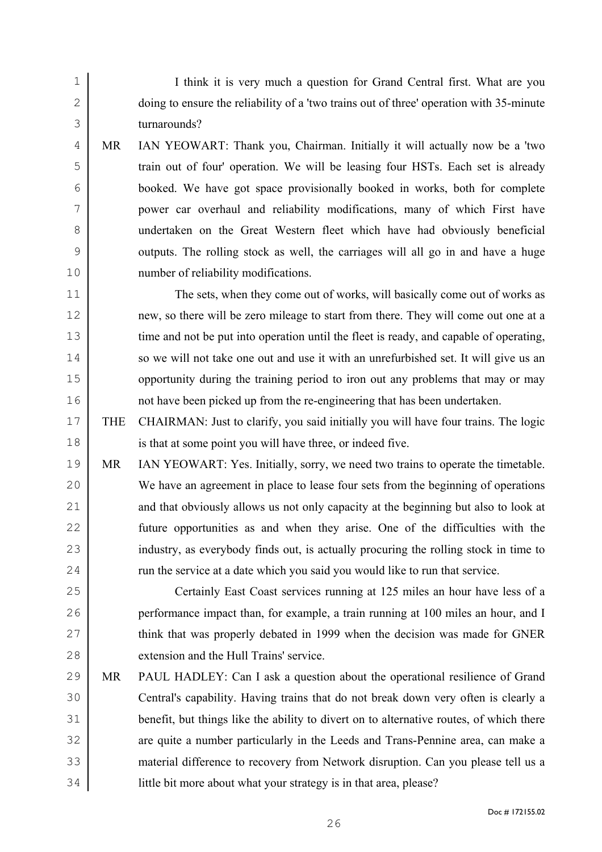I think it is very much a question for Grand Central first. What are you 2 doing to ensure the reliability of a 'two trains out of three' operation with 35-minute turnarounds?

MR IAN YEOWART: Thank you, Chairman. Initially it will actually now be a 'two train out of four' operation. We will be leasing four HSTs. Each set is already booked. We have got space provisionally booked in works, both for complete power car overhaul and reliability modifications, many of which First have undertaken on the Great Western fleet which have had obviously beneficial outputs. The rolling stock as well, the carriages will all go in and have a huge number of reliability modifications.

The sets, when they come out of works, will basically come out of works as new, so there will be zero mileage to start from there. They will come out one at a 13 time and not be put into operation until the fleet is ready, and capable of operating, 14 so we will not take one out and use it with an unrefurbished set. It will give us an 15 opportunity during the training period to iron out any problems that may or may not have been picked up from the re-engineering that has been undertaken.

THE CHAIRMAN: Just to clarify, you said initially you will have four trains. The logic is that at some point you will have three, or indeed five.

MR IAN YEOWART: Yes. Initially, sorry, we need two trains to operate the timetable. We have an agreement in place to lease four sets from the beginning of operations 21 and that obviously allows us not only capacity at the beginning but also to look at future opportunities as and when they arise. One of the difficulties with the 23 industry, as everybody finds out, is actually procuring the rolling stock in time to 24 Tun the service at a date which you said you would like to run that service.

Certainly East Coast services running at 125 miles an hour have less of a performance impact than, for example, a train running at 100 miles an hour, and I 27 think that was properly debated in 1999 when the decision was made for GNER 28 extension and the Hull Trains' service

MR PAUL HADLEY: Can I ask a question about the operational resilience of Grand Central's capability. Having trains that do not break down very often is clearly a benefit, but things like the ability to divert on to alternative routes, of which there 32 are quite a number particularly in the Leeds and Trans-Pennine area, can make a material difference to recovery from Network disruption. Can you please tell us a little bit more about what your strategy is in that area, please?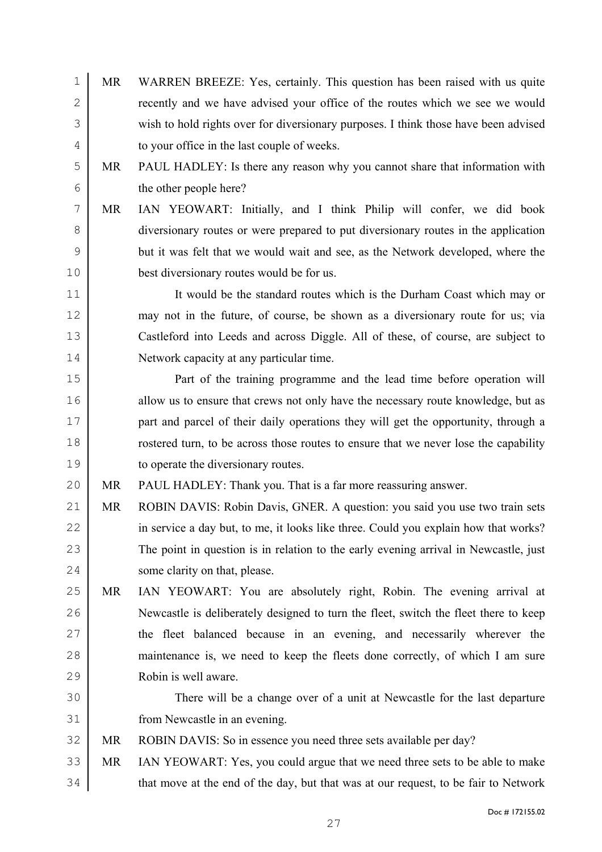- MR WARREN BREEZE: Yes, certainly. This question has been raised with us quite 2 recently and we have advised your office of the routes which we see we would wish to hold rights over for diversionary purposes. I think those have been advised 4 to your office in the last couple of weeks.
- MR PAUL HADLEY: Is there any reason why you cannot share that information with the other people here?
- MR IAN YEOWART: Initially, and I think Philip will confer, we did book diversionary routes or were prepared to put diversionary routes in the application but it was felt that we would wait and see, as the Network developed, where the best diversionary routes would be for us.

It would be the standard routes which is the Durham Coast which may or may not in the future, of course, be shown as a diversionary route for us; via Castleford into Leeds and across Diggle. All of these, of course, are subject to Network capacity at any particular time.

Part of the training programme and the lead time before operation will 16 allow us to ensure that crews not only have the necessary route knowledge, but as **part and parcel of their daily operations they will get the opportunity, through a** rostered turn, to be across those routes to ensure that we never lose the capability to operate the diversionary routes.

MR PAUL HADLEY: Thank you. That is a far more reassuring answer.

- MR ROBIN DAVIS: Robin Davis, GNER. A question: you said you use two train sets 22 in service a day but, to me, it looks like three. Could you explain how that works? 23 The point in question is in relation to the early evening arrival in Newcastle, just some clarity on that, please.
- MR IAN YEOWART: You are absolutely right, Robin. The evening arrival at Newcastle is deliberately designed to turn the fleet, switch the fleet there to keep 27 the fleet balanced because in an evening, and necessarily wherever the maintenance is, we need to keep the fleets done correctly, of which I am sure Robin is well aware.
- There will be a change over of a unit at Newcastle for the last departure from Newcastle in an evening.

MR ROBIN DAVIS: So in essence you need three sets available per day?

MR IAN YEOWART: Yes, you could argue that we need three sets to be able to make 34 that move at the end of the day, but that was at our request, to be fair to Network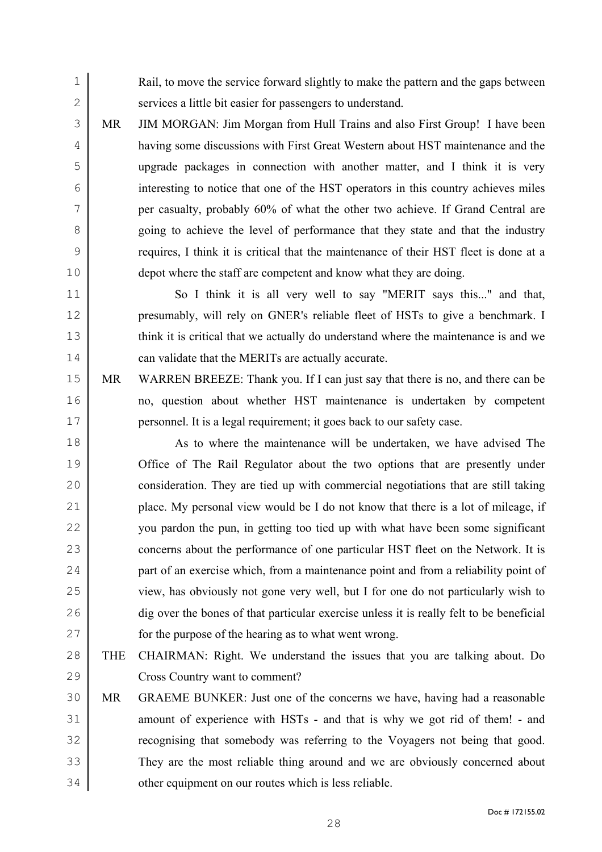Rail, to move the service forward slightly to make the pattern and the gaps between 2 services a little bit easier for passengers to understand.

MR JIM MORGAN: Jim Morgan from Hull Trains and also First Group! I have been having some discussions with First Great Western about HST maintenance and the upgrade packages in connection with another matter, and I think it is very interesting to notice that one of the HST operators in this country achieves miles per casualty, probably 60% of what the other two achieve. If Grand Central are 8 going to achieve the level of performance that they state and that the industry requires, I think it is critical that the maintenance of their HST fleet is done at a depot where the staff are competent and know what they are doing.

So I think it is all very well to say "MERIT says this..." and that, presumably, will rely on GNER's reliable fleet of HSTs to give a benchmark. I 13 think it is critical that we actually do understand where the maintenance is and we can validate that the MERITs are actually accurate.

MR WARREN BREEZE: Thank you. If I can just say that there is no, and there can be no, question about whether HST maintenance is undertaken by competent personnel. It is a legal requirement; it goes back to our safety case.

18 As to where the maintenance will be undertaken, we have advised The Office of The Rail Regulator about the two options that are presently under consideration. They are tied up with commercial negotiations that are still taking 21 place. My personal view would be I do not know that there is a lot of mileage, if 22 you pardon the pun, in getting too tied up with what have been some significant 23 concerns about the performance of one particular HST fleet on the Network. It is **part of an exercise which, from a maintenance point and from a reliability point of** view, has obviously not gone very well, but I for one do not particularly wish to dig over the bones of that particular exercise unless it is really felt to be beneficial for the purpose of the hearing as to what went wrong.

- THE CHAIRMAN: Right. We understand the issues that you are talking about. Do Cross Country want to comment?
- MR GRAEME BUNKER: Just one of the concerns we have, having had a reasonable 31 amount of experience with HSTs - and that is why we got rid of them! - and recognising that somebody was referring to the Voyagers not being that good. They are the most reliable thing around and we are obviously concerned about 34 other equipment on our routes which is less reliable.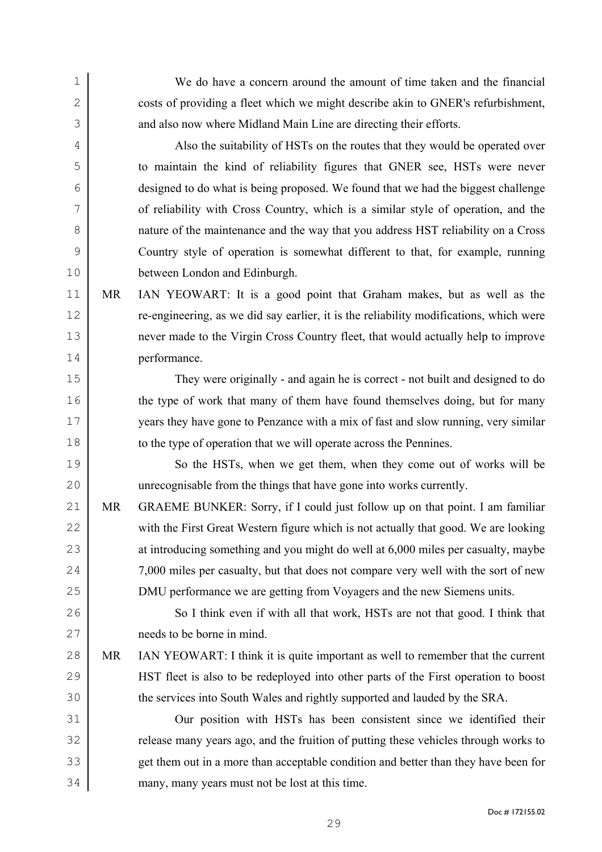We do have a concern around the amount of time taken and the financial 2 costs of providing a fleet which we might describe akin to GNER's refurbishment, 3 and also now where Midland Main Line are directing their efforts. Also the suitability of HSTs on the routes that they would be operated over to maintain the kind of reliability figures that GNER see, HSTs were never designed to do what is being proposed. We found that we had the biggest challenge of reliability with Cross Country, which is a similar style of operation, and the nature of the maintenance and the way that you address HST reliability on a Cross Country style of operation is somewhat different to that, for example, running between London and Edinburgh. MR IAN YEOWART: It is a good point that Graham makes, but as well as the re-engineering, as we did say earlier, it is the reliability modifications, which were never made to the Virgin Cross Country fleet, that would actually help to improve performance. They were originally - and again he is correct - not built and designed to do 16 the type of work that many of them have found themselves doing, but for many years they have gone to Penzance with a mix of fast and slow running, very similar 18 to the type of operation that we will operate across the Pennines. 19 So the HSTs, when we get them, when they come out of works will be unrecognisable from the things that have gone into works currently. MR GRAEME BUNKER: Sorry, if I could just follow up on that point. I am familiar 22 with the First Great Western figure which is not actually that good. We are looking 23 at introducing something and you might do well at 6,000 miles per casualty, maybe 24 7,000 miles per casualty, but that does not compare very well with the sort of new DMU performance we are getting from Voyagers and the new Siemens units. 26 So I think even if with all that work, HSTs are not that good. I think that needs to be borne in mind. 28 MR IAN YEOWART: I think it is quite important as well to remember that the current HST fleet is also to be redeployed into other parts of the First operation to boost the services into South Wales and rightly supported and lauded by the SRA. Our position with HSTs has been consistent since we identified their 32 Felease many years ago, and the fruition of putting these vehicles through works to get them out in a more than acceptable condition and better than they have been for many, many years must not be lost at this time.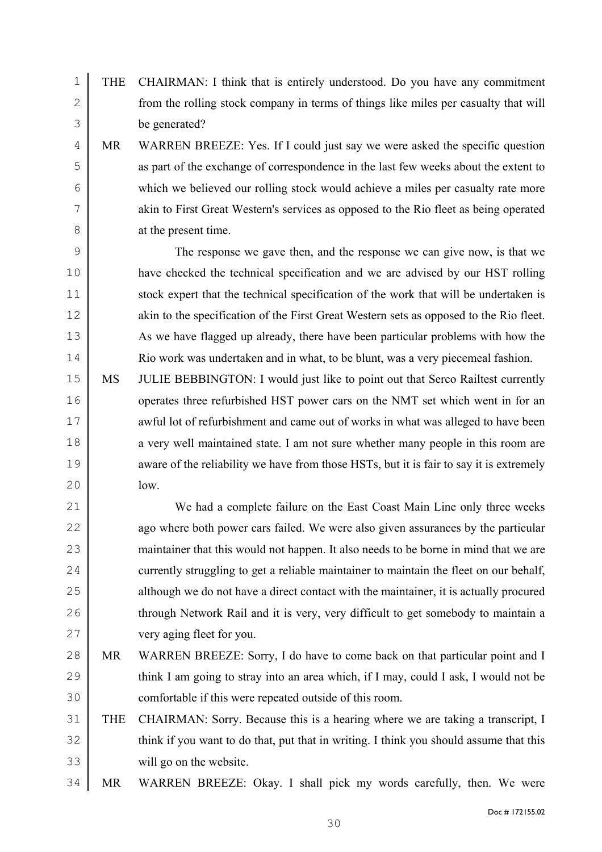1 THE CHAIRMAN: I think that is entirely understood. Do you have any commitment 2 from the rolling stock company in terms of things like miles per casualty that will 3 be generated?

MR WARREN BREEZE: Yes. If I could just say we were asked the specific question as part of the exchange of correspondence in the last few weeks about the extent to which we believed our rolling stock would achieve a miles per casualty rate more akin to First Great Western's services as opposed to the Rio fleet as being operated 8 at the present time.

9 The response we gave then, and the response we can give now, is that we 10 have checked the technical specification and we are advised by our HST rolling 11 stock expert that the technical specification of the work that will be undertaken is 12 akin to the specification of the First Great Western sets as opposed to the Rio fleet. 13 As we have flagged up already, there have been particular problems with how the 14 Rio work was undertaken and in what, to be blunt, was a very piecemeal fashion.

15 MS JULIE BEBBINGTON: I would just like to point out that Serco Railtest currently 16 operates three refurbished HST power cars on the NMT set which went in for an 17 wave awful lot of refurbishment and came out of works in what was alleged to have been 18 a very well maintained state. I am not sure whether many people in this room are 19 aware of the reliability we have from those HSTs, but it is fair to say it is extremely  $20 \text{ }$  low.

21 We had a complete failure on the East Coast Main Line only three weeks 22 ago where both power cars failed. We were also given assurances by the particular 23 maintainer that this would not happen. It also needs to be borne in mind that we are 24 currently struggling to get a reliable maintainer to maintain the fleet on our behalf, 25 although we do not have a direct contact with the maintainer, it is actually procured 26 through Network Rail and it is very, very difficult to get somebody to maintain a 27 very aging fleet for you.

28 MR WARREN BREEZE: Sorry, I do have to come back on that particular point and I 29 think I am going to stray into an area which, if I may, could I ask, I would not be 30 comfortable if this were repeated outside of this room.

31 THE CHAIRMAN: Sorry. Because this is a hearing where we are taking a transcript, I 32 think if you want to do that, put that in writing. I think you should assume that this 33 will go on the website.

34 MR WARREN BREEZE: Okay. I shall pick my words carefully, then. We were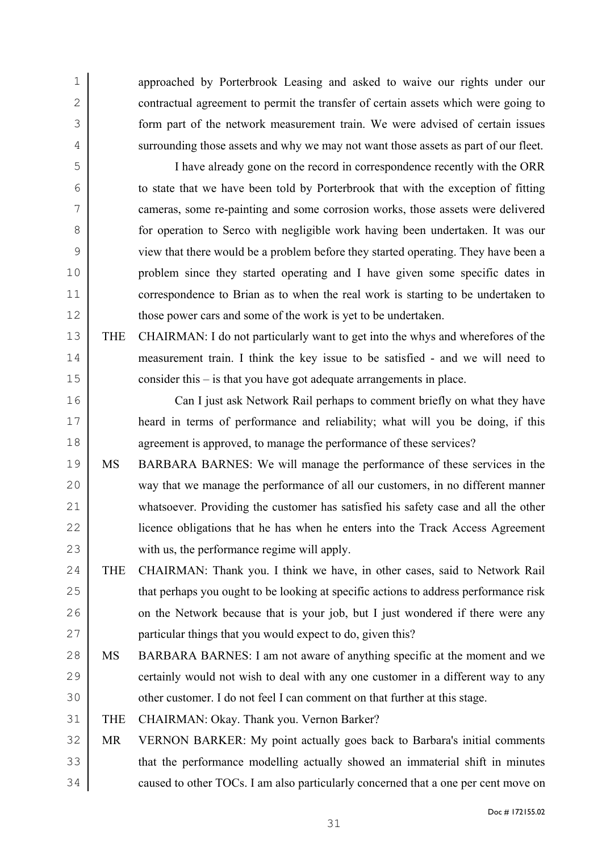approached by Porterbrook Leasing and asked to waive our rights under our 2 contractual agreement to permit the transfer of certain assets which were going to form part of the network measurement train. We were advised of certain issues 4 surrounding those assets and why we may not want those assets as part of our fleet.

I have already gone on the record in correspondence recently with the ORR to state that we have been told by Porterbrook that with the exception of fitting cameras, some re-painting and some corrosion works, those assets were delivered **for operation to Serco with negligible work having been undertaken.** It was our view that there would be a problem before they started operating. They have been a problem since they started operating and I have given some specific dates in correspondence to Brian as to when the real work is starting to be undertaken to 12 those power cars and some of the work is yet to be undertaken.

THE CHAIRMAN: I do not particularly want to get into the whys and wherefores of the measurement train. I think the key issue to be satisfied - and we will need to consider this – is that you have got adequate arrangements in place.

Can I just ask Network Rail perhaps to comment briefly on what they have heard in terms of performance and reliability; what will you be doing, if this 18 agreement is approved, to manage the performance of these services?

- MS BARBARA BARNES: We will manage the performance of these services in the way that we manage the performance of all our customers, in no different manner whatsoever. Providing the customer has satisfied his safety case and all the other licence obligations that he has when he enters into the Track Access Agreement with us, the performance regime will apply.
- THE CHAIRMAN: Thank you. I think we have, in other cases, said to Network Rail 25 that perhaps you ought to be looking at specific actions to address performance risk 26 on the Network because that is your job, but I just wondered if there were any **particular things that you would expect to do, given this?**
- 28 MS BARBARA BARNES: I am not aware of anything specific at the moment and we 29 certainly would not wish to deal with any one customer in a different way to any 30 other customer. I do not feel I can comment on that further at this stage.
- THE CHAIRMAN: Okay. Thank you. Vernon Barker?
- MR VERNON BARKER: My point actually goes back to Barbara's initial comments 33 that the performance modelling actually showed an immaterial shift in minutes 34 caused to other TOCs. I am also particularly concerned that a one per cent move on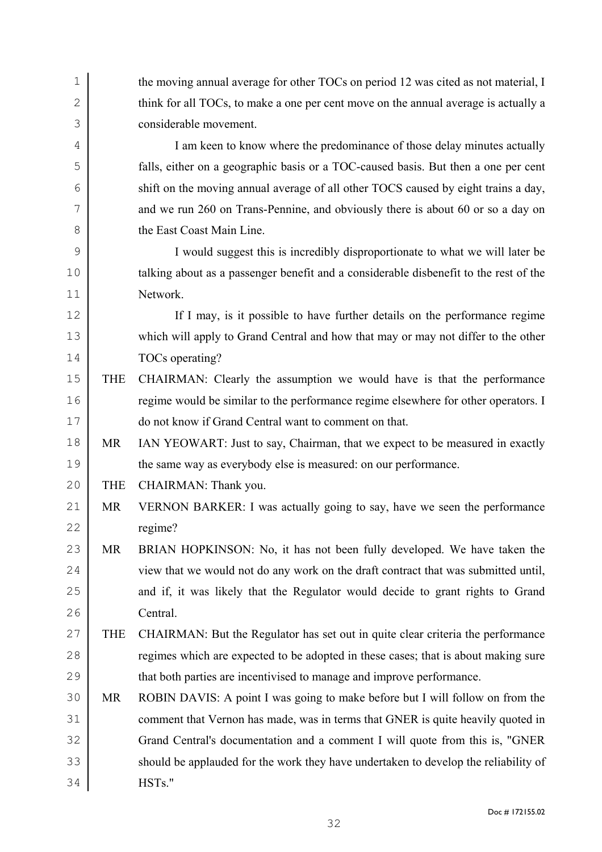| $\mathbf 1$  |            | the moving annual average for other TOCs on period 12 was cited as not material, I    |
|--------------|------------|---------------------------------------------------------------------------------------|
| $\mathbf{2}$ |            | think for all TOCs, to make a one per cent move on the annual average is actually a   |
| 3            |            | considerable movement.                                                                |
| 4            |            | I am keen to know where the predominance of those delay minutes actually              |
| 5            |            | falls, either on a geographic basis or a TOC-caused basis. But then a one per cent    |
| 6            |            | shift on the moving annual average of all other TOCS caused by eight trains a day,    |
| 7            |            | and we run 260 on Trans-Pennine, and obviously there is about 60 or so a day on       |
| 8            |            | the East Coast Main Line.                                                             |
| 9            |            | I would suggest this is incredibly disproportionate to what we will later be          |
| 10           |            | talking about as a passenger benefit and a considerable disbenefit to the rest of the |
| 11           |            | Network.                                                                              |
| 12           |            | If I may, is it possible to have further details on the performance regime            |
| 13           |            | which will apply to Grand Central and how that may or may not differ to the other     |
| 14           |            | TOCs operating?                                                                       |
| 15           | <b>THE</b> | CHAIRMAN: Clearly the assumption we would have is that the performance                |
| 16           |            | regime would be similar to the performance regime elsewhere for other operators. I    |
| 17           |            | do not know if Grand Central want to comment on that.                                 |
| 18           | <b>MR</b>  | IAN YEOWART: Just to say, Chairman, that we expect to be measured in exactly          |
| 19           |            | the same way as everybody else is measured: on our performance.                       |
| 20           | <b>THE</b> | CHAIRMAN: Thank you.                                                                  |
| 21           | <b>MR</b>  | VERNON BARKER: I was actually going to say, have we seen the performance              |
| 22           |            | regime?                                                                               |
| 23           | <b>MR</b>  | BRIAN HOPKINSON: No, it has not been fully developed. We have taken the               |
| 24           |            | view that we would not do any work on the draft contract that was submitted until,    |
| 25           |            | and if, it was likely that the Regulator would decide to grant rights to Grand        |
| 26           |            | Central.                                                                              |
| 27           | <b>THE</b> | CHAIRMAN: But the Regulator has set out in quite clear criteria the performance       |
| 28           |            | regimes which are expected to be adopted in these cases; that is about making sure    |
| 29           |            | that both parties are incentivised to manage and improve performance.                 |
| 30           | <b>MR</b>  | ROBIN DAVIS: A point I was going to make before but I will follow on from the         |
| 31           |            | comment that Vernon has made, was in terms that GNER is quite heavily quoted in       |
| 32           |            | Grand Central's documentation and a comment I will quote from this is, "GNER"         |
| 33           |            | should be applauded for the work they have undertaken to develop the reliability of   |
| 34           |            | HSTs."                                                                                |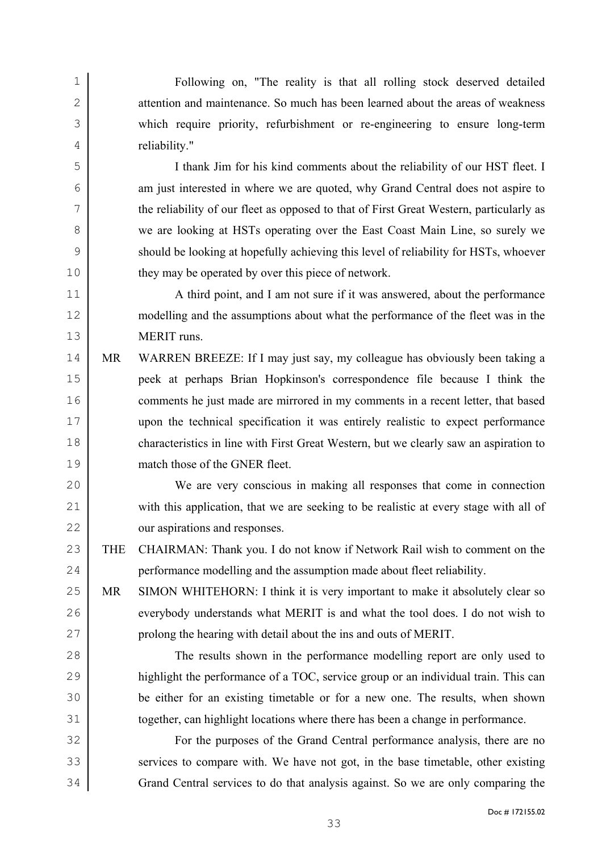Following on, "The reality is that all rolling stock deserved detailed 2 attention and maintenance. So much has been learned about the areas of weakness which require priority, refurbishment or re-engineering to ensure long-term reliability."

I thank Jim for his kind comments about the reliability of our HST fleet. I am just interested in where we are quoted, why Grand Central does not aspire to the reliability of our fleet as opposed to that of First Great Western, particularly as 8 we are looking at HSTs operating over the East Coast Main Line, so surely we should be looking at hopefully achieving this level of reliability for HSTs, whoever 10 they may be operated by over this piece of network.

A third point, and I am not sure if it was answered, about the performance modelling and the assumptions about what the performance of the fleet was in the MERIT runs.

MR WARREN BREEZE: If I may just say, my colleague has obviously been taking a peek at perhaps Brian Hopkinson's correspondence file because I think the comments he just made are mirrored in my comments in a recent letter, that based upon the technical specification it was entirely realistic to expect performance 18 characteristics in line with First Great Western, but we clearly saw an aspiration to match those of the GNER fleet.

We are very conscious in making all responses that come in connection 21 with this application, that we are seeking to be realistic at every stage with all of our aspirations and responses.

23 THE CHAIRMAN: Thank you. I do not know if Network Rail wish to comment on the 24 errormance modelling and the assumption made about fleet reliability.

MR SIMON WHITEHORN: I think it is very important to make it absolutely clear so 26 everybody understands what MERIT is and what the tool does. I do not wish to prolong the hearing with detail about the ins and outs of MERIT.

The results shown in the performance modelling report are only used to highlight the performance of a TOC, service group or an individual train. This can be either for an existing timetable or for a new one. The results, when shown together, can highlight locations where there has been a change in performance.

For the purposes of the Grand Central performance analysis, there are no 33 services to compare with. We have not got, in the base timetable, other existing Grand Central services to do that analysis against. So we are only comparing the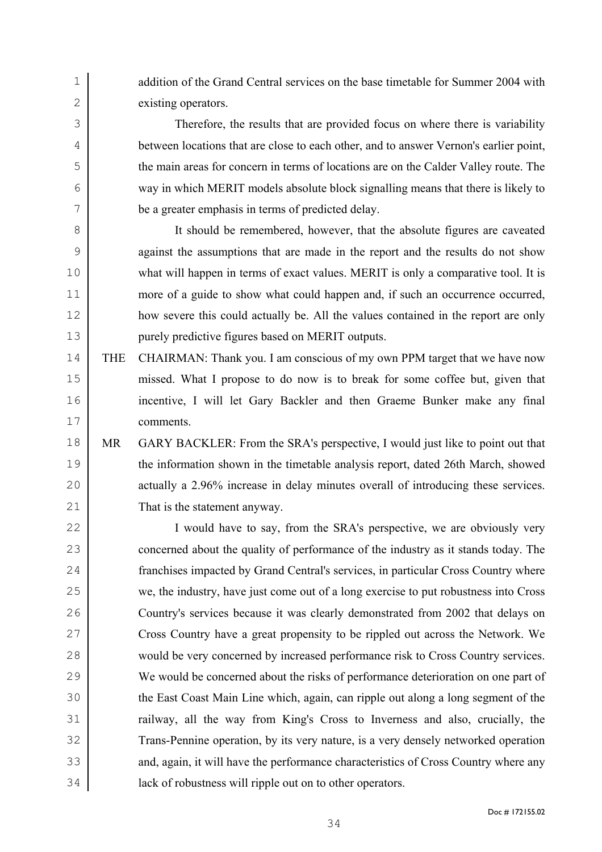1 addition of the Grand Central services on the base timetable for Summer 2004 with existing operators.

Therefore, the results that are provided focus on where there is variability between locations that are close to each other, and to answer Vernon's earlier point, the main areas for concern in terms of locations are on the Calder Valley route. The way in which MERIT models absolute block signalling means that there is likely to be a greater emphasis in terms of predicted delay.

It should be remembered, however, that the absolute figures are caveated against the assumptions that are made in the report and the results do not show what will happen in terms of exact values. MERIT is only a comparative tool. It is more of a guide to show what could happen and, if such an occurrence occurred, how severe this could actually be. All the values contained in the report are only purely predictive figures based on MERIT outputs.

THE CHAIRMAN: Thank you. I am conscious of my own PPM target that we have now missed. What I propose to do now is to break for some coffee but, given that incentive, I will let Gary Backler and then Graeme Bunker make any final comments.

MR GARY BACKLER: From the SRA's perspective, I would just like to point out that the information shown in the timetable analysis report, dated 26th March, showed actually a 2.96% increase in delay minutes overall of introducing these services. That is the statement anyway.

22 I would have to say, from the SRA's perspective, we are obviously very 23 concerned about the quality of performance of the industry as it stands today. The franchises impacted by Grand Central's services, in particular Cross Country where we, the industry, have just come out of a long exercise to put robustness into Cross Country's services because it was clearly demonstrated from 2002 that delays on Cross Country have a great propensity to be rippled out across the Network. We would be very concerned by increased performance risk to Cross Country services. We would be concerned about the risks of performance deterioration on one part of the East Coast Main Line which, again, can ripple out along a long segment of the railway, all the way from King's Cross to Inverness and also, crucially, the Trans-Pennine operation, by its very nature, is a very densely networked operation 33 and, again, it will have the performance characteristics of Cross Country where any lack of robustness will ripple out on to other operators.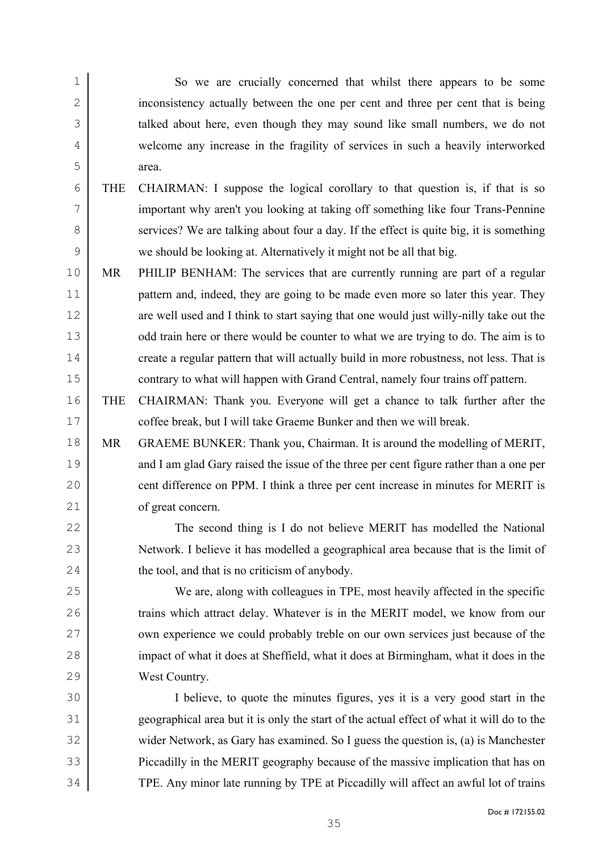So we are crucially concerned that whilst there appears to be some inconsistency actually between the one per cent and three per cent that is being talked about here, even though they may sound like small numbers, we do not welcome any increase in the fragility of services in such a heavily interworked area.

- THE CHAIRMAN: I suppose the logical corollary to that question is, if that is so important why aren't you looking at taking off something like four Trans-Pennine 8 services? We are talking about four a day. If the effect is quite big, it is something we should be looking at. Alternatively it might not be all that big.
- MR PHILIP BENHAM: The services that are currently running are part of a regular 11 pattern and, indeed, they are going to be made even more so later this year. They 12 are well used and I think to start saying that one would just willy-nilly take out the 13 odd train here or there would be counter to what we are trying to do. The aim is to 14 create a regular pattern that will actually build in more robustness, not less. That is contrary to what will happen with Grand Central, namely four trains off pattern.
- THE CHAIRMAN: Thank you. Everyone will get a chance to talk further after the **coffee break, but I will take Graeme Bunker and then we will break.**
- MR GRAEME BUNKER: Thank you, Chairman. It is around the modelling of MERIT, 19 and I am glad Gary raised the issue of the three per cent figure rather than a one per 20 cent difference on PPM. I think a three per cent increase in minutes for MERIT is of great concern.

The second thing is I do not believe MERIT has modelled the National Network. I believe it has modelled a geographical area because that is the limit of 24 the tool, and that is no criticism of anybody.

We are, along with colleagues in TPE, most heavily affected in the specific 26 trains which attract delay. Whatever is in the MERIT model, we know from our 27 www. experience we could probably treble on our own services just because of the 28 impact of what it does at Sheffield, what it does at Birmingham, what it does in the West Country.

I believe, to quote the minutes figures, yes it is a very good start in the geographical area but it is only the start of the actual effect of what it will do to the wider Network, as Gary has examined. So I guess the question is, (a) is Manchester Piccadilly in the MERIT geography because of the massive implication that has on TPE. Any minor late running by TPE at Piccadilly will affect an awful lot of trains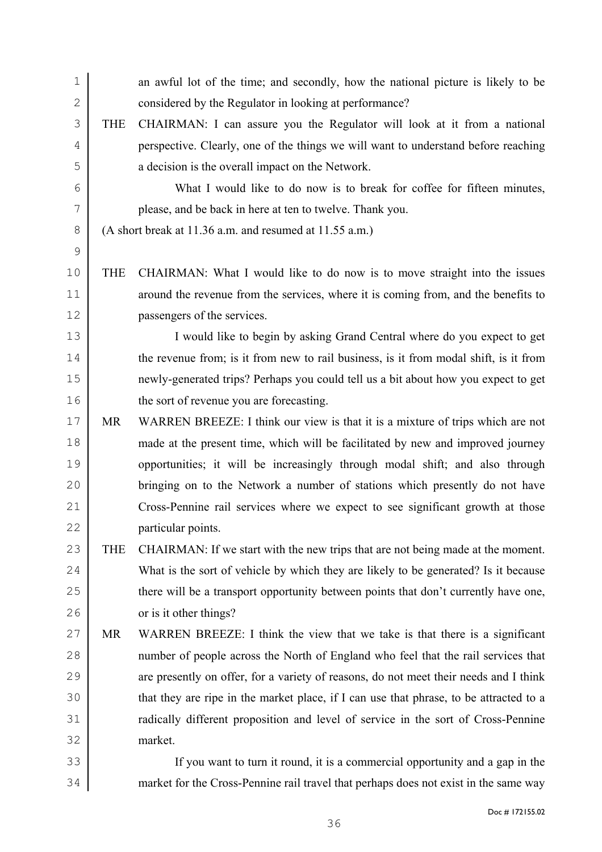| $\mathbf 1$   |            | an awful lot of the time; and secondly, how the national picture is likely to be       |
|---------------|------------|----------------------------------------------------------------------------------------|
| $\mathbf{2}$  |            | considered by the Regulator in looking at performance?                                 |
| 3             | <b>THE</b> | CHAIRMAN: I can assure you the Regulator will look at it from a national               |
| 4             |            | perspective. Clearly, one of the things we will want to understand before reaching     |
| 5             |            | a decision is the overall impact on the Network.                                       |
| 6             |            | What I would like to do now is to break for coffee for fifteen minutes,                |
| 7             |            | please, and be back in here at ten to twelve. Thank you.                               |
| $8\,$         |            | (A short break at 11.36 a.m. and resumed at 11.55 a.m.)                                |
| $\mathcal{G}$ |            |                                                                                        |
| 10            | <b>THE</b> | CHAIRMAN: What I would like to do now is to move straight into the issues              |
| 11            |            | around the revenue from the services, where it is coming from, and the benefits to     |
| 12            |            | passengers of the services.                                                            |
| 13            |            | I would like to begin by asking Grand Central where do you expect to get               |
| 14            |            | the revenue from; is it from new to rail business, is it from modal shift, is it from  |
| 15            |            | newly-generated trips? Perhaps you could tell us a bit about how you expect to get     |
| 16            |            | the sort of revenue you are forecasting.                                               |
| 17            | MR         | WARREN BREEZE: I think our view is that it is a mixture of trips which are not         |
| 18            |            | made at the present time, which will be facilitated by new and improved journey        |
| 19            |            | opportunities; it will be increasingly through modal shift; and also through           |
| 20            |            | bringing on to the Network a number of stations which presently do not have            |
| 21            |            | Cross-Pennine rail services where we expect to see significant growth at those         |
| 22            |            | particular points.                                                                     |
| 23            | <b>THE</b> | CHAIRMAN: If we start with the new trips that are not being made at the moment.        |
| 24            |            | What is the sort of vehicle by which they are likely to be generated? Is it because    |
| 25            |            | there will be a transport opportunity between points that don't currently have one,    |
| 26            |            | or is it other things?                                                                 |
| 27            | MR         | WARREN BREEZE: I think the view that we take is that there is a significant            |
| 28            |            | number of people across the North of England who feel that the rail services that      |
| 29            |            | are presently on offer, for a variety of reasons, do not meet their needs and I think  |
| 30            |            | that they are ripe in the market place, if I can use that phrase, to be attracted to a |
| 31            |            | radically different proposition and level of service in the sort of Cross-Pennine      |
| 32            |            | market.                                                                                |
| 33            |            | If you want to turn it round, it is a commercial opportunity and a gap in the          |
| 34            |            | market for the Cross-Pennine rail travel that perhaps does not exist in the same way   |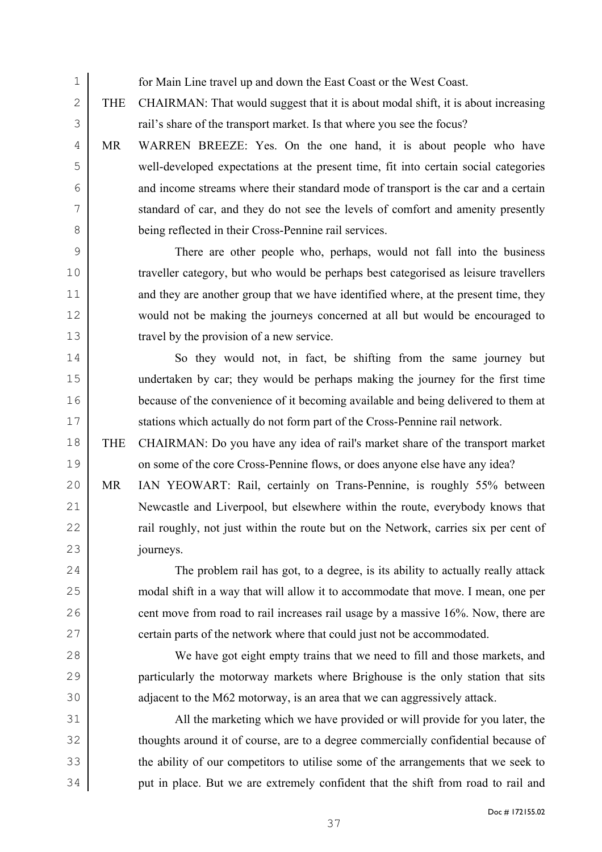for Main Line travel up and down the East Coast or the West Coast.

2 THE CHAIRMAN: That would suggest that it is about modal shift, it is about increasing **rail's share of the transport market.** Is that where you see the focus?

MR WARREN BREEZE: Yes. On the one hand, it is about people who have well-developed expectations at the present time, fit into certain social categories and income streams where their standard mode of transport is the car and a certain standard of car, and they do not see the levels of comfort and amenity presently being reflected in their Cross-Pennine rail services.

There are other people who, perhaps, would not fall into the business traveller category, but who would be perhaps best categorised as leisure travellers 11 and they are another group that we have identified where, at the present time, they would not be making the journeys concerned at all but would be encouraged to travel by the provision of a new service.

14 So they would not, in fact, be shifting from the same journey but undertaken by car; they would be perhaps making the journey for the first time because of the convenience of it becoming available and being delivered to them at 17 Stations which actually do not form part of the Cross-Pennine rail network.

THE CHAIRMAN: Do you have any idea of rail's market share of the transport market 19 on some of the core Cross-Pennine flows, or does anyone else have any idea?

MR IAN YEOWART: Rail, certainly on Trans-Pennine, is roughly 55% between Newcastle and Liverpool, but elsewhere within the route, everybody knows that **rail roughly, not just within the route but on the Network, carries six per cent of** journeys.

The problem rail has got, to a degree, is its ability to actually really attack modal shift in a way that will allow it to accommodate that move. I mean, one per 26 cent move from road to rail increases rail usage by a massive 16%. Now, there are 27 certain parts of the network where that could just not be accommodated.

We have got eight empty trains that we need to fill and those markets, and particularly the motorway markets where Brighouse is the only station that sits 30 adjacent to the M62 motorway, is an area that we can aggressively attack.

All the marketing which we have provided or will provide for you later, the thoughts around it of course, are to a degree commercially confidential because of 33 the ability of our competitors to utilise some of the arrangements that we seek to put in place. But we are extremely confident that the shift from road to rail and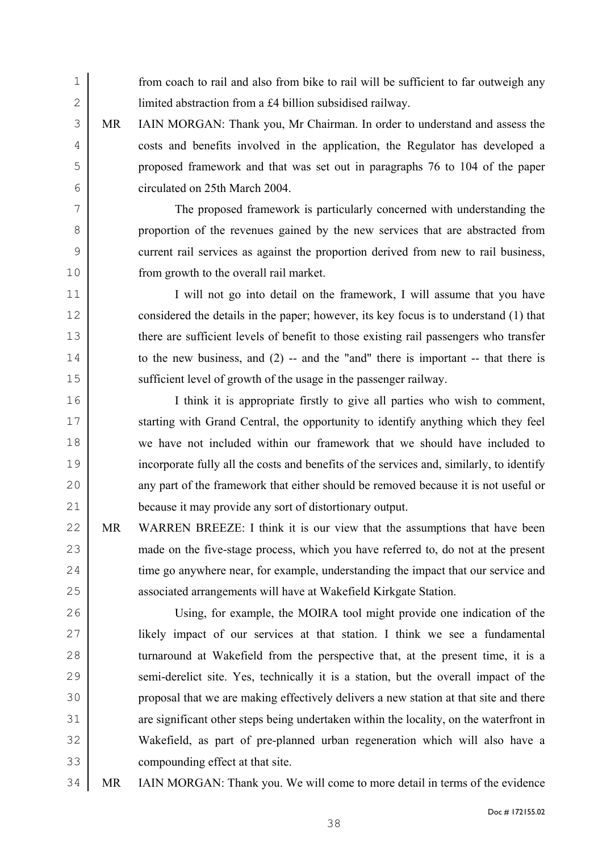1 from coach to rail and also from bike to rail will be sufficient to far outweigh any 2 limited abstraction from a £4 billion subsidised railway.

MR IAIN MORGAN: Thank you, Mr Chairman. In order to understand and assess the costs and benefits involved in the application, the Regulator has developed a proposed framework and that was set out in paragraphs 76 to 104 of the paper circulated on 25th March 2004.

The proposed framework is particularly concerned with understanding the proportion of the revenues gained by the new services that are abstracted from current rail services as against the proportion derived from new to rail business, from growth to the overall rail market.

11 I will not go into detail on the framework, I will assume that you have 12 considered the details in the paper; however, its key focus is to understand (1) that 13 there are sufficient levels of benefit to those existing rail passengers who transfer 14 to the new business, and (2) -- and the "and" there is important -- that there is 15 sufficient level of growth of the usage in the passenger railway.

I think it is appropriate firstly to give all parties who wish to comment, 17 starting with Grand Central, the opportunity to identify anything which they feel we have not included within our framework that we should have included to incorporate fully all the costs and benefits of the services and, similarly, to identify 20 any part of the framework that either should be removed because it is not useful or because it may provide any sort of distortionary output.

22 MR WARREN BREEZE: I think it is our view that the assumptions that have been 23 made on the five-stage process, which you have referred to, do not at the present 24 time go anywhere near, for example, understanding the impact that our service and 25 associated arrangements will have at Wakefield Kirkgate Station.

Using, for example, the MOIRA tool might provide one indication of the likely impact of our services at that station. I think we see a fundamental 28 turnaround at Wakefield from the perspective that, at the present time, it is a 29 semi-derelict site. Yes, technically it is a station, but the overall impact of the proposal that we are making effectively delivers a new station at that site and there 31 are significant other steps being undertaken within the locality, on the waterfront in Wakefield, as part of pre-planned urban regeneration which will also have a compounding effect at that site.

34 MR IAIN MORGAN: Thank you. We will come to more detail in terms of the evidence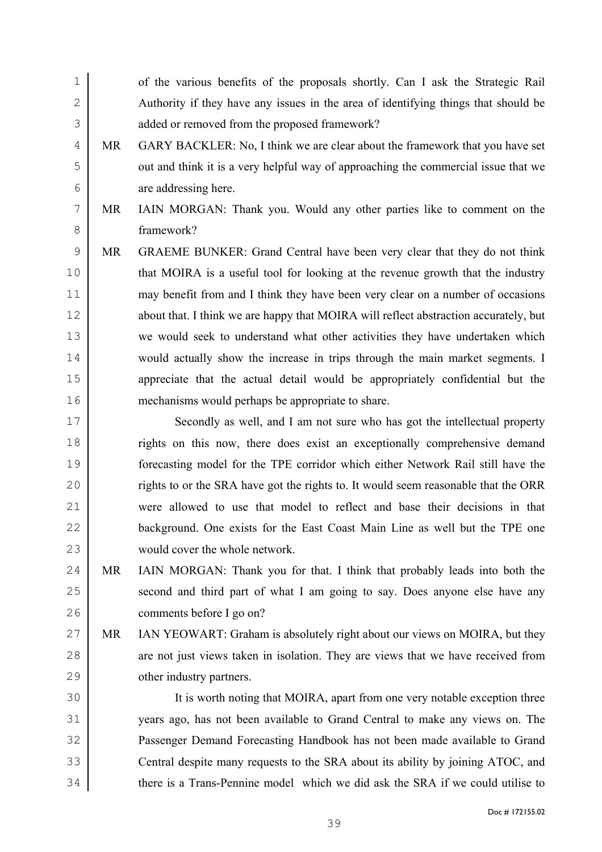| $\mathbf 1$   |           | of the various benefits of the proposals shortly. Can I ask the Strategic Rail       |
|---------------|-----------|--------------------------------------------------------------------------------------|
| $\mathbf{2}$  |           | Authority if they have any issues in the area of identifying things that should be   |
| $\mathcal{S}$ |           | added or removed from the proposed framework?                                        |
| 4             | <b>MR</b> | GARY BACKLER: No, I think we are clear about the framework that you have set         |
| 5             |           | out and think it is a very helpful way of approaching the commercial issue that we   |
| 6             |           | are addressing here.                                                                 |
| 7             | <b>MR</b> | IAIN MORGAN: Thank you. Would any other parties like to comment on the               |
| 8             |           | framework?                                                                           |
| $\mathsf 9$   | <b>MR</b> | GRAEME BUNKER: Grand Central have been very clear that they do not think             |
| 10            |           | that MOIRA is a useful tool for looking at the revenue growth that the industry      |
| 11            |           | may benefit from and I think they have been very clear on a number of occasions      |
| 12            |           | about that. I think we are happy that MOIRA will reflect abstraction accurately, but |
| 13            |           | we would seek to understand what other activities they have undertaken which         |
| 14            |           | would actually show the increase in trips through the main market segments. I        |
| 15            |           | appreciate that the actual detail would be appropriately confidential but the        |
| 16            |           | mechanisms would perhaps be appropriate to share.                                    |
| $17$          |           | Secondly as well, and I am not sure who has got the intellectual property            |
| 18            |           | rights on this now, there does exist an exceptionally comprehensive demand           |
| 19            |           | forecasting model for the TPE corridor which either Network Rail still have the      |
| 20            |           | rights to or the SRA have got the rights to. It would seem reasonable that the ORR   |
| 21            |           | were allowed to use that model to reflect and base their decisions in that           |
| 22            |           | background. One exists for the East Coast Main Line as well but the TPE one          |
| 23            |           | would cover the whole network.                                                       |
| 24            | <b>MR</b> | IAIN MORGAN: Thank you for that. I think that probably leads into both the           |
| 25            |           | second and third part of what I am going to say. Does anyone else have any           |
| 26            |           | comments before I go on?                                                             |
| 27            | MR        | IAN YEOWART: Graham is absolutely right about our views on MOIRA, but they           |
| 28            |           | are not just views taken in isolation. They are views that we have received from     |
| 29            |           | other industry partners.                                                             |
| 30            |           | It is worth noting that MOIRA, apart from one very notable exception three           |
| 31            |           | years ago, has not been available to Grand Central to make any views on. The         |
| 32            |           | Passenger Demand Forecasting Handbook has not been made available to Grand           |
| 33            |           | Central despite many requests to the SRA about its ability by joining ATOC, and      |

there is a Trans-Pennine model which we did ask the SRA if we could utilise to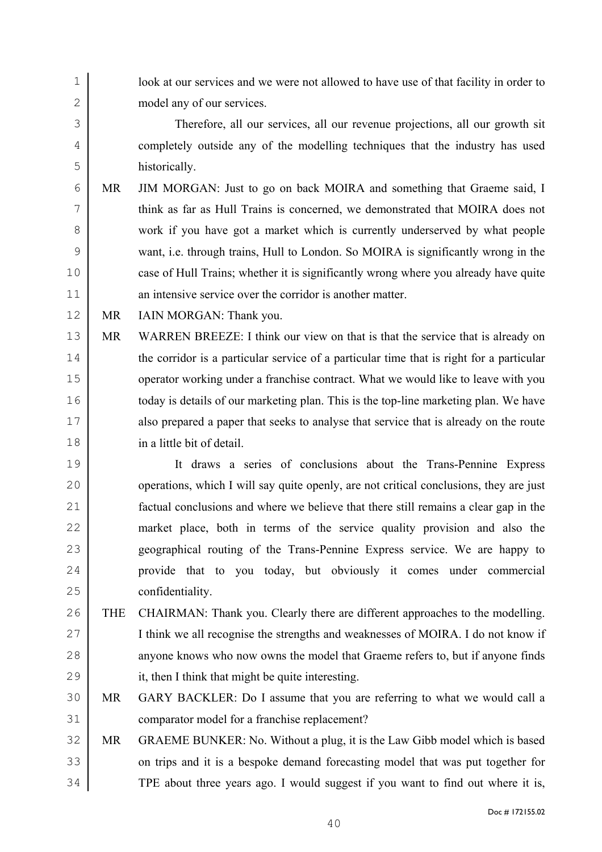1 look at our services and we were not allowed to have use of that facility in order to model any of our services. Therefore, all our services, all our revenue projections, all our growth sit completely outside any of the modelling techniques that the industry has used historically. MR JIM MORGAN: Just to go on back MOIRA and something that Graeme said, I think as far as Hull Trains is concerned, we demonstrated that MOIRA does not 8 work if you have got a market which is currently underserved by what people want, i.e. through trains, Hull to London. So MOIRA is significantly wrong in the 10 case of Hull Trains; whether it is significantly wrong where you already have quite 11 an intensive service over the corridor is another matter. 12 MR IAIN MORGAN: Thank you. MR WARREN BREEZE: I think our view on that is that the service that is already on 14 the corridor is a particular service of a particular time that is right for a particular 15 operator working under a franchise contract. What we would like to leave with you 16 today is details of our marketing plan. This is the top-line marketing plan. We have also prepared a paper that seeks to analyse that service that is already on the route in a little bit of detail. It draws a series of conclusions about the Trans-Pennine Express 20 operations, which I will say quite openly, are not critical conclusions, they are just factual conclusions and where we believe that there still remains a clear gap in the market place, both in terms of the service quality provision and also the geographical routing of the Trans-Pennine Express service. We are happy to **provide** that to you today, but obviously it comes under commercial confidentiality. THE CHAIRMAN: Thank you. Clearly there are different approaches to the modelling. I think we all recognise the strengths and weaknesses of MOIRA. I do not know if 28 anyone knows who now owns the model that Graeme refers to, but if anyone finds it, then I think that might be quite interesting. MR GARY BACKLER: Do I assume that you are referring to what we would call a comparator model for a franchise replacement? MR GRAEME BUNKER: No. Without a plug, it is the Law Gibb model which is based on trips and it is a bespoke demand forecasting model that was put together for TPE about three years ago. I would suggest if you want to find out where it is,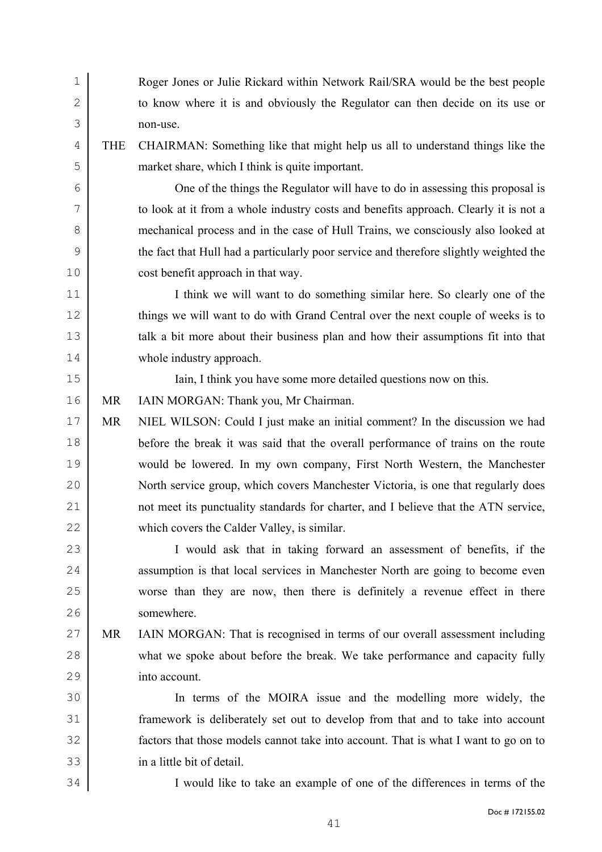| $\mathbf 1$  |            | Roger Jones or Julie Rickard within Network Rail/SRA would be the best people          |
|--------------|------------|----------------------------------------------------------------------------------------|
| $\mathbf{2}$ |            | to know where it is and obviously the Regulator can then decide on its use or          |
| 3            |            | non-use.                                                                               |
| 4            | <b>THE</b> | CHAIRMAN: Something like that might help us all to understand things like the          |
| 5            |            | market share, which I think is quite important.                                        |
| 6            |            | One of the things the Regulator will have to do in assessing this proposal is          |
| 7            |            | to look at it from a whole industry costs and benefits approach. Clearly it is not a   |
| 8            |            | mechanical process and in the case of Hull Trains, we consciously also looked at       |
| 9            |            | the fact that Hull had a particularly poor service and therefore slightly weighted the |
| 10           |            | cost benefit approach in that way.                                                     |
| 11           |            | I think we will want to do something similar here. So clearly one of the               |
| 12           |            | things we will want to do with Grand Central over the next couple of weeks is to       |
| 13           |            | talk a bit more about their business plan and how their assumptions fit into that      |
| 14           |            | whole industry approach.                                                               |
| 15           |            | Iain, I think you have some more detailed questions now on this.                       |
| 16           | <b>MR</b>  | IAIN MORGAN: Thank you, Mr Chairman.                                                   |
| 17           | <b>MR</b>  | NIEL WILSON: Could I just make an initial comment? In the discussion we had            |
| 18           |            | before the break it was said that the overall performance of trains on the route       |
| 19           |            | would be lowered. In my own company, First North Western, the Manchester               |
| 20           |            | North service group, which covers Manchester Victoria, is one that regularly does      |
| 21           |            | not meet its punctuality standards for charter, and I believe that the ATN service,    |
| 22           |            | which covers the Calder Valley, is similar.                                            |
| 23           |            | I would ask that in taking forward an assessment of benefits, if the                   |
| 24           |            | assumption is that local services in Manchester North are going to become even         |
| 25           |            | worse than they are now, then there is definitely a revenue effect in there            |
| 26           |            | somewhere.                                                                             |
| 27           | MR         | IAIN MORGAN: That is recognised in terms of our overall assessment including           |
| 28           |            | what we spoke about before the break. We take performance and capacity fully           |
| 29           |            | into account.                                                                          |
| 30           |            | In terms of the MOIRA issue and the modelling more widely, the                         |
| 31           |            | framework is deliberately set out to develop from that and to take into account        |
| 32           |            | factors that those models cannot take into account. That is what I want to go on to    |
| 33           |            | in a little bit of detail.                                                             |
| 34           |            | I would like to take an example of one of the differences in terms of the              |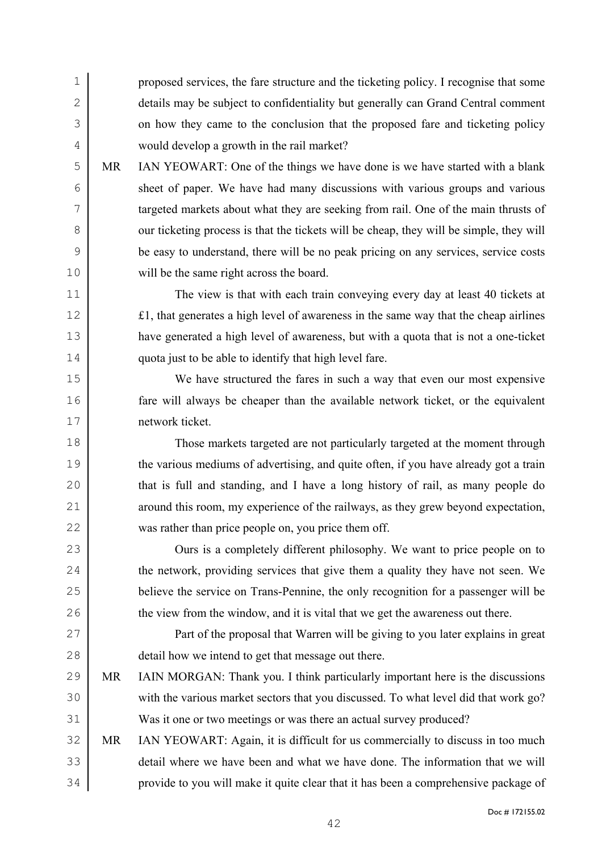proposed services, the fare structure and the ticketing policy. I recognise that some details may be subject to confidentiality but generally can Grand Central comment 3 on how they came to the conclusion that the proposed fare and ticketing policy would develop a growth in the rail market?

MR IAN YEOWART: One of the things we have done is we have started with a blank sheet of paper. We have had many discussions with various groups and various targeted markets about what they are seeking from rail. One of the main thrusts of 8 our ticketing process is that the tickets will be cheap, they will be simple, they will be easy to understand, there will be no peak pricing on any services, service costs will be the same right across the board.

The view is that with each train conveying every day at least 40 tickets at £1, that generates a high level of awareness in the same way that the cheap airlines have generated a high level of awareness, but with a quota that is not a one-ticket quota just to be able to identify that high level fare.

We have structured the fares in such a way that even our most expensive fare will always be cheaper than the available network ticket, or the equivalent network ticket.

Those markets targeted are not particularly targeted at the moment through 19 the various mediums of advertising, and quite often, if you have already got a train that is full and standing, and I have a long history of rail, as many people do around this room, my experience of the railways, as they grew beyond expectation, was rather than price people on, you price them off.

23 Ours is a completely different philosophy. We want to price people on to 24 the network, providing services that give them a quality they have not seen. We believe the service on Trans-Pennine, the only recognition for a passenger will be 26 the view from the window, and it is vital that we get the awareness out there.

Part of the proposal that Warren will be giving to you later explains in great detail how we intend to get that message out there.

- MR IAIN MORGAN: Thank you. I think particularly important here is the discussions 30 with the various market sectors that you discussed. To what level did that work go? Was it one or two meetings or was there an actual survey produced?
- MR IAN YEOWART: Again, it is difficult for us commercially to discuss in too much detail where we have been and what we have done. The information that we will provide to you will make it quite clear that it has been a comprehensive package of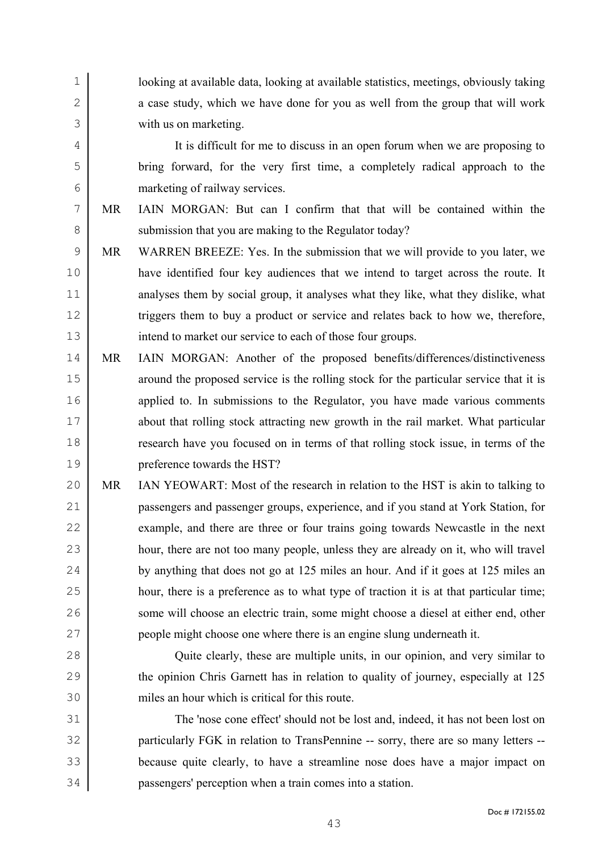looking at available data, looking at available statistics, meetings, obviously taking 2 a case study, which we have done for you as well from the group that will work with us on marketing.

It is difficult for me to discuss in an open forum when we are proposing to bring forward, for the very first time, a completely radical approach to the marketing of railway services.

- MR IAIN MORGAN: But can I confirm that that will be contained within the 8 submission that you are making to the Regulator today?
- MR WARREN BREEZE: Yes. In the submission that we will provide to you later, we have identified four key audiences that we intend to target across the route. It 11 analyses them by social group, it analyses what they like, what they dislike, what 12 triggers them to buy a product or service and relates back to how we, therefore, 13 intend to market our service to each of those four groups.
- MR IAIN MORGAN: Another of the proposed benefits/differences/distinctiveness 15 around the proposed service is the rolling stock for the particular service that it is 16 applied to. In submissions to the Regulator, you have made various comments about that rolling stock attracting new growth in the rail market. What particular research have you focused on in terms of that rolling stock issue, in terms of the preference towards the HST?
- MR IAN YEOWART: Most of the research in relation to the HST is akin to talking to passengers and passenger groups, experience, and if you stand at York Station, for 22 example, and there are three or four trains going towards Newcastle in the next 23 hour, there are not too many people, unless they are already on it, who will travel 24 by anything that does not go at 125 miles an hour. And if it goes at 125 miles an hour, there is a preference as to what type of traction it is at that particular time; 26 some will choose an electric train, some might choose a diesel at either end, other people might choose one where there is an engine slung underneath it.
- Quite clearly, these are multiple units, in our opinion, and very similar to 29 the opinion Chris Garnett has in relation to quality of journey, especially at 125 miles an hour which is critical for this route.
- The 'nose cone effect' should not be lost and, indeed, it has not been lost on 32 particularly FGK in relation to TransPennine -- sorry, there are so many letters --because quite clearly, to have a streamline nose does have a major impact on passengers' perception when a train comes into a station.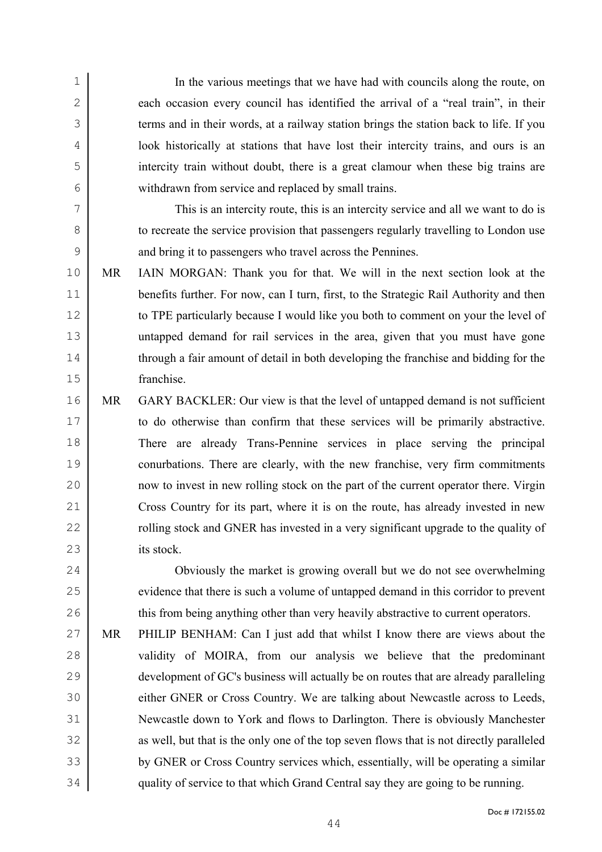In the various meetings that we have had with councils along the route, on 2 each occasion every council has identified the arrival of a "real train", in their 3 terms and in their words, at a railway station brings the station back to life. If you look historically at stations that have lost their intercity trains, and ours is an intercity train without doubt, there is a great clamour when these big trains are withdrawn from service and replaced by small trains. This is an intercity route, this is an intercity service and all we want to do is 8 to recreate the service provision that passengers regularly travelling to London use and bring it to passengers who travel across the Pennines. MR IAIN MORGAN: Thank you for that. We will in the next section look at the 11 benefits further. For now, can I turn, first, to the Strategic Rail Authority and then 12 to TPE particularly because I would like you both to comment on your the level of untapped demand for rail services in the area, given that you must have gone 14 through a fair amount of detail in both developing the franchise and bidding for the franchise. MR GARY BACKLER: Our view is that the level of untapped demand is not sufficient to do otherwise than confirm that these services will be primarily abstractive. There are already Trans-Pennine services in place serving the principal conurbations. There are clearly, with the new franchise, very firm commitments

now to invest in new rolling stock on the part of the current operator there. Virgin Cross Country for its part, where it is on the route, has already invested in new **rolling stock and GNER has invested in a very significant upgrade to the quality of** its stock.

Obviously the market is growing overall but we do not see overwhelming 25 evidence that there is such a volume of untapped demand in this corridor to prevent 26 this from being anything other than very heavily abstractive to current operators.

MR PHILIP BENHAM: Can I just add that whilst I know there are views about the 28 validity of MOIRA, from our analysis we believe that the predominant development of GC's business will actually be on routes that are already paralleling either GNER or Cross Country. We are talking about Newcastle across to Leeds, Newcastle down to York and flows to Darlington. There is obviously Manchester 32 as well, but that is the only one of the top seven flows that is not directly paralleled by GNER or Cross Country services which, essentially, will be operating a similar quality of service to that which Grand Central say they are going to be running.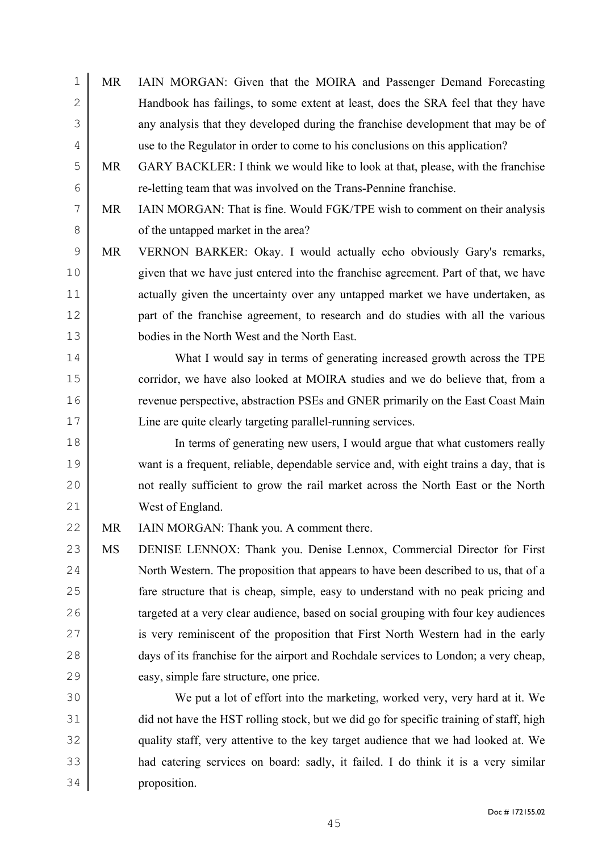MR IAIN MORGAN: Given that the MOIRA and Passenger Demand Forecasting Handbook has failings, to some extent at least, does the SRA feel that they have any analysis that they developed during the franchise development that may be of use to the Regulator in order to come to his conclusions on this application? MR GARY BACKLER: I think we would like to look at that, please, with the franchise re-letting team that was involved on the Trans-Pennine franchise. MR IAIN MORGAN: That is fine. Would FGK/TPE wish to comment on their analysis 8 of the untapped market in the area? MR VERNON BARKER: Okay. I would actually echo obviously Gary's remarks, given that we have just entered into the franchise agreement. Part of that, we have 11 actually given the uncertainty over any untapped market we have undertaken, as part of the franchise agreement, to research and do studies with all the various bodies in the North West and the North East. What I would say in terms of generating increased growth across the TPE 15 corridor, we have also looked at MOIRA studies and we do believe that, from a revenue perspective, abstraction PSEs and GNER primarily on the East Coast Main Line are quite clearly targeting parallel-running services. In terms of generating new users, I would argue that what customers really want is a frequent, reliable, dependable service and, with eight trains a day, that is not really sufficient to grow the rail market across the North East or the North West of England. 22 MR IAIN MORGAN: Thank you. A comment there. MS DENISE LENNOX: Thank you. Denise Lennox, Commercial Director for First 24 North Western. The proposition that appears to have been described to us, that of a fare structure that is cheap, simple, easy to understand with no peak pricing and 26 targeted at a very clear audience, based on social grouping with four key audiences 27 is very reminiscent of the proposition that First North Western had in the early 28 days of its franchise for the airport and Rochdale services to London; a very cheap, easy, simple fare structure, one price. We put a lot of effort into the marketing, worked very, very hard at it. We 31 did not have the HST rolling stock, but we did go for specific training of staff, high quality staff, very attentive to the key target audience that we had looked at. We had catering services on board: sadly, it failed. I do think it is a very similar proposition.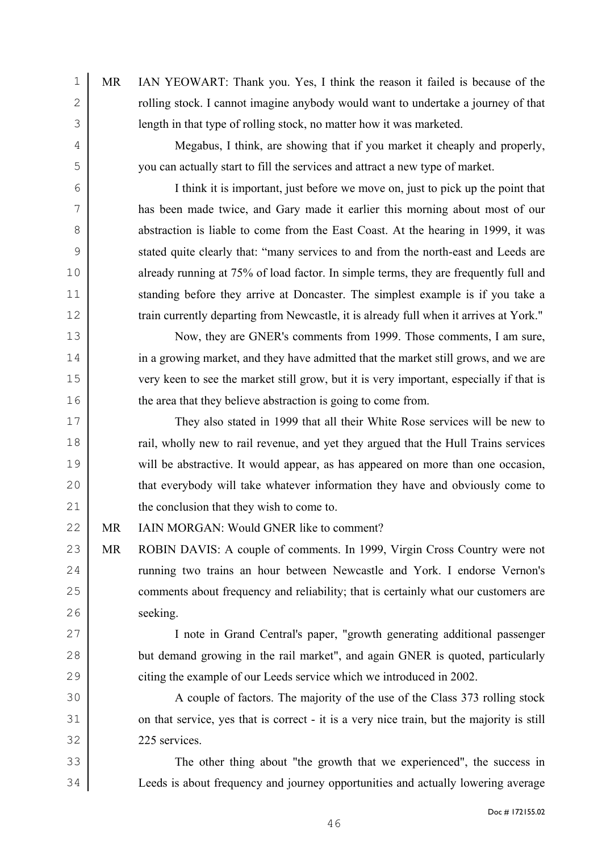MR IAN YEOWART: Thank you. Yes, I think the reason it failed is because of the 2 colling stock. I cannot imagine anybody would want to undertake a journey of that length in that type of rolling stock, no matter how it was marketed. Megabus, I think, are showing that if you market it cheaply and properly, you can actually start to fill the services and attract a new type of market. I think it is important, just before we move on, just to pick up the point that has been made twice, and Gary made it earlier this morning about most of our 8 abstraction is liable to come from the East Coast. At the hearing in 1999, it was stated quite clearly that: "many services to and from the north-east and Leeds are 10 already running at 75% of load factor. In simple terms, they are frequently full and 11 standing before they arrive at Doncaster. The simplest example is if you take a 12 train currently departing from Newcastle, it is already full when it arrives at York." Now, they are GNER's comments from 1999. Those comments, I am sure, 14 in a growing market, and they have admitted that the market still grows, and we are very keen to see the market still grow, but it is very important, especially if that is 16 the area that they believe abstraction is going to come from. They also stated in 1999 that all their White Rose services will be new to **rail**, wholly new to rail revenue, and yet they argued that the Hull Trains services will be abstractive. It would appear, as has appeared on more than one occasion, 20 that everybody will take whatever information they have and obviously come to 21 the conclusion that they wish to come to. MR IAIN MORGAN: Would GNER like to comment? MR ROBIN DAVIS: A couple of comments. In 1999, Virgin Cross Country were not **running two trains an hour between Newcastle and York. I endorse Vernon's** 25 comments about frequency and reliability; that is certainly what our customers are seeking. I note in Grand Central's paper, "growth generating additional passenger 28 but demand growing in the rail market", and again GNER is quoted, particularly 29 citing the example of our Leeds service which we introduced in 2002. A couple of factors. The majority of the use of the Class 373 rolling stock 31 on that service, yes that is correct - it is a very nice train, but the majority is still 225 services. The other thing about "the growth that we experienced", the success in

Leeds is about frequency and journey opportunities and actually lowering average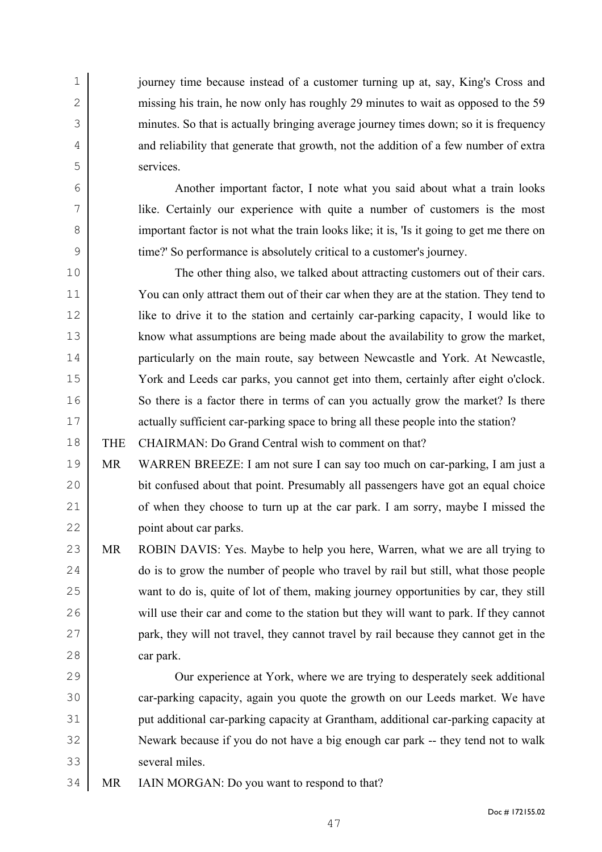journey time because instead of a customer turning up at, say, King's Cross and 2 missing his train, he now only has roughly 29 minutes to wait as opposed to the 59 minutes. So that is actually bringing average journey times down; so it is frequency 4 and reliability that generate that growth, not the addition of a few number of extra services.

Another important factor, I note what you said about what a train looks like. Certainly our experience with quite a number of customers is the most 8 important factor is not what the train looks like; it is, 'Is it going to get me there on time?' So performance is absolutely critical to a customer's journey.

The other thing also, we talked about attracting customers out of their cars. You can only attract them out of their car when they are at the station. They tend to like to drive it to the station and certainly car-parking capacity, I would like to know what assumptions are being made about the availability to grow the market, particularly on the main route, say between Newcastle and York. At Newcastle, York and Leeds car parks, you cannot get into them, certainly after eight o'clock. 16 So there is a factor there in terms of can you actually grow the market? Is there 17 actually sufficient car-parking space to bring all these people into the station?

THE CHAIRMAN: Do Grand Central wish to comment on that?

MR WARREN BREEZE: I am not sure I can say too much on car-parking, I am just a bit confused about that point. Presumably all passengers have got an equal choice 21 of when they choose to turn up at the car park. I am sorry, maybe I missed the point about car parks.

23 MR ROBIN DAVIS: Yes. Maybe to help you here, Warren, what we are all trying to 24 do is to grow the number of people who travel by rail but still, what those people want to do is, quite of lot of them, making journey opportunities by car, they still 26 will use their car and come to the station but they will want to park. If they cannot **park, they will not travel, they cannot travel by rail because they cannot get in the** car park.

Our experience at York, where we are trying to desperately seek additional 30 car-parking capacity, again you quote the growth on our Leeds market. We have put additional car-parking capacity at Grantham, additional car-parking capacity at Newark because if you do not have a big enough car park -- they tend not to walk several miles.

34 MR IAIN MORGAN: Do you want to respond to that?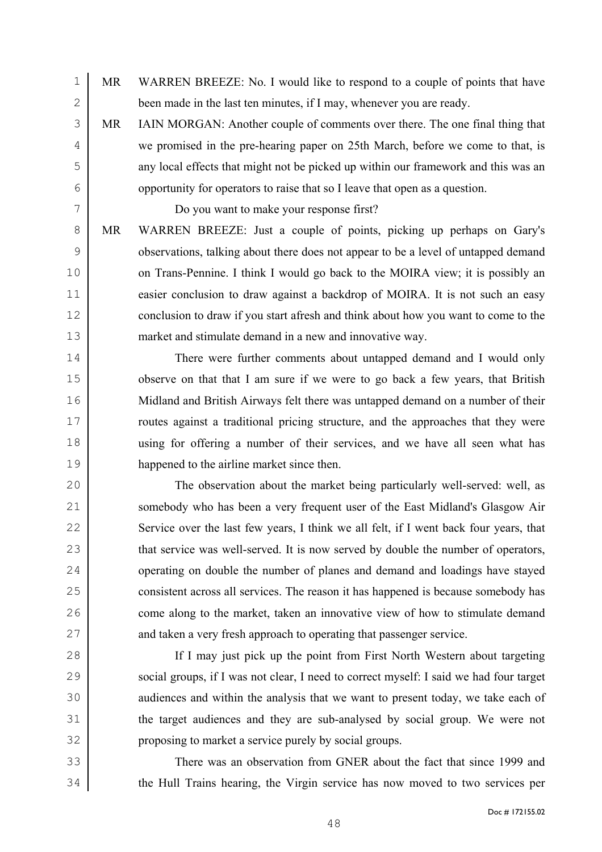- MR WARREN BREEZE: No. I would like to respond to a couple of points that have 2 been made in the last ten minutes, if I may, whenever you are ready.
- MR IAIN MORGAN: Another couple of comments over there. The one final thing that we promised in the pre-hearing paper on 25th March, before we come to that, is any local effects that might not be picked up within our framework and this was an opportunity for operators to raise that so I leave that open as a question.

Do you want to make your response first?

MR WARREN BREEZE: Just a couple of points, picking up perhaps on Gary's 9 boservations, talking about there does not appear to be a level of untapped demand 10 on Trans-Pennine. I think I would go back to the MOIRA view; it is possibly an 11 easier conclusion to draw against a backdrop of MOIRA. It is not such an easy 12 conclusion to draw if you start afresh and think about how you want to come to the market and stimulate demand in a new and innovative way.

There were further comments about untapped demand and I would only 15 observe on that that I am sure if we were to go back a few years, that British Midland and British Airways felt there was untapped demand on a number of their 17 The routes against a traditional pricing structure, and the approaches that they were using for offering a number of their services, and we have all seen what has happened to the airline market since then.

The observation about the market being particularly well-served: well, as somebody who has been a very frequent user of the East Midland's Glasgow Air 22 Service over the last few years, I think we all felt, if I went back four years, that 23 that service was well-served. It is now served by double the number of operators, 24 operating on double the number of planes and demand and loadings have stayed consistent across all services. The reason it has happened is because somebody has 26 come along to the market, taken an innovative view of how to stimulate demand 27 and taken a very fresh approach to operating that passenger service.

If I may just pick up the point from First North Western about targeting social groups, if I was not clear, I need to correct myself: I said we had four target 30 audiences and within the analysis that we want to present today, we take each of the target audiences and they are sub-analysed by social group. We were not proposing to market a service purely by social groups.

There was an observation from GNER about the fact that since 1999 and the Hull Trains hearing, the Virgin service has now moved to two services per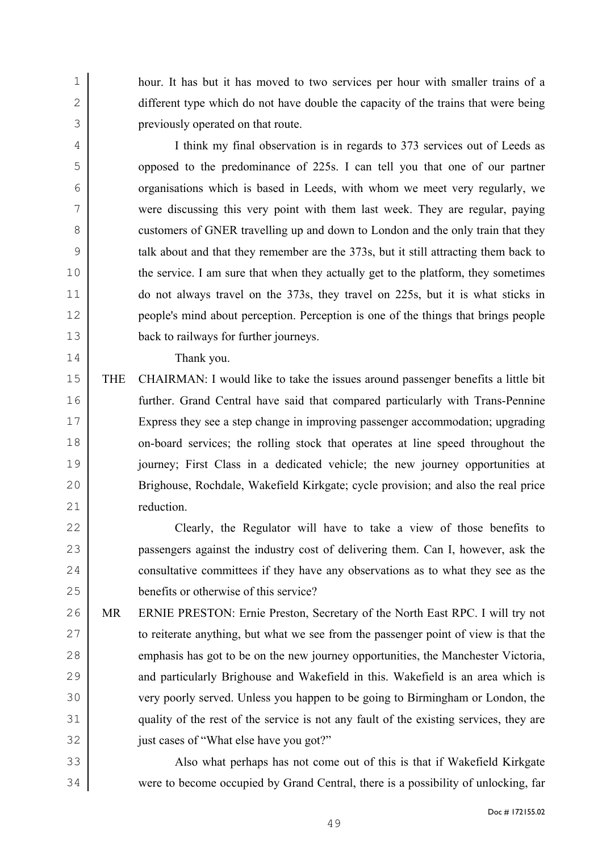hour. It has but it has moved to two services per hour with smaller trains of a 2 different type which do not have double the capacity of the trains that were being previously operated on that route.

I think my final observation is in regards to 373 services out of Leeds as opposed to the predominance of 225s. I can tell you that one of our partner organisations which is based in Leeds, with whom we meet very regularly, we were discussing this very point with them last week. They are regular, paying 8 customers of GNER travelling up and down to London and the only train that they talk about and that they remember are the 373s, but it still attracting them back to 10 the service. I am sure that when they actually get to the platform, they sometimes do not always travel on the 373s, they travel on 225s, but it is what sticks in people's mind about perception. Perception is one of the things that brings people back to railways for further journeys.

Thank you.

THE CHAIRMAN: I would like to take the issues around passenger benefits a little bit further. Grand Central have said that compared particularly with Trans-Pennine Express they see a step change in improving passenger accommodation; upgrading on-board services; the rolling stock that operates at line speed throughout the journey; First Class in a dedicated vehicle; the new journey opportunities at Brighouse, Rochdale, Wakefield Kirkgate; cycle provision; and also the real price 21 reduction

Clearly, the Regulator will have to take a view of those benefits to passengers against the industry cost of delivering them. Can I, however, ask the 24 consultative committees if they have any observations as to what they see as the benefits or otherwise of this service?

MR ERNIE PRESTON: Ernie Preston, Secretary of the North East RPC. I will try not 27 to reiterate anything, but what we see from the passenger point of view is that the emphasis has got to be on the new journey opportunities, the Manchester Victoria, 29 and particularly Brighouse and Wakefield in this. Wakefield is an area which is very poorly served. Unless you happen to be going to Birmingham or London, the quality of the rest of the service is not any fault of the existing services, they are 32 just cases of "What else have you got?"

Also what perhaps has not come out of this is that if Wakefield Kirkgate were to become occupied by Grand Central, there is a possibility of unlocking, far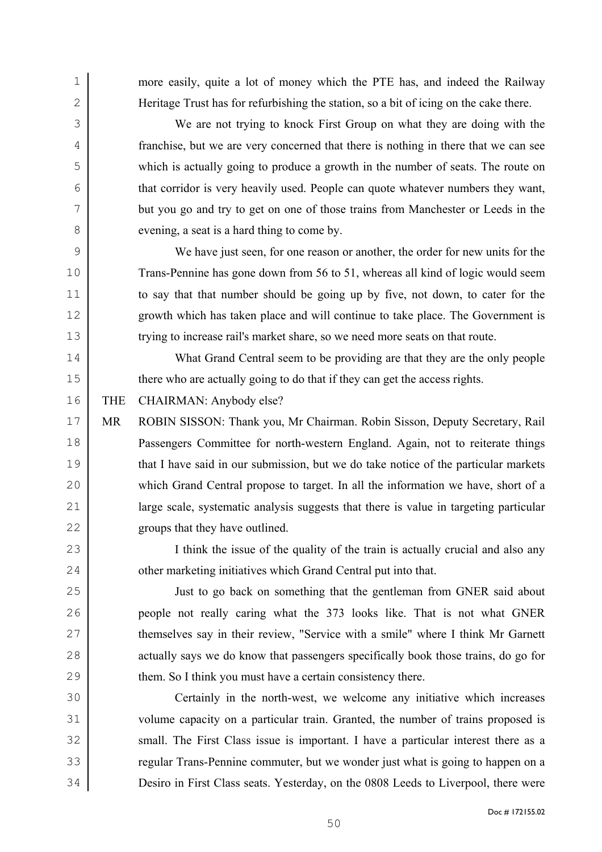more easily, quite a lot of money which the PTE has, and indeed the Railway Heritage Trust has for refurbishing the station, so a bit of icing on the cake there.

We are not trying to knock First Group on what they are doing with the franchise, but we are very concerned that there is nothing in there that we can see which is actually going to produce a growth in the number of seats. The route on that corridor is very heavily used. People can quote whatever numbers they want, but you go and try to get on one of those trains from Manchester or Leeds in the 8 evening, a seat is a hard thing to come by.

We have just seen, for one reason or another, the order for new units for the 10 Trans-Pennine has gone down from 56 to 51, whereas all kind of logic would seem to say that that number should be going up by five, not down, to cater for the growth which has taken place and will continue to take place. The Government is trying to increase rail's market share, so we need more seats on that route.

What Grand Central seem to be providing are that they are the only people there who are actually going to do that if they can get the access rights.

THE CHAIRMAN: Anybody else?

MR ROBIN SISSON: Thank you, Mr Chairman. Robin Sisson, Deputy Secretary, Rail Passengers Committee for north-western England. Again, not to reiterate things 19 that I have said in our submission, but we do take notice of the particular markets which Grand Central propose to target. In all the information we have, short of a large scale, systematic analysis suggests that there is value in targeting particular groups that they have outlined.

23 I think the issue of the quality of the train is actually crucial and also any 24 other marketing initiatives which Grand Central put into that.

Just to go back on something that the gentleman from GNER said about people not really caring what the 373 looks like. That is not what GNER themselves say in their review, "Service with a smile" where I think Mr Garnett 28 actually says we do know that passengers specifically book those trains, do go for 29 them. So I think you must have a certain consistency there.

Certainly in the north-west, we welcome any initiative which increases volume capacity on a particular train. Granted, the number of trains proposed is 32 small. The First Class issue is important. I have a particular interest there as a regular Trans-Pennine commuter, but we wonder just what is going to happen on a Desiro in First Class seats. Yesterday, on the 0808 Leeds to Liverpool, there were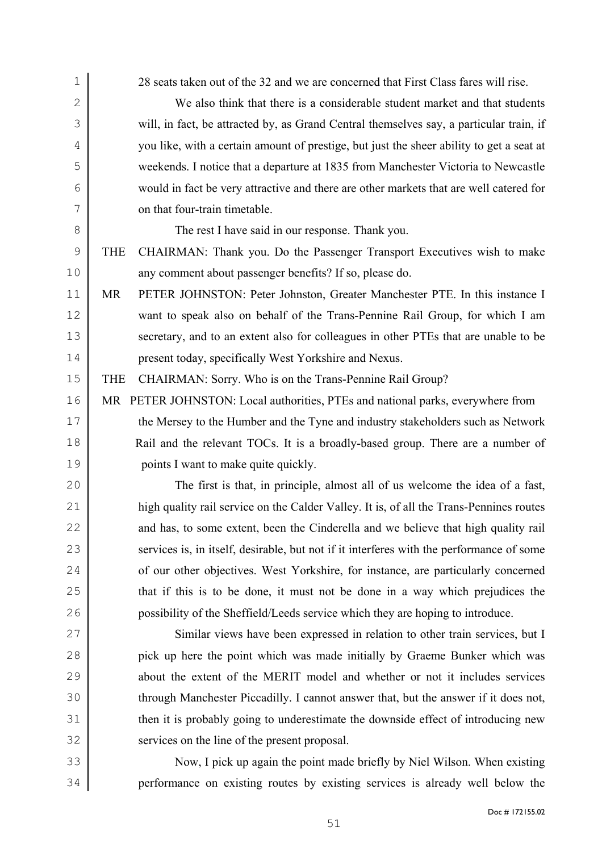| $\mathbf 1$ | 28 seats taken out of the 32 and we are concerned that First Class fares will rise.      |
|-------------|------------------------------------------------------------------------------------------|
| $\mathbf 2$ | We also think that there is a considerable student market and that students              |
| 3           | will, in fact, be attracted by, as Grand Central themselves say, a particular train, if  |
| 4           | you like, with a certain amount of prestige, but just the sheer ability to get a seat at |
| 5           | weekends. I notice that a departure at 1835 from Manchester Victoria to Newcastle        |
| 6           | would in fact be very attractive and there are other markets that are well catered for   |
| 7           | on that four-train timetable.                                                            |
| 8           | The rest I have said in our response. Thank you.                                         |
| $\mathsf 9$ | CHAIRMAN: Thank you. Do the Passenger Transport Executives wish to make<br><b>THE</b>    |
| 10          | any comment about passenger benefits? If so, please do.                                  |
| 11          | MR<br>PETER JOHNSTON: Peter Johnston, Greater Manchester PTE. In this instance I         |
| 12          | want to speak also on behalf of the Trans-Pennine Rail Group, for which I am             |
| 13          | secretary, and to an extent also for colleagues in other PTEs that are unable to be      |
| 14          | present today, specifically West Yorkshire and Nexus.                                    |
| 15          | CHAIRMAN: Sorry. Who is on the Trans-Pennine Rail Group?<br><b>THE</b>                   |
| 16          | MR PETER JOHNSTON: Local authorities, PTEs and national parks, everywhere from           |
| 17          | the Mersey to the Humber and the Tyne and industry stakeholders such as Network          |
| 18          | Rail and the relevant TOCs. It is a broadly-based group. There are a number of           |
| 19          | points I want to make quite quickly.                                                     |
| 20          | The first is that, in principle, almost all of us welcome the idea of a fast,            |
| 21          | high quality rail service on the Calder Valley. It is, of all the Trans-Pennines routes  |
| 22          | and has, to some extent, been the Cinderella and we believe that high quality rail       |
| 23          | services is, in itself, desirable, but not if it interferes with the performance of some |
| 24          | of our other objectives. West Yorkshire, for instance, are particularly concerned        |
| 25          | that if this is to be done, it must not be done in a way which prejudices the            |
| 26          | possibility of the Sheffield/Leeds service which they are hoping to introduce.           |
| 27          | Similar views have been expressed in relation to other train services, but I             |
| 28          | pick up here the point which was made initially by Graeme Bunker which was               |
| 29          | about the extent of the MERIT model and whether or not it includes services              |
| 30          | through Manchester Piccadilly. I cannot answer that, but the answer if it does not,      |
| 31          | then it is probably going to underestimate the downside effect of introducing new        |
| 32          | services on the line of the present proposal.                                            |
| 33          | Now, I pick up again the point made briefly by Niel Wilson. When existing                |
| 34          | performance on existing routes by existing services is already well below the            |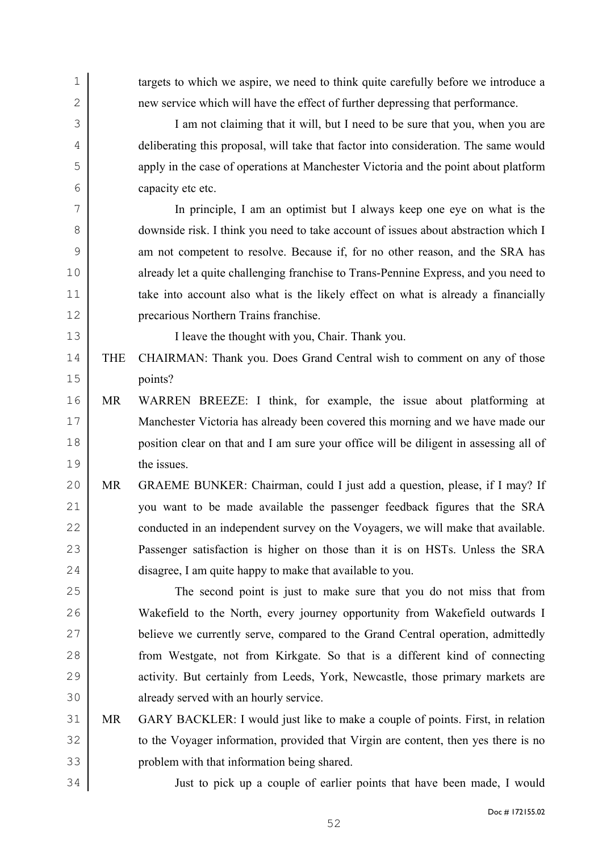| 1            |            | targets to which we aspire, we need to think quite carefully before we introduce a    |
|--------------|------------|---------------------------------------------------------------------------------------|
| $\mathbf{2}$ |            | new service which will have the effect of further depressing that performance.        |
| 3            |            | I am not claiming that it will, but I need to be sure that you, when you are          |
| 4            |            | deliberating this proposal, will take that factor into consideration. The same would  |
| 5            |            | apply in the case of operations at Manchester Victoria and the point about platform   |
| 6            |            | capacity etc etc.                                                                     |
| 7            |            | In principle, I am an optimist but I always keep one eye on what is the               |
| 8            |            | downside risk. I think you need to take account of issues about abstraction which I   |
| 9            |            | am not competent to resolve. Because if, for no other reason, and the SRA has         |
| 10           |            | already let a quite challenging franchise to Trans-Pennine Express, and you need to   |
| 11           |            | take into account also what is the likely effect on what is already a financially     |
| 12           |            | precarious Northern Trains franchise.                                                 |
| 13           |            | I leave the thought with you, Chair. Thank you.                                       |
| 14           | <b>THE</b> | CHAIRMAN: Thank you. Does Grand Central wish to comment on any of those               |
| 15           |            | points?                                                                               |
| 16           | MR         | WARREN BREEZE: I think, for example, the issue about platforming at                   |
| 17           |            | Manchester Victoria has already been covered this morning and we have made our        |
| 18           |            | position clear on that and I am sure your office will be diligent in assessing all of |
| 19           |            | the issues.                                                                           |
| 20           | <b>MR</b>  | GRAEME BUNKER: Chairman, could I just add a question, please, if I may? If            |
| 21           |            | you want to be made available the passenger feedback figures that the SRA             |
| 22           |            | conducted in an independent survey on the Voyagers, we will make that available.      |
| 23           |            | Passenger satisfaction is higher on those than it is on HSTs. Unless the SRA          |
| 24           |            | disagree, I am quite happy to make that available to you.                             |
| 25           |            | The second point is just to make sure that you do not miss that from                  |
| 26           |            | Wakefield to the North, every journey opportunity from Wakefield outwards I           |
| 27           |            | believe we currently serve, compared to the Grand Central operation, admittedly       |
| 28           |            | from Westgate, not from Kirkgate. So that is a different kind of connecting           |
| 29           |            | activity. But certainly from Leeds, York, Newcastle, those primary markets are        |
| 30           |            | already served with an hourly service.                                                |
| 31           | MR         | GARY BACKLER: I would just like to make a couple of points. First, in relation        |
| 32           |            | to the Voyager information, provided that Virgin are content, then yes there is no    |
| 33           |            | problem with that information being shared.                                           |
| 34           |            | Just to pick up a couple of earlier points that have been made, I would               |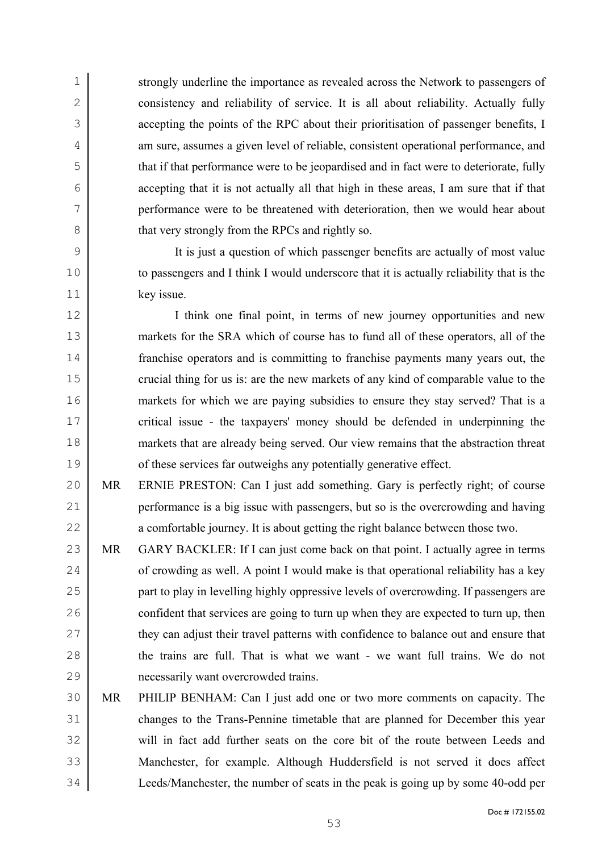strongly underline the importance as revealed across the Network to passengers of 2 consistency and reliability of service. It is all about reliability. Actually fully accepting the points of the RPC about their prioritisation of passenger benefits, I am sure, assumes a given level of reliable, consistent operational performance, and 5 that if that performance were to be jeopardised and in fact were to deteriorate, fully accepting that it is not actually all that high in these areas, I am sure that if that performance were to be threatened with deterioration, then we would hear about 8 that very strongly from the RPCs and rightly so.

It is just a question of which passenger benefits are actually of most value to passengers and I think I would underscore that it is actually reliability that is the key issue.

12 I think one final point, in terms of new journey opportunities and new markets for the SRA which of course has to fund all of these operators, all of the franchise operators and is committing to franchise payments many years out, the 15 crucial thing for us is: are the new markets of any kind of comparable value to the markets for which we are paying subsidies to ensure they stay served? That is a critical issue - the taxpayers' money should be defended in underpinning the markets that are already being served. Our view remains that the abstraction threat 19 of these services far outweighs any potentially generative effect.

- MR ERNIE PRESTON: Can I just add something. Gary is perfectly right; of course performance is a big issue with passengers, but so is the overcrowding and having 22 a comfortable journey. It is about getting the right balance between those two.
- MR GARY BACKLER: If I can just come back on that point. I actually agree in terms 24  $\vert$  of crowding as well. A point I would make is that operational reliability has a key 25 part to play in levelling highly oppressive levels of overcrowding. If passengers are 26 confident that services are going to turn up when they are expected to turn up, then 27 they can adjust their travel patterns with confidence to balance out and ensure that 28 the trains are full. That is what we want - we want full trains. We do not necessarily want overcrowded trains.
- MR PHILIP BENHAM: Can I just add one or two more comments on capacity. The changes to the Trans-Pennine timetable that are planned for December this year will in fact add further seats on the core bit of the route between Leeds and Manchester, for example. Although Huddersfield is not served it does affect Leeds/Manchester, the number of seats in the peak is going up by some 40-odd per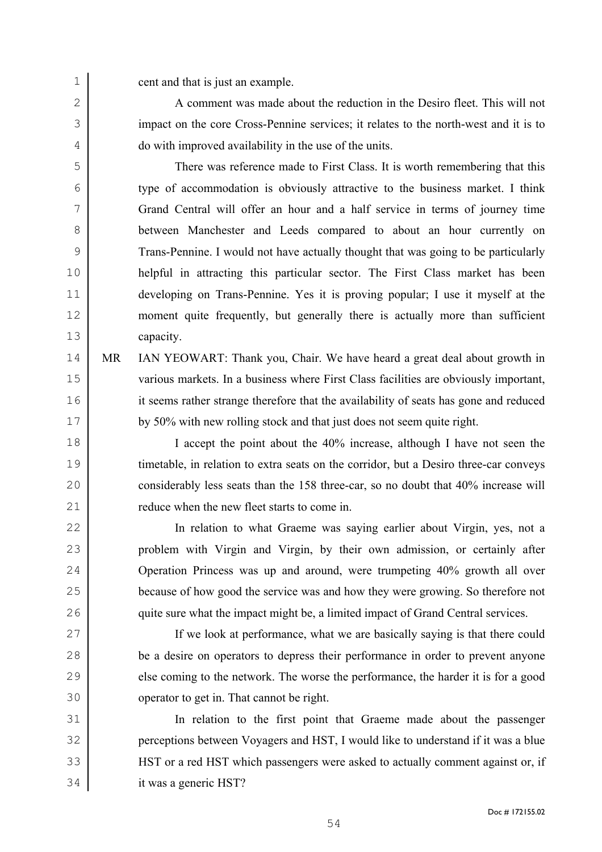1 cent and that is just an example.

2 A comment was made about the reduction in the Desiro fleet. This will not impact on the core Cross-Pennine services; it relates to the north-west and it is to do with improved availability in the use of the units.

There was reference made to First Class. It is worth remembering that this type of accommodation is obviously attractive to the business market. I think Grand Central will offer an hour and a half service in terms of journey time between Manchester and Leeds compared to about an hour currently on Trans-Pennine. I would not have actually thought that was going to be particularly helpful in attracting this particular sector. The First Class market has been developing on Trans-Pennine. Yes it is proving popular; I use it myself at the moment quite frequently, but generally there is actually more than sufficient capacity.

MR IAN YEOWART: Thank you, Chair. We have heard a great deal about growth in various markets. In a business where First Class facilities are obviously important, it seems rather strange therefore that the availability of seats has gone and reduced 17 by 50% with new rolling stock and that just does not seem quite right.

I accept the point about the 40% increase, although I have not seen the timetable, in relation to extra seats on the corridor, but a Desiro three-car conveys 20 considerably less seats than the 158 three-car, so no doubt that 40% increase will 21 reduce when the new fleet starts to come in.

In relation to what Graeme was saying earlier about Virgin, yes, not a problem with Virgin and Virgin, by their own admission, or certainly after Operation Princess was up and around, were trumpeting 40% growth all over because of how good the service was and how they were growing. So therefore not quite sure what the impact might be, a limited impact of Grand Central services.

If we look at performance, what we are basically saying is that there could be a desire on operators to depress their performance in order to prevent anyone 29 else coming to the network. The worse the performance, the harder it is for a good operator to get in. That cannot be right.

In relation to the first point that Graeme made about the passenger perceptions between Voyagers and HST, I would like to understand if it was a blue HST or a red HST which passengers were asked to actually comment against or, if it was a generic HST?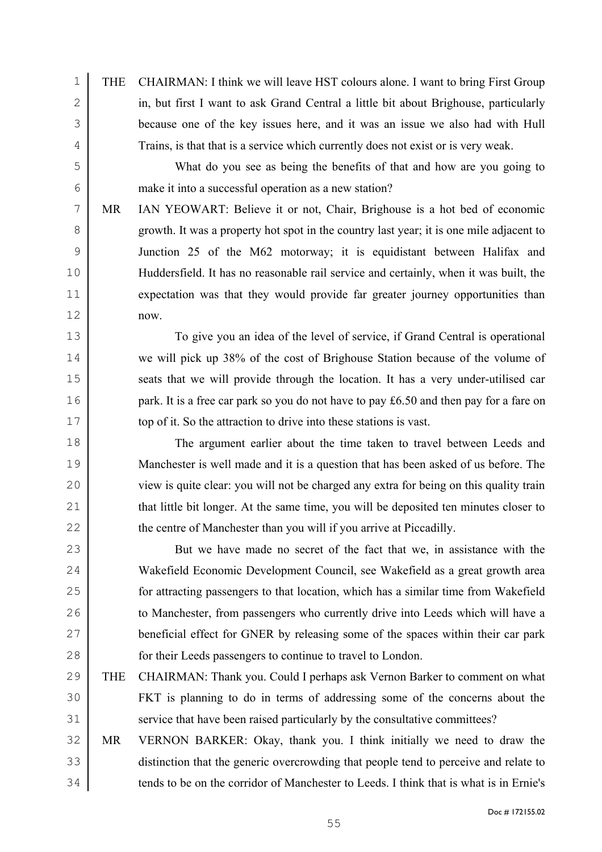THE CHAIRMAN: I think we will leave HST colours alone. I want to bring First Group 2 in, but first I want to ask Grand Central a little bit about Brighouse, particularly because one of the key issues here, and it was an issue we also had with Hull Trains, is that that is a service which currently does not exist or is very weak.

What do you see as being the benefits of that and how are you going to make it into a successful operation as a new station?

MR IAN YEOWART: Believe it or not, Chair, Brighouse is a hot bed of economic growth. It was a property hot spot in the country last year; it is one mile adjacent to Junction 25 of the M62 motorway; it is equidistant between Halifax and Huddersfield. It has no reasonable rail service and certainly, when it was built, the expectation was that they would provide far greater journey opportunities than now.

To give you an idea of the level of service, if Grand Central is operational we will pick up 38% of the cost of Brighouse Station because of the volume of 15 seats that we will provide through the location. It has a very under-utilised car **park.** It is a free car park so you do not have to pay £6.50 and then pay for a fare on 17 top of it. So the attraction to drive into these stations is vast.

The argument earlier about the time taken to travel between Leeds and 19 | Manchester is well made and it is a question that has been asked of us before. The view is quite clear: you will not be charged any extra for being on this quality train 21 that little bit longer. At the same time, you will be deposited ten minutes closer to 22 the centre of Manchester than you will if you arrive at Piccadilly.

But we have made no secret of the fact that we, in assistance with the Wakefield Economic Development Council, see Wakefield as a great growth area for attracting passengers to that location, which has a similar time from Wakefield to Manchester, from passengers who currently drive into Leeds which will have a beneficial effect for GNER by releasing some of the spaces within their car park for their Leeds passengers to continue to travel to London.

- THE CHAIRMAN: Thank you. Could I perhaps ask Vernon Barker to comment on what FKT is planning to do in terms of addressing some of the concerns about the 31 service that have been raised particularly by the consultative committees?
- MR VERNON BARKER: Okay, thank you. I think initially we need to draw the distinction that the generic overcrowding that people tend to perceive and relate to 34 tends to be on the corridor of Manchester to Leeds. I think that is what is in Ernie's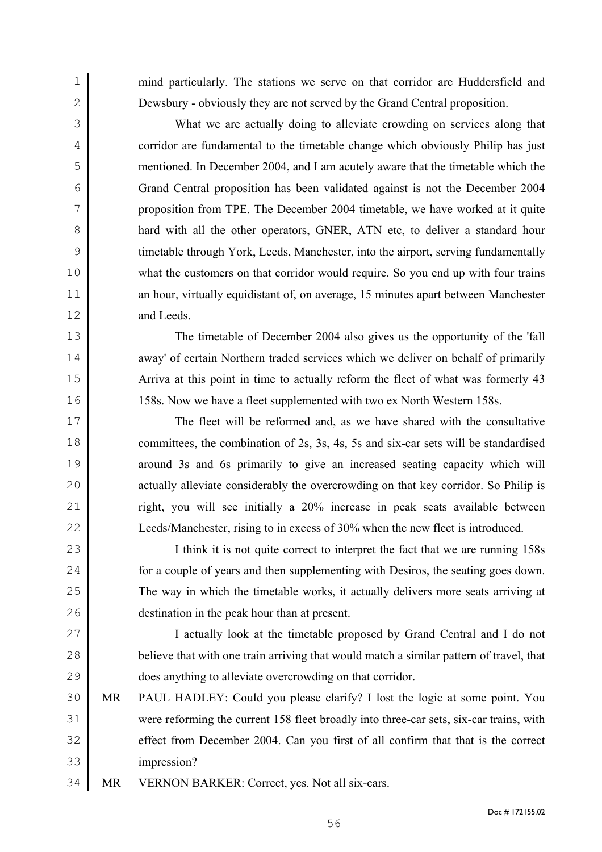mind particularly. The stations we serve on that corridor are Huddersfield and Dewsbury - obviously they are not served by the Grand Central proposition.

What we are actually doing to alleviate crowding on services along that corridor are fundamental to the timetable change which obviously Philip has just mentioned. In December 2004, and I am acutely aware that the timetable which the Grand Central proposition has been validated against is not the December 2004 proposition from TPE. The December 2004 timetable, we have worked at it quite 8 hard with all the other operators, GNER, ATN etc, to deliver a standard hour timetable through York, Leeds, Manchester, into the airport, serving fundamentally what the customers on that corridor would require. So you end up with four trains 11 an hour, virtually equidistant of, on average, 15 minutes apart between Manchester and Leeds.

The timetable of December 2004 also gives us the opportunity of the 'fall 14 away' of certain Northern traded services which we deliver on behalf of primarily 15 Arriva at this point in time to actually reform the fleet of what was formerly 43 158s. Now we have a fleet supplemented with two ex North Western 158s.

The fleet will be reformed and, as we have shared with the consultative 18 committees, the combination of 2s, 3s, 4s, 5s and six-car sets will be standardised around 3s and 6s primarily to give an increased seating capacity which will 20 actually alleviate considerably the overcrowding on that key corridor. So Philip is 21 right, you will see initially a 20% increase in peak seats available between Leeds/Manchester, rising to in excess of 30% when the new fleet is introduced.

I think it is not quite correct to interpret the fact that we are running 158s 24 for a couple of years and then supplementing with Desiros, the seating goes down. The way in which the timetable works, it actually delivers more seats arriving at destination in the peak hour than at present.

I actually look at the timetable proposed by Grand Central and I do not 28 believe that with one train arriving that would match a similar pattern of travel, that does anything to alleviate overcrowding on that corridor.

- MR PAUL HADLEY: Could you please clarify? I lost the logic at some point. You were reforming the current 158 fleet broadly into three-car sets, six-car trains, with 32 effect from December 2004. Can you first of all confirm that that is the correct impression?
- MR VERNON BARKER: Correct, yes. Not all six-cars.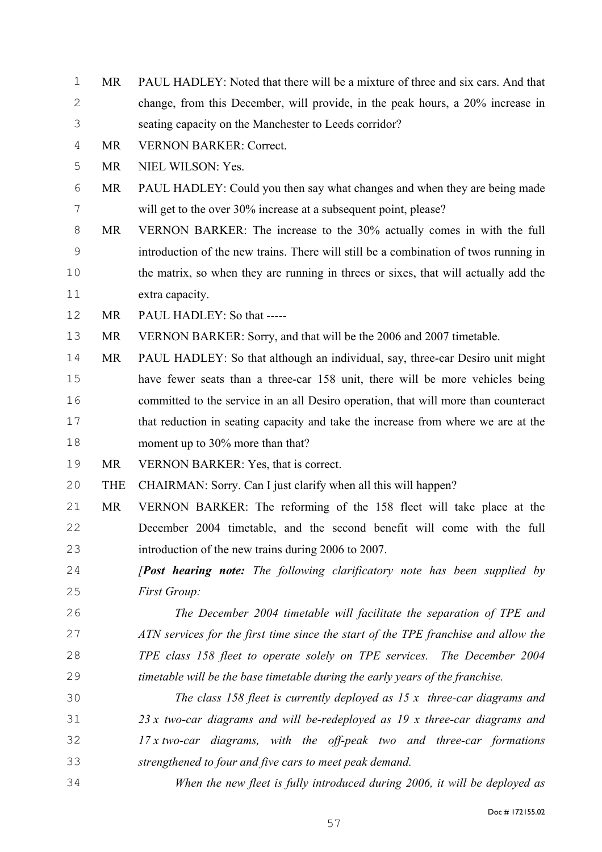- MR PAUL HADLEY: Noted that there will be a mixture of three and six cars. And that change, from this December, will provide, in the peak hours, a 20% increase in seating capacity on the Manchester to Leeds corridor?
- MR VERNON BARKER: Correct.

MR NIEL WILSON: Yes.

- MR PAUL HADLEY: Could you then say what changes and when they are being made will get to the over 30% increase at a subsequent point, please?
- MR VERNON BARKER: The increase to the 30% actually comes in with the full introduction of the new trains. There will still be a combination of twos running in the matrix, so when they are running in threes or sixes, that will actually add the extra capacity.
- MR PAUL HADLEY: So that -----
- MR VERNON BARKER: Sorry, and that will be the 2006 and 2007 timetable.
- MR PAUL HADLEY: So that although an individual, say, three-car Desiro unit might have fewer seats than a three-car 158 unit, there will be more vehicles being committed to the service in an all Desiro operation, that will more than counteract that reduction in seating capacity and take the increase from where we are at the moment up to 30% more than that?
- MR VERNON BARKER: Yes, that is correct.
- THE CHAIRMAN: Sorry. Can I just clarify when all this will happen?
- MR VERNON BARKER: The reforming of the 158 fleet will take place at the December 2004 timetable, and the second benefit will come with the full introduction of the new trains during 2006 to 2007.
- *[Post hearing note: The following clarificatory note has been supplied by First Group:*
- *The December 2004 timetable will facilitate the separation of TPE and ATN services for the first time since the start of the TPE franchise and allow the TPE class 158 fleet to operate solely on TPE services. The December 2004 timetable will be the base timetable during the early years of the franchise.*
- *The class 158 fleet is currently deployed as 15 x three-car diagrams and 23 x two-car diagrams and will be-redeployed as 19 x three-car diagrams and 17 x two-car diagrams, with the off-peak two and three-car formations strengthened to four and five cars to meet peak demand.*
- *When the new fleet is fully introduced during 2006, it will be deployed as*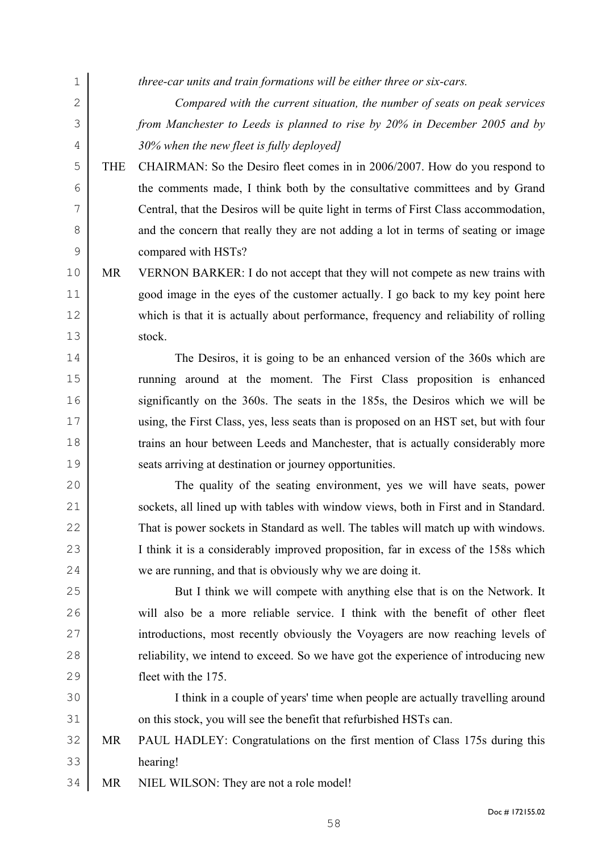- *three-car units and train formations will be either three or six-cars. Compared with the current situation, the number of seats on peak services from Manchester to Leeds is planned to rise by 20% in December 2005 and by 30% when the new fleet is fully deployed]*  THE CHAIRMAN: So the Desiro fleet comes in in 2006/2007. How do you respond to the comments made, I think both by the consultative committees and by Grand Central, that the Desiros will be quite light in terms of First Class accommodation, 8 and the concern that really they are not adding a lot in terms of seating or image compared with HSTs? 10 MR VERNON BARKER: I do not accept that they will not compete as new trains with good image in the eyes of the customer actually. I go back to my key point here which is that it is actually about performance, frequency and reliability of rolling stock. The Desiros, it is going to be an enhanced version of the 360s which are running around at the moment. The First Class proposition is enhanced significantly on the 360s. The seats in the 185s, the Desiros which we will be using, the First Class, yes, less seats than is proposed on an HST set, but with four trains an hour between Leeds and Manchester, that is actually considerably more seats arriving at destination or journey opportunities. The quality of the seating environment, yes we will have seats, power sockets, all lined up with tables with window views, both in First and in Standard. That is power sockets in Standard as well. The tables will match up with windows. I think it is a considerably improved proposition, far in excess of the 158s which 24 we are running, and that is obviously why we are doing it. But I think we will compete with anything else that is on the Network. It will also be a more reliable service. I think with the benefit of other fleet 27 introductions, most recently obviously the Voyagers are now reaching levels of 28 electrical reliability, we intend to exceed. So we have got the experience of introducing new fleet with the 175. I think in a couple of years' time when people are actually travelling around 31 on this stock, you will see the benefit that refurbished HSTs can. MR PAUL HADLEY: Congratulations on the first mention of Class 175s during this hearing!
- 34 MR NIEL WILSON: They are not a role model!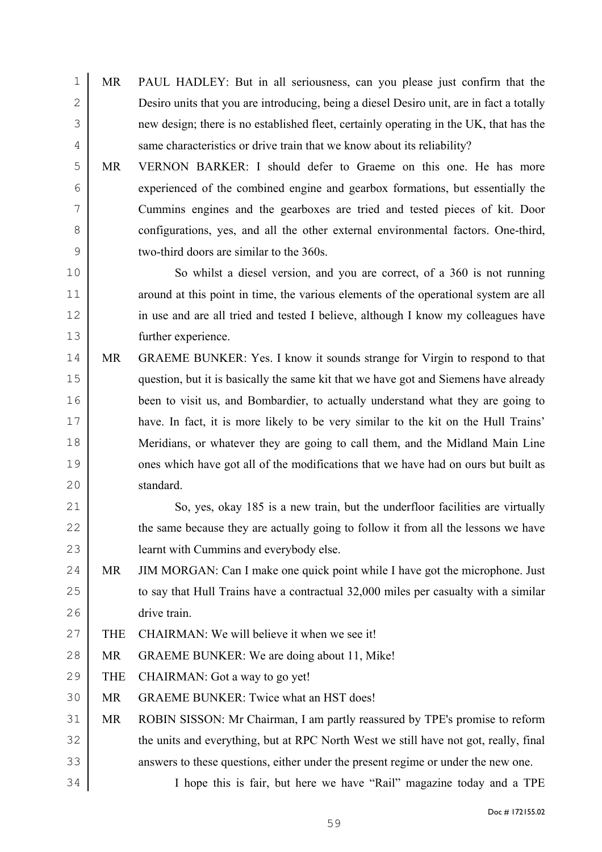- MR PAUL HADLEY: But in all seriousness, can you please just confirm that the Desiro units that you are introducing, being a diesel Desiro unit, are in fact a totally new design; there is no established fleet, certainly operating in the UK, that has the 4 same characteristics or drive train that we know about its reliability?
- MR VERNON BARKER: I should defer to Graeme on this one. He has more experienced of the combined engine and gearbox formations, but essentially the Cummins engines and the gearboxes are tried and tested pieces of kit. Door 8 configurations, yes, and all the other external environmental factors. One-third, two-third doors are similar to the 360s.
- So whilst a diesel version, and you are correct, of a 360 is not running 11 around at this point in time, the various elements of the operational system are all in use and are all tried and tested I believe, although I know my colleagues have further experience.
- MR GRAEME BUNKER: Yes. I know it sounds strange for Virgin to respond to that question, but it is basically the same kit that we have got and Siemens have already been to visit us, and Bombardier, to actually understand what they are going to have. In fact, it is more likely to be very similar to the kit on the Hull Trains' Meridians, or whatever they are going to call them, and the Midland Main Line 19 ones which have got all of the modifications that we have had on ours but built as standard.
- So, yes, okay 185 is a new train, but the underfloor facilities are virtually 22 the same because they are actually going to follow it from all the lessons we have learnt with Cummins and everybody else.
- 24 MR JIM MORGAN: Can I make one quick point while I have got the microphone. Just 25 to say that Hull Trains have a contractual 32,000 miles per casualty with a similar drive train.
- 27 THE CHAIRMAN: We will believe it when we see it!
- 28 MR GRAEME BUNKER: We are doing about 11, Mike!
- 29 THE CHAIRMAN: Got a way to go yet!
- MR GRAEME BUNKER: Twice what an HST does!
- MR ROBIN SISSON: Mr Chairman, I am partly reassured by TPE's promise to reform 32 the units and everything, but at RPC North West we still have not got, really, final 33 answers to these questions, either under the present regime or under the new one.
- I hope this is fair, but here we have "Rail" magazine today and a TPE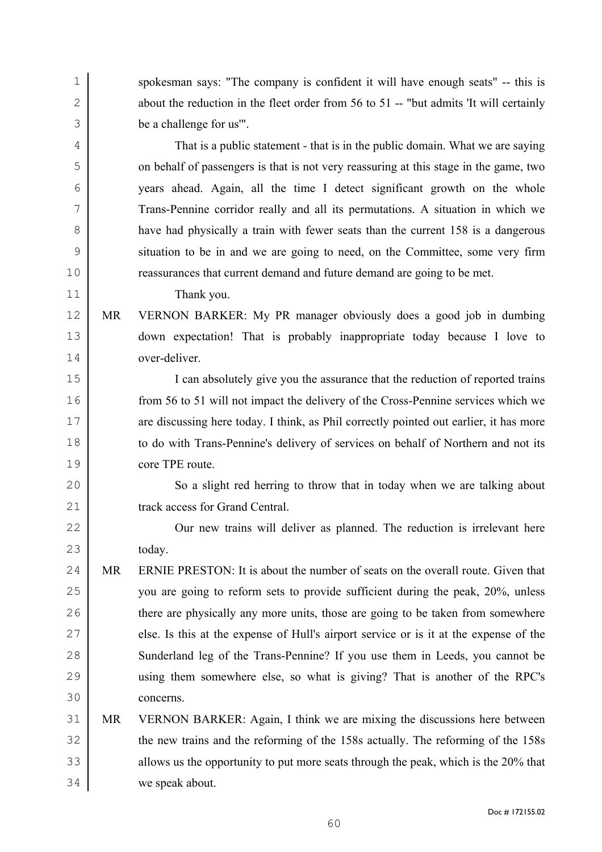spokesman says: "The company is confident it will have enough seats" -- this is 2 about the reduction in the fleet order from 56 to 51 -- "but admits 'It will certainly be a challenge for us'".

That is a public statement - that is in the public domain. What we are saying on behalf of passengers is that is not very reassuring at this stage in the game, two years ahead. Again, all the time I detect significant growth on the whole Trans-Pennine corridor really and all its permutations. A situation in which we 8 have had physically a train with fewer seats than the current 158 is a dangerous situation to be in and we are going to need, on the Committee, some very firm reassurances that current demand and future demand are going to be met.

Thank you.

MR VERNON BARKER: My PR manager obviously does a good job in dumbing down expectation! That is probably inappropriate today because I love to over-deliver.

I can absolutely give you the assurance that the reduction of reported trains from 56 to 51 will not impact the delivery of the Cross-Pennine services which we 17 are discussing here today. I think, as Phil correctly pointed out earlier, it has more to do with Trans-Pennine's delivery of services on behalf of Northern and not its core TPE route.

20 So a slight red herring to throw that in today when we are talking about 21 track access for Grand Central.

22 Our new trains will deliver as planned. The reduction is irrelevant here 23 today.

24 MR ERNIE PRESTON: It is about the number of seats on the overall route. Given that you are going to reform sets to provide sufficient during the peak, 20%, unless 26 there are physically any more units, those are going to be taken from somewhere 27 else. Is this at the expense of Hull's airport service or is it at the expense of the Sunderland leg of the Trans-Pennine? If you use them in Leeds, you cannot be using them somewhere else, so what is giving? That is another of the RPC's concerns.

## MR VERNON BARKER: Again, I think we are mixing the discussions here between the new trains and the reforming of the 158s actually. The reforming of the 158s 33 allows us the opportunity to put more seats through the peak, which is the 20% that we speak about.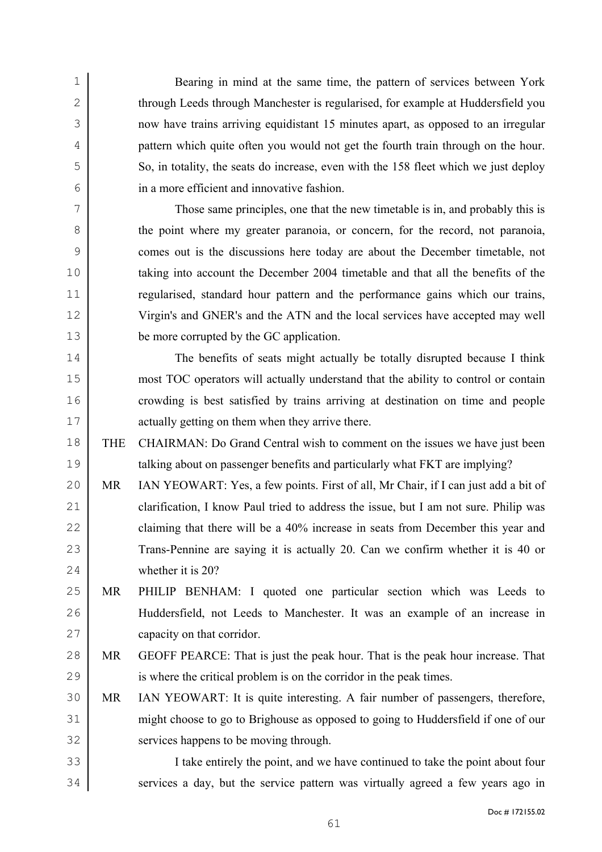Bearing in mind at the same time, the pattern of services between York 2 through Leeds through Manchester is regularised, for example at Huddersfield you now have trains arriving equidistant 15 minutes apart, as opposed to an irregular pattern which quite often you would not get the fourth train through on the hour. 5 So, in totality, the seats do increase, even with the 158 fleet which we just deploy in a more efficient and innovative fashion.

Those same principles, one that the new timetable is in, and probably this is 8 the point where my greater paranoia, or concern, for the record, not paranoia, comes out is the discussions here today are about the December timetable, not taking into account the December 2004 timetable and that all the benefits of the regularised, standard hour pattern and the performance gains which our trains, Virgin's and GNER's and the ATN and the local services have accepted may well be more corrupted by the GC application.

The benefits of seats might actually be totally disrupted because I think most TOC operators will actually understand that the ability to control or contain crowding is best satisfied by trains arriving at destination on time and people 17 actually getting on them when they arrive there.

- THE CHAIRMAN: Do Grand Central wish to comment on the issues we have just been talking about on passenger benefits and particularly what FKT are implying?
- MR IAN YEOWART: Yes, a few points. First of all, Mr Chair, if I can just add a bit of 21 clarification, I know Paul tried to address the issue, but I am not sure. Philip was 22 claiming that there will be a 40% increase in seats from December this year and Trans-Pennine are saying it is actually 20. Can we confirm whether it is 40 or whether it is 20?
- MR PHILIP BENHAM: I quoted one particular section which was Leeds to Huddersfield, not Leeds to Manchester. It was an example of an increase in capacity on that corridor.
- MR GEOFF PEARCE: That is just the peak hour. That is the peak hour increase. That is where the critical problem is on the corridor in the peak times.
- MR IAN YEOWART: It is quite interesting. A fair number of passengers, therefore, might choose to go to Brighouse as opposed to going to Huddersfield if one of our services happens to be moving through.
- I take entirely the point, and we have continued to take the point about four 34 services a day, but the service pattern was virtually agreed a few years ago in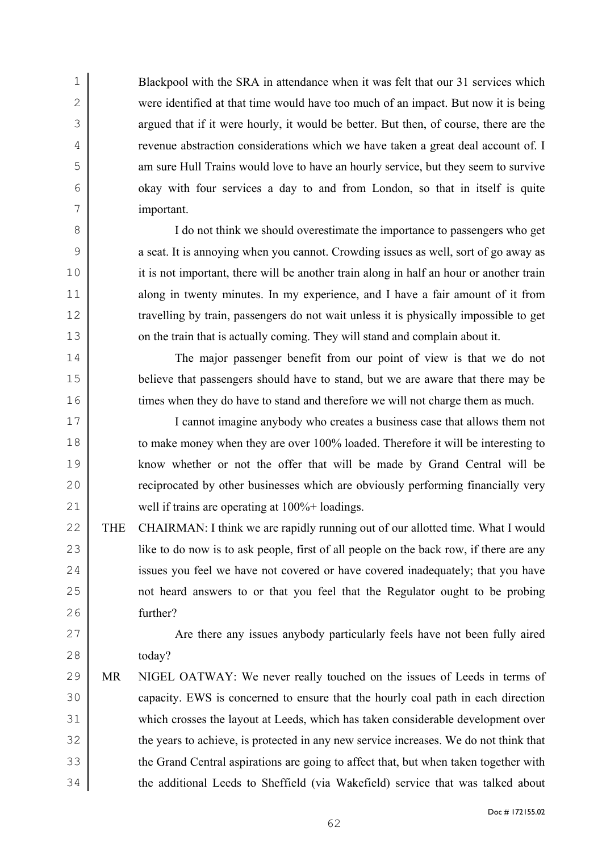Blackpool with the SRA in attendance when it was felt that our 31 services which were identified at that time would have too much of an impact. But now it is being 3 argued that if it were hourly, it would be better. But then, of course, there are the revenue abstraction considerations which we have taken a great deal account of. I am sure Hull Trains would love to have an hourly service, but they seem to survive okay with four services a day to and from London, so that in itself is quite important.

I do not think we should overestimate the importance to passengers who get a seat. It is annoying when you cannot. Crowding issues as well, sort of go away as 10 it is not important, there will be another train along in half an hour or another train 11 along in twenty minutes. In my experience, and I have a fair amount of it from travelling by train, passengers do not wait unless it is physically impossible to get 13 on the train that is actually coming. They will stand and complain about it.

The major passenger benefit from our point of view is that we do not 15 believe that passengers should have to stand, but we are aware that there may be 16 times when they do have to stand and therefore we will not charge them as much.

I cannot imagine anybody who creates a business case that allows them not to make money when they are over 100% loaded. Therefore it will be interesting to know whether or not the offer that will be made by Grand Central will be **reciprocated by other businesses which are obviously performing financially very** well if trains are operating at 100%+ loadings.

22 THE CHAIRMAN: I think we are rapidly running out of our allotted time. What I would 23 like to do now is to ask people, first of all people on the back row, if there are any 24 issues you feel we have not covered or have covered inadequately; that you have not heard answers to or that you feel that the Regulator ought to be probing further?

27 Are there any issues anybody particularly feels have not been fully aired today?

MR NIGEL OATWAY: We never really touched on the issues of Leeds in terms of capacity. EWS is concerned to ensure that the hourly coal path in each direction which crosses the layout at Leeds, which has taken considerable development over 32 the years to achieve, is protected in any new service increases. We do not think that 33 the Grand Central aspirations are going to affect that, but when taken together with the additional Leeds to Sheffield (via Wakefield) service that was talked about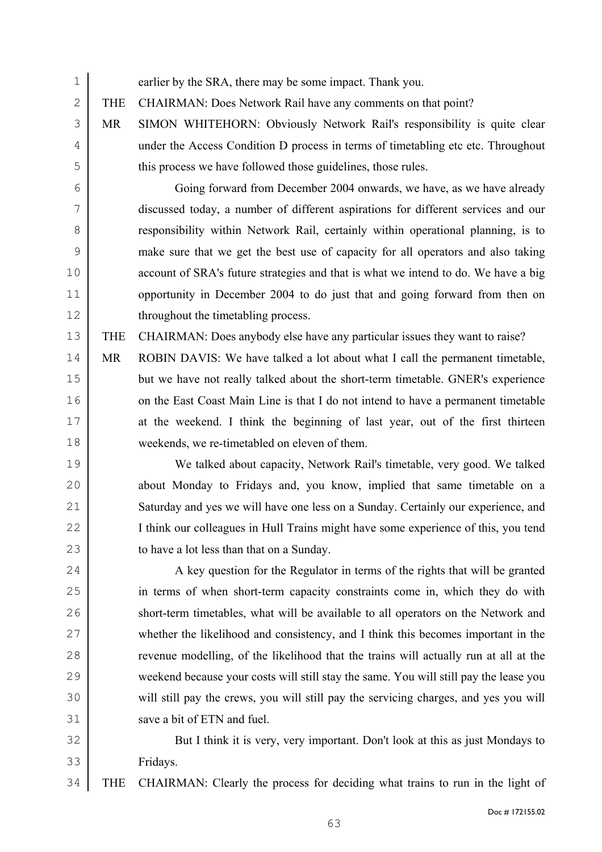| $\mathbf 1$   |            | earlier by the SRA, there may be some impact. Thank you.                              |
|---------------|------------|---------------------------------------------------------------------------------------|
| $\mathbf{2}$  | <b>THE</b> | CHAIRMAN: Does Network Rail have any comments on that point?                          |
| 3             | <b>MR</b>  | SIMON WHITEHORN: Obviously Network Rail's responsibility is quite clear               |
| 4             |            | under the Access Condition D process in terms of timetabling etc etc. Throughout      |
| 5             |            | this process we have followed those guidelines, those rules.                          |
| 6             |            | Going forward from December 2004 onwards, we have, as we have already                 |
| 7             |            | discussed today, a number of different aspirations for different services and our     |
| 8             |            | responsibility within Network Rail, certainly within operational planning, is to      |
| $\mathcal{G}$ |            | make sure that we get the best use of capacity for all operators and also taking      |
| 10            |            | account of SRA's future strategies and that is what we intend to do. We have a big    |
| 11            |            | opportunity in December 2004 to do just that and going forward from then on           |
| 12            |            | throughout the timetabling process.                                                   |
| 13            | <b>THE</b> | CHAIRMAN: Does anybody else have any particular issues they want to raise?            |
| 14            | <b>MR</b>  | ROBIN DAVIS: We have talked a lot about what I call the permanent timetable,          |
| 15            |            | but we have not really talked about the short-term timetable. GNER's experience       |
| 16            |            | on the East Coast Main Line is that I do not intend to have a permanent timetable     |
| 17            |            | at the weekend. I think the beginning of last year, out of the first thirteen         |
| 18            |            | weekends, we re-timetabled on eleven of them.                                         |
| 19            |            | We talked about capacity, Network Rail's timetable, very good. We talked              |
| 20            |            | about Monday to Fridays and, you know, implied that same timetable on a               |
| 21            |            | Saturday and yes we will have one less on a Sunday. Certainly our experience, and     |
| 22            |            | I think our colleagues in Hull Trains might have some experience of this, you tend    |
| 23            |            | to have a lot less than that on a Sunday.                                             |
| 24            |            | A key question for the Regulator in terms of the rights that will be granted          |
| 25            |            | in terms of when short-term capacity constraints come in, which they do with          |
| 26            |            | short-term timetables, what will be available to all operators on the Network and     |
| 27            |            | whether the likelihood and consistency, and I think this becomes important in the     |
| 28            |            | revenue modelling, of the likelihood that the trains will actually run at all at the  |
| 29            |            | weekend because your costs will still stay the same. You will still pay the lease you |
| 30            |            | will still pay the crews, you will still pay the servicing charges, and yes you will  |
| 31            |            | save a bit of ETN and fuel.                                                           |
| 32            |            | But I think it is very, very important. Don't look at this as just Mondays to         |
| 33            |            | Fridays.                                                                              |

THE CHAIRMAN: Clearly the process for deciding what trains to run in the light of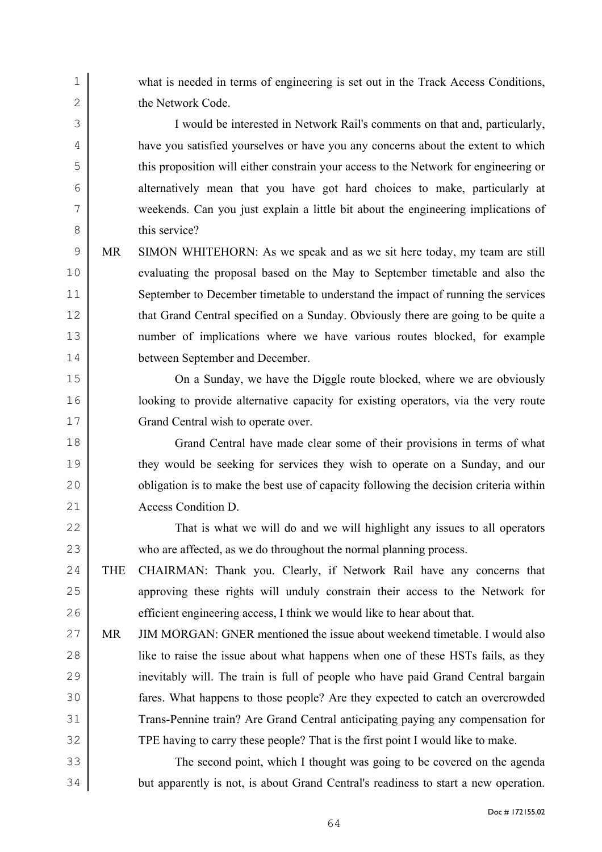what is needed in terms of engineering is set out in the Track Access Conditions, 2 the Network Code.

I would be interested in Network Rail's comments on that and, particularly, have you satisfied yourselves or have you any concerns about the extent to which this proposition will either constrain your access to the Network for engineering or alternatively mean that you have got hard choices to make, particularly at weekends. Can you just explain a little bit about the engineering implications of 8 this service?

MR SIMON WHITEHORN: As we speak and as we sit here today, my team are still evaluating the proposal based on the May to September timetable and also the September to December timetable to understand the impact of running the services 12 that Grand Central specified on a Sunday. Obviously there are going to be quite a number of implications where we have various routes blocked, for example between September and December.

On a Sunday, we have the Diggle route blocked, where we are obviously **let up to provide alternative capacity for existing operators**, via the very route 17 Grand Central wish to operate over.

Grand Central have made clear some of their provisions in terms of what they would be seeking for services they wish to operate on a Sunday, and our 20 bligation is to make the best use of capacity following the decision criteria within 21 Access Condition D.

That is what we will do and we will highlight any issues to all operators who are affected, as we do throughout the normal planning process.

THE CHAIRMAN: Thank you. Clearly, if Network Rail have any concerns that approving these rights will unduly constrain their access to the Network for 26 efficient engineering access, I think we would like to hear about that.

MR JIM MORGAN: GNER mentioned the issue about weekend timetable. I would also 28 iike to raise the issue about what happens when one of these HSTs fails, as they inevitably will. The train is full of people who have paid Grand Central bargain fares. What happens to those people? Are they expected to catch an overcrowded Trans-Pennine train? Are Grand Central anticipating paying any compensation for TPE having to carry these people? That is the first point I would like to make.

The second point, which I thought was going to be covered on the agenda but apparently is not, is about Grand Central's readiness to start a new operation.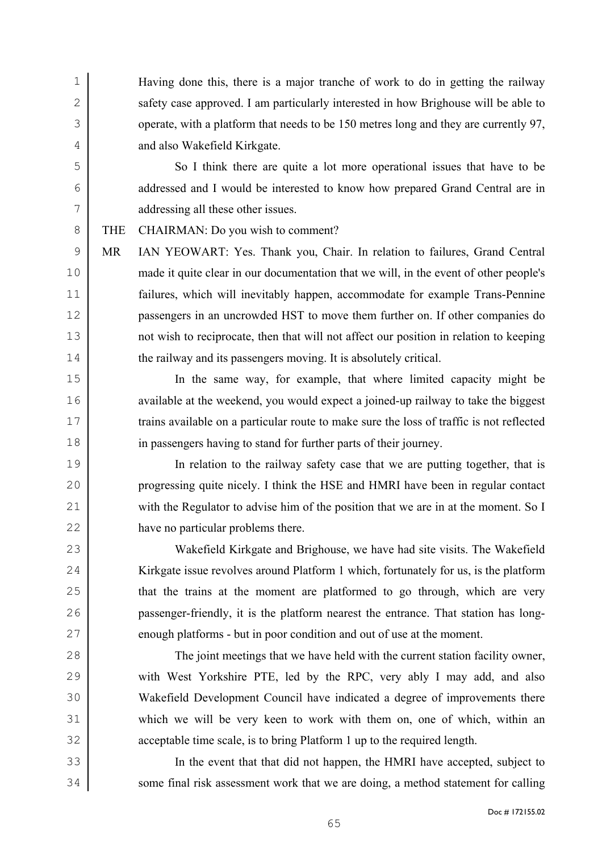Having done this, there is a major tranche of work to do in getting the railway 2 safety case approved. I am particularly interested in how Brighouse will be able to 3 operate, with a platform that needs to be 150 metres long and they are currently 97, 4 and also Wakefield Kirkgate.

So I think there are quite a lot more operational issues that have to be addressed and I would be interested to know how prepared Grand Central are in addressing all these other issues.

8 THE CHAIRMAN: Do you wish to comment?

MR IAN YEOWART: Yes. Thank you, Chair. In relation to failures, Grand Central made it quite clear in our documentation that we will, in the event of other people's failures, which will inevitably happen, accommodate for example Trans-Pennine passengers in an uncrowded HST to move them further on. If other companies do not wish to reciprocate, then that will not affect our position in relation to keeping 14 the railway and its passengers moving. It is absolutely critical.

In the same way, for example, that where limited capacity might be 16 available at the weekend, you would expect a joined-up railway to take the biggest trains available on a particular route to make sure the loss of traffic is not reflected in passengers having to stand for further parts of their journey.

In relation to the railway safety case that we are putting together, that is progressing quite nicely. I think the HSE and HMRI have been in regular contact 21 with the Regulator to advise him of the position that we are in at the moment. So I have no particular problems there.

Wakefield Kirkgate and Brighouse, we have had site visits. The Wakefield 24 Kirkgate issue revolves around Platform 1 which, fortunately for us, is the platform 25 that the trains at the moment are platformed to go through, which are very passenger-friendly, it is the platform nearest the entrance. That station has long-27 enough platforms - but in poor condition and out of use at the moment.

The joint meetings that we have held with the current station facility owner, 29 with West Yorkshire PTE, led by the RPC, very ably I may add, and also Wakefield Development Council have indicated a degree of improvements there which we will be very keen to work with them on, one of which, within an acceptable time scale, is to bring Platform 1 up to the required length.

In the event that that did not happen, the HMRI have accepted, subject to 34 some final risk assessment work that we are doing, a method statement for calling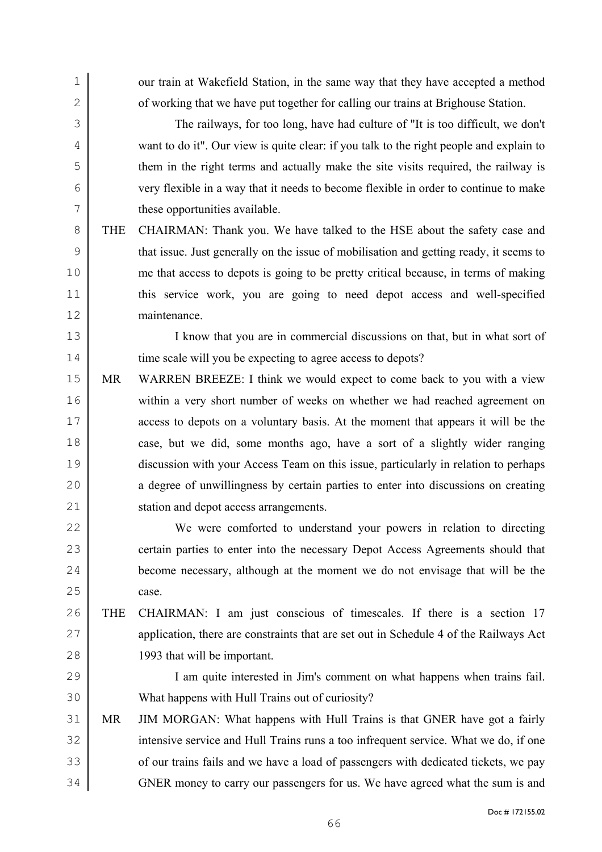1 our train at Wakefield Station, in the same way that they have accepted a method 2 of working that we have put together for calling our trains at Brighouse Station.

The railways, for too long, have had culture of "It is too difficult, we don't want to do it". Our view is quite clear: if you talk to the right people and explain to them in the right terms and actually make the site visits required, the railway is very flexible in a way that it needs to become flexible in order to continue to make these opportunities available.

THE CHAIRMAN: Thank you. We have talked to the HSE about the safety case and 9 that issue. Just generally on the issue of mobilisation and getting ready, it seems to me that access to depots is going to be pretty critical because, in terms of making this service work, you are going to need depot access and well-specified maintenance.

I know that you are in commercial discussions on that, but in what sort of 14 time scale will you be expecting to agree access to depots?

MR WARREN BREEZE: I think we would expect to come back to you with a view within a very short number of weeks on whether we had reached agreement on access to depots on a voluntary basis. At the moment that appears it will be the case, but we did, some months ago, have a sort of a slightly wider ranging discussion with your Access Team on this issue, particularly in relation to perhaps 20 a degree of unwillingness by certain parties to enter into discussions on creating 21 station and depot access arrangements.

We were comforted to understand your powers in relation to directing 23 certain parties to enter into the necessary Depot Access Agreements should that become necessary, although at the moment we do not envisage that will be the case.

THE CHAIRMAN: I am just conscious of timescales. If there is a section 17 27 application, there are constraints that are set out in Schedule 4 of the Railways Act 1993 that will be important.

I am quite interested in Jim's comment on what happens when trains fail. What happens with Hull Trains out of curiosity?

MR JIM MORGAN: What happens with Hull Trains is that GNER have got a fairly 32 intensive service and Hull Trains runs a too infrequent service. What we do, if one 33 of our trains fails and we have a load of passengers with dedicated tickets, we pay 34 GNER money to carry our passengers for us. We have agreed what the sum is and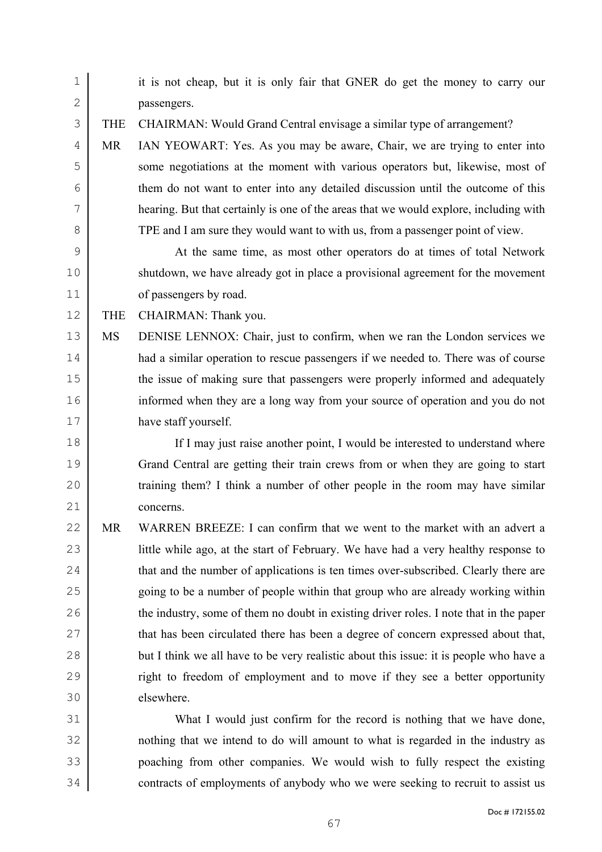| 1            |            | it is not cheap, but it is only fair that GNER do get the money to carry our           |
|--------------|------------|----------------------------------------------------------------------------------------|
| $\mathbf{2}$ |            | passengers.                                                                            |
| 3            | <b>THE</b> | CHAIRMAN: Would Grand Central envisage a similar type of arrangement?                  |
| 4            | MR         | IAN YEOWART: Yes. As you may be aware, Chair, we are trying to enter into              |
| 5            |            | some negotiations at the moment with various operators but, likewise, most of          |
| 6            |            | them do not want to enter into any detailed discussion until the outcome of this       |
| 7            |            | hearing. But that certainly is one of the areas that we would explore, including with  |
| 8            |            | TPE and I am sure they would want to with us, from a passenger point of view.          |
| $\mathsf 9$  |            | At the same time, as most other operators do at times of total Network                 |
| 10           |            | shutdown, we have already got in place a provisional agreement for the movement        |
| 11           |            | of passengers by road.                                                                 |
| 12           | <b>THE</b> | CHAIRMAN: Thank you.                                                                   |
| 13           | MS         | DENISE LENNOX: Chair, just to confirm, when we ran the London services we              |
| 14           |            | had a similar operation to rescue passengers if we needed to. There was of course      |
| 15           |            | the issue of making sure that passengers were properly informed and adequately         |
| 16           |            | informed when they are a long way from your source of operation and you do not         |
| 17           |            | have staff yourself.                                                                   |
| 18           |            | If I may just raise another point, I would be interested to understand where           |
| 19           |            | Grand Central are getting their train crews from or when they are going to start       |
| 20           |            | training them? I think a number of other people in the room may have similar           |
| 21           |            | concerns.                                                                              |
| 22           | MR         | WARREN BREEZE: I can confirm that we went to the market with an advert a               |
| 23           |            | little while ago, at the start of February. We have had a very healthy response to     |
| 24           |            | that and the number of applications is ten times over-subscribed. Clearly there are    |
| 25           |            | going to be a number of people within that group who are already working within        |
| 26           |            | the industry, some of them no doubt in existing driver roles. I note that in the paper |
| 27           |            | that has been circulated there has been a degree of concern expressed about that,      |
| 28           |            | but I think we all have to be very realistic about this issue: it is people who have a |
| 29           |            | right to freedom of employment and to move if they see a better opportunity            |
| 30           |            | elsewhere.                                                                             |
| 31           |            | What I would just confirm for the record is nothing that we have done,                 |
| 32           |            | nothing that we intend to do will amount to what is regarded in the industry as        |
| 33           |            | poaching from other companies. We would wish to fully respect the existing             |
| 34           |            | contracts of employments of anybody who we were seeking to recruit to assist us        |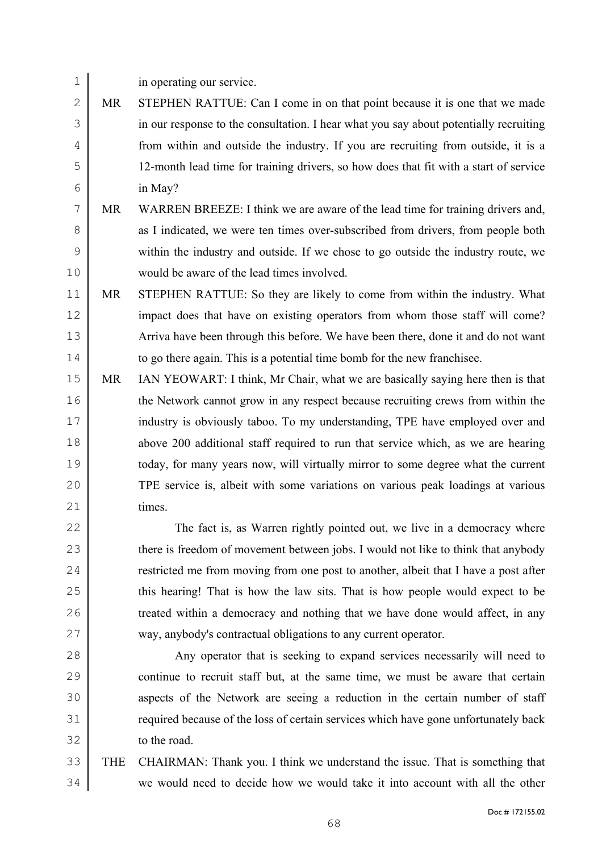in operating our service.

- MR STEPHEN RATTUE: Can I come in on that point because it is one that we made in our response to the consultation. I hear what you say about potentially recruiting from within and outside the industry. If you are recruiting from outside, it is a 12-month lead time for training drivers, so how does that fit with a start of service in May?
- MR WARREN BREEZE: I think we are aware of the lead time for training drivers and, 8 as I indicated, we were ten times over-subscribed from drivers, from people both within the industry and outside. If we chose to go outside the industry route, we would be aware of the lead times involved.
- MR STEPHEN RATTUE: So they are likely to come from within the industry. What 12 impact does that have on existing operators from whom those staff will come? Arriva have been through this before. We have been there, done it and do not want to go there again. This is a potential time bomb for the new franchisee.
- MR IAN YEOWART: I think, Mr Chair, what we are basically saying here then is that the Network cannot grow in any respect because recruiting crews from within the industry is obviously taboo. To my understanding, TPE have employed over and 18 above 200 additional staff required to run that service which, as we are hearing today, for many years now, will virtually mirror to some degree what the current TPE service is, albeit with some variations on various peak loadings at various 21 times
- 22 The fact is, as Warren rightly pointed out, we live in a democracy where 23 there is freedom of movement between jobs. I would not like to think that anybody 24 restricted me from moving from one post to another, albeit that I have a post after 25 this hearing! That is how the law sits. That is how people would expect to be 26 treated within a democracy and nothing that we have done would affect, in any way, anybody's contractual obligations to any current operator.
- 28 Any operator that is seeking to expand services necessarily will need to continue to recruit staff but, at the same time, we must be aware that certain 30 aspects of the Network are seeing a reduction in the certain number of staff 31 equired because of the loss of certain services which have gone unfortunately back to the road.
- THE CHAIRMAN: Thank you. I think we understand the issue. That is something that we would need to decide how we would take it into account with all the other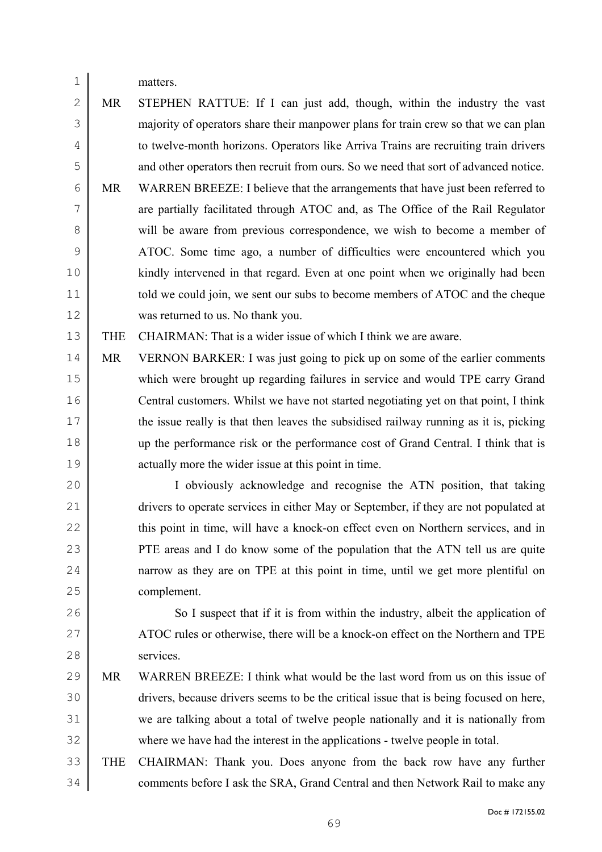matters.

MR STEPHEN RATTUE: If I can just add, though, within the industry the vast majority of operators share their manpower plans for train crew so that we can plan to twelve-month horizons. Operators like Arriva Trains are recruiting train drivers and other operators then recruit from ours. So we need that sort of advanced notice.

MR WARREN BREEZE: I believe that the arrangements that have just been referred to are partially facilitated through ATOC and, as The Office of the Rail Regulator 8 will be aware from previous correspondence, we wish to become a member of ATOC. Some time ago, a number of difficulties were encountered which you kindly intervened in that regard. Even at one point when we originally had been 11 told we could join, we sent our subs to become members of ATOC and the cheque was returned to us. No thank you.

THE CHAIRMAN: That is a wider issue of which I think we are aware.

14 MR VERNON BARKER: I was just going to pick up on some of the earlier comments which were brought up regarding failures in service and would TPE carry Grand Central customers. Whilst we have not started negotiating yet on that point, I think the issue really is that then leaves the subsidised railway running as it is, picking up the performance risk or the performance cost of Grand Central. I think that is actually more the wider issue at this point in time.

I obviously acknowledge and recognise the ATN position, that taking 21 drivers to operate services in either May or September, if they are not populated at 22 this point in time, will have a knock-on effect even on Northern services, and in **PTE** areas and I do know some of the population that the ATN tell us are quite narrow as they are on TPE at this point in time, until we get more plentiful on complement.

26 So I suspect that if it is from within the industry, albeit the application of 27 ATOC rules or otherwise, there will be a knock-on effect on the Northern and TPE services.

- MR WARREN BREEZE: I think what would be the last word from us on this issue of drivers, because drivers seems to be the critical issue that is being focused on here, we are talking about a total of twelve people nationally and it is nationally from where we have had the interest in the applications - twelve people in total.
- THE CHAIRMAN: Thank you. Does anyone from the back row have any further 34 comments before I ask the SRA, Grand Central and then Network Rail to make any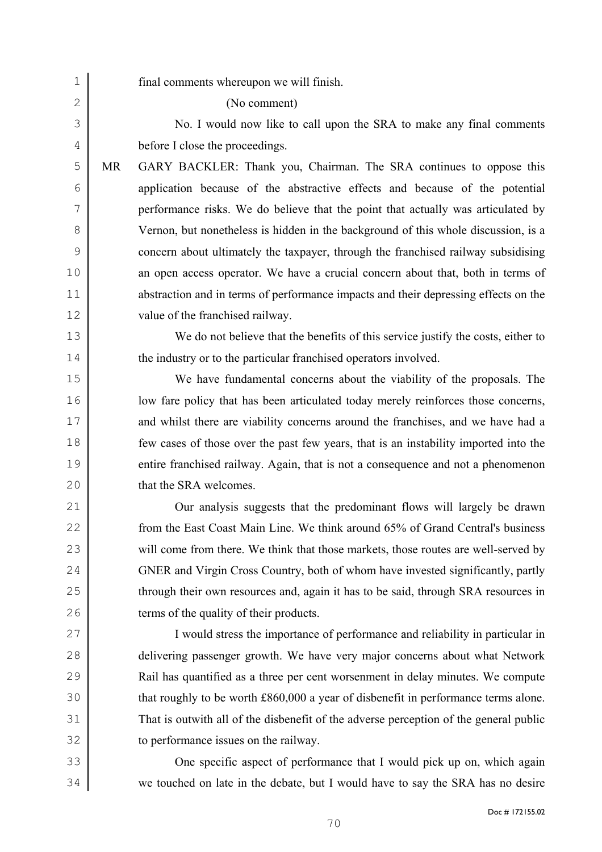| $\mathbf 1$   |           | final comments whereupon we will finish.                                              |
|---------------|-----------|---------------------------------------------------------------------------------------|
| $\mathbf{2}$  |           | (No comment)                                                                          |
| 3             |           | No. I would now like to call upon the SRA to make any final comments                  |
| 4             |           | before I close the proceedings.                                                       |
| 5             | <b>MR</b> | GARY BACKLER: Thank you, Chairman. The SRA continues to oppose this                   |
| 6             |           | application because of the abstractive effects and because of the potential           |
| 7             |           | performance risks. We do believe that the point that actually was articulated by      |
| 8             |           | Vernon, but nonetheless is hidden in the background of this whole discussion, is a    |
| $\mathcal{G}$ |           | concern about ultimately the taxpayer, through the franchised railway subsidising     |
| 10            |           | an open access operator. We have a crucial concern about that, both in terms of       |
| 11            |           | abstraction and in terms of performance impacts and their depressing effects on the   |
| 12            |           | value of the franchised railway.                                                      |
| 13            |           | We do not believe that the benefits of this service justify the costs, either to      |
| 14            |           | the industry or to the particular franchised operators involved.                      |
| 15            |           | We have fundamental concerns about the viability of the proposals. The                |
| 16            |           | low fare policy that has been articulated today merely reinforces those concerns,     |
| 17            |           | and whilst there are viability concerns around the franchises, and we have had a      |
| 18            |           | few cases of those over the past few years, that is an instability imported into the  |
| 19            |           | entire franchised railway. Again, that is not a consequence and not a phenomenon      |
| 20            |           | that the SRA welcomes.                                                                |
| 21            |           | Our analysis suggests that the predominant flows will largely be drawn                |
| 22            |           | from the East Coast Main Line. We think around 65% of Grand Central's business        |
| 23            |           | will come from there. We think that those markets, those routes are well-served by    |
| 24            |           | GNER and Virgin Cross Country, both of whom have invested significantly, partly       |
| 25            |           | through their own resources and, again it has to be said, through SRA resources in    |
| 26            |           | terms of the quality of their products.                                               |
| 27            |           | I would stress the importance of performance and reliability in particular in         |
| 28            |           | delivering passenger growth. We have very major concerns about what Network           |
| 29            |           | Rail has quantified as a three per cent worsenment in delay minutes. We compute       |
| 30            |           | that roughly to be worth £860,000 a year of disbenefit in performance terms alone.    |
| 31            |           | That is outwith all of the disbenefit of the adverse perception of the general public |
| 32            |           | to performance issues on the railway.                                                 |
| 33            |           | One specific aspect of performance that I would pick up on, which again               |
| 34            |           | we touched on late in the debate, but I would have to say the SRA has no desire       |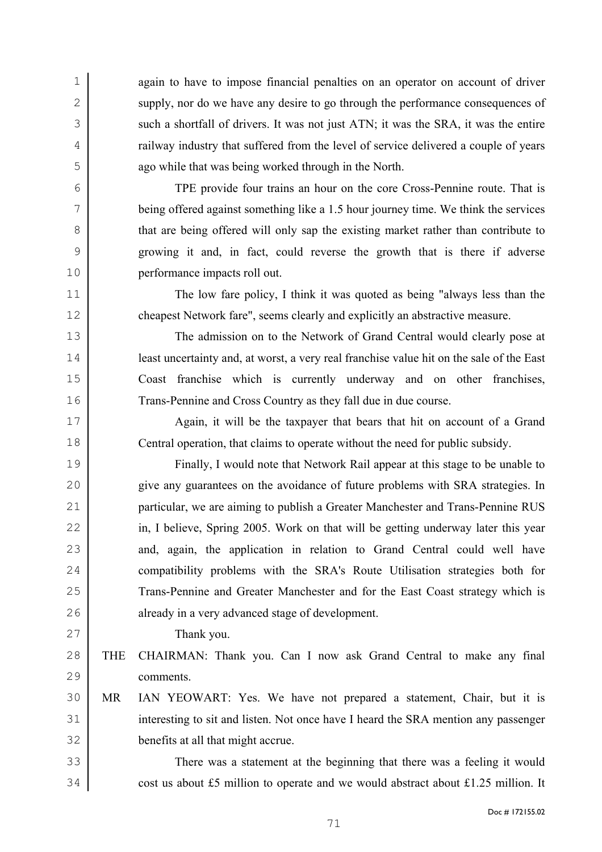again to have to impose financial penalties on an operator on account of driver 2 supply, nor do we have any desire to go through the performance consequences of 3 such a shortfall of drivers. It was not just ATN; it was the SRA, it was the entire railway industry that suffered from the level of service delivered a couple of years ago while that was being worked through in the North.

TPE provide four trains an hour on the core Cross-Pennine route. That is being offered against something like a 1.5 hour journey time. We think the services 8 that are being offered will only sap the existing market rather than contribute to growing it and, in fact, could reverse the growth that is there if adverse performance impacts roll out.

The low fare policy, I think it was quoted as being "always less than the cheapest Network fare", seems clearly and explicitly an abstractive measure.

The admission on to the Network of Grand Central would clearly pose at least uncertainty and, at worst, a very real franchise value hit on the sale of the East Coast franchise which is currently underway and on other franchises, Trans-Pennine and Cross Country as they fall due in due course.

Again, it will be the taxpayer that bears that hit on account of a Grand Central operation, that claims to operate without the need for public subsidy.

Finally, I would note that Network Rail appear at this stage to be unable to give any guarantees on the avoidance of future problems with SRA strategies. In particular, we are aiming to publish a Greater Manchester and Trans-Pennine RUS 22 in, I believe, Spring 2005. Work on that will be getting underway later this year 23 and, again, the application in relation to Grand Central could well have compatibility problems with the SRA's Route Utilisation strategies both for Trans-Pennine and Greater Manchester and for the East Coast strategy which is already in a very advanced stage of development.

Thank you.

- THE CHAIRMAN: Thank you. Can I now ask Grand Central to make any final comments.
- MR IAN YEOWART: Yes. We have not prepared a statement, Chair, but it is 31 interesting to sit and listen. Not once have I heard the SRA mention any passenger benefits at all that might accrue.

There was a statement at the beginning that there was a feeling it would cost us about £5 million to operate and we would abstract about £1.25 million. It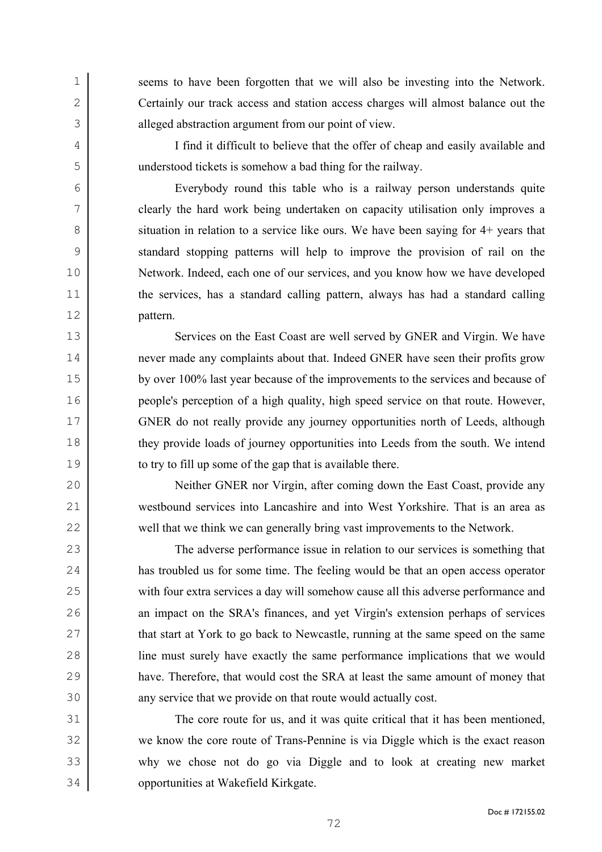seems to have been forgotten that we will also be investing into the Network. 2 Certainly our track access and station access charges will almost balance out the 3 alleged abstraction argument from our point of view.

I find it difficult to believe that the offer of cheap and easily available and understood tickets is somehow a bad thing for the railway.

Everybody round this table who is a railway person understands quite clearly the hard work being undertaken on capacity utilisation only improves a 8 situation in relation to a service like ours. We have been saying for 4+ years that standard stopping patterns will help to improve the provision of rail on the Network. Indeed, each one of our services, and you know how we have developed 11 the services, has a standard calling pattern, always has had a standard calling pattern.

13 Services on the East Coast are well served by GNER and Virgin. We have never made any complaints about that. Indeed GNER have seen their profits grow by over 100% last year because of the improvements to the services and because of people's perception of a high quality, high speed service on that route. However, GNER do not really provide any journey opportunities north of Leeds, although they provide loads of journey opportunities into Leeds from the south. We intend to try to fill up some of the gap that is available there.

Neither GNER nor Virgin, after coming down the East Coast, provide any westbound services into Lancashire and into West Yorkshire. That is an area as well that we think we can generally bring vast improvements to the Network.

The adverse performance issue in relation to our services is something that has troubled us for some time. The feeling would be that an open access operator with four extra services a day will somehow cause all this adverse performance and 26 an impact on the SRA's finances, and yet Virgin's extension perhaps of services 27 that start at York to go back to Newcastle, running at the same speed on the same line must surely have exactly the same performance implications that we would have. Therefore, that would cost the SRA at least the same amount of money that 30 any service that we provide on that route would actually cost.

The core route for us, and it was quite critical that it has been mentioned, we know the core route of Trans-Pennine is via Diggle which is the exact reason why we chose not do go via Diggle and to look at creating new market opportunities at Wakefield Kirkgate.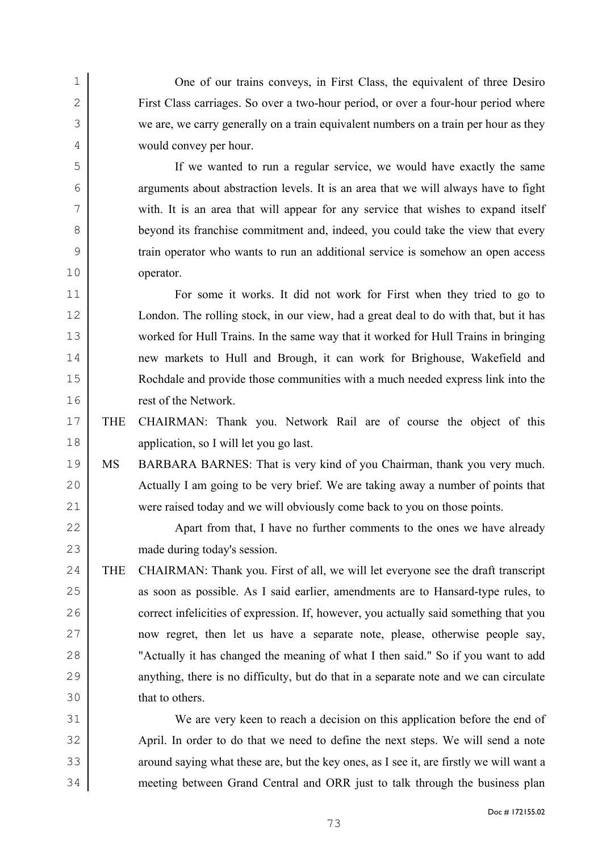One of our trains conveys, in First Class, the equivalent of three Desiro First Class carriages. So over a two-hour period, or over a four-hour period where we are, we carry generally on a train equivalent numbers on a train per hour as they would convey per hour.

If we wanted to run a regular service, we would have exactly the same arguments about abstraction levels. It is an area that we will always have to fight 7 with. It is an area that will appear for any service that wishes to expand itself beyond its franchise commitment and, indeed, you could take the view that every train operator who wants to run an additional service is somehow an open access operator.

For some it works. It did not work for First when they tried to go to London. The rolling stock, in our view, had a great deal to do with that, but it has worked for Hull Trains. In the same way that it worked for Hull Trains in bringing new markets to Hull and Brough, it can work for Brighouse, Wakefield and Rochdale and provide those communities with a much needed express link into the rest of the Network.

THE CHAIRMAN: Thank you. Network Rail are of course the object of this application, so I will let you go last.

MS BARBARA BARNES: That is very kind of you Chairman, thank you very much. 20 Actually I am going to be very brief. We are taking away a number of points that were raised today and we will obviously come back to you on those points.

22 Apart from that, I have no further comments to the ones we have already made during today's session.

THE CHAIRMAN: Thank you. First of all, we will let everyone see the draft transcript 25 as soon as possible. As I said earlier, amendments are to Hansard-type rules, to 26 correct infelicities of expression. If, however, you actually said something that you now regret, then let us have a separate note, please, otherwise people say, "Actually it has changed the meaning of what I then said." So if you want to add 29 anything, there is no difficulty, but do that in a separate note and we can circulate that to others.

We are very keen to reach a decision on this application before the end of April. In order to do that we need to define the next steps. We will send a note 33 around saying what these are, but the key ones, as I see it, are firstly we will want a meeting between Grand Central and ORR just to talk through the business plan